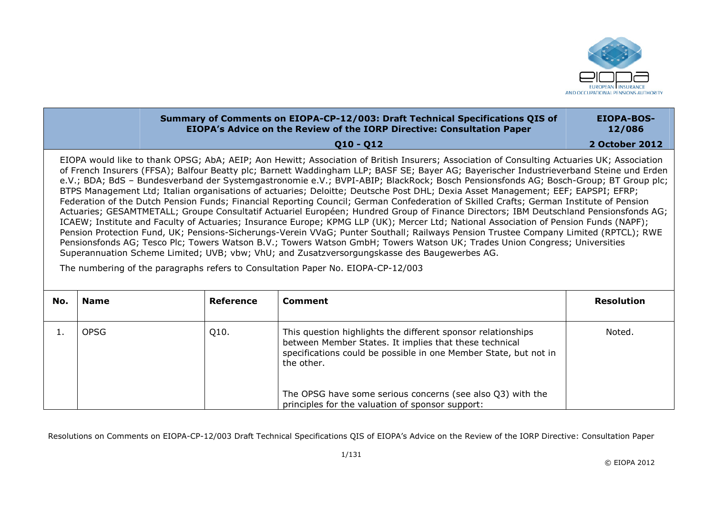

## **Summary of Comments on EIOPA-CP-12/003: Draft Technical Specifications QIS of EIOPA's Advice on the Review of the IORP Directive: Consultation Paper EIOPA-BOS-12/086**

**Q10 Q12** 

**2 October 2012** 

EIOPA would like to thank OPSG; AbA; AEIP; Aon Hewitt; Association of British Insurers; Association of Consulting Actuaries UK; Association of French Insurers (FFSA); Balfour Beatty plc; Barnett Waddingham LLP; BASF SE; Bayer AG; Bayerischer Industrieverband Steine und Erden e.V.; BDA; BdS – Bundesverband der Systemgastronomie e.V.; BVPI-ABIP; BlackRock; Bosch Pensionsfonds AG; Bosch-Group; BT Group plc; BTPS Management Ltd; Italian organisations of actuaries; Deloitte; Deutsche Post DHL; Dexia Asset Management; EEF; EAPSPI; EFRP; Federation of the Dutch Pension Funds; Financial Reporting Council; German Confederation of Skilled Crafts; German Institute of Pension Actuaries; GESAMTMETALL; Groupe Consultatif Actuariel Européen; Hundred Group of Finance Directors; IBM Deutschland Pensionsfonds AG; ICAEW; Institute and Faculty of Actuaries; Insurance Europe; KPMG LLP (UK); Mercer Ltd; National Association of Pension Funds (NAPF); Pension Protection Fund, UK; Pensions-Sicherungs-Verein VVaG; Punter Southall; Railways Pension Trustee Company Limited (RPTCL); RWE Pensionsfonds AG; Tesco Plc; Towers Watson B.V.; Towers Watson GmbH; Towers Watson UK; Trades Union Congress; Universities Superannuation Scheme Limited; UVB; vbw; VhU; and Zusatzversorgungskasse des Baugewerbes AG.

The numbering of the paragraphs refers to Consultation Paper No. EIOPA-CP-12/003

| No. | <b>Name</b> | Reference | Comment                                                                                                                                                                                                                                                                                                                    | <b>Resolution</b> |
|-----|-------------|-----------|----------------------------------------------------------------------------------------------------------------------------------------------------------------------------------------------------------------------------------------------------------------------------------------------------------------------------|-------------------|
|     | <b>OPSG</b> | Q10.      | This question highlights the different sponsor relationships<br>between Member States. It implies that these technical<br>specifications could be possible in one Member State, but not in<br>the other.<br>The OPSG have some serious concerns (see also Q3) with the<br>principles for the valuation of sponsor support: | Noted.            |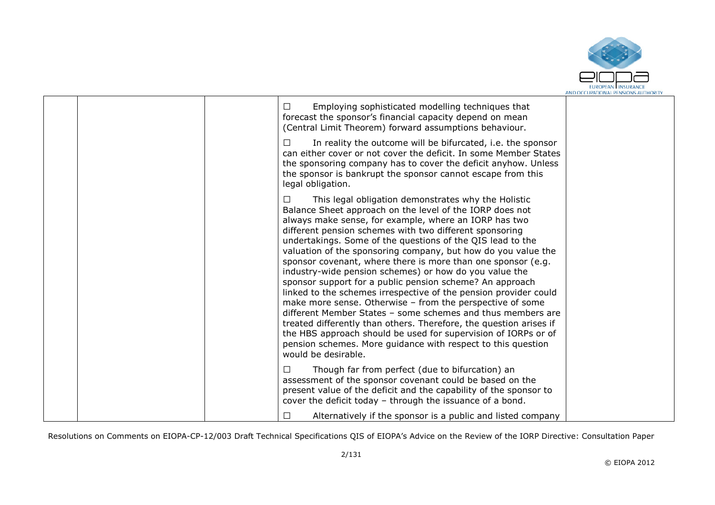

|  | Employing sophisticated modelling techniques that<br>□<br>forecast the sponsor's financial capacity depend on mean<br>(Central Limit Theorem) forward assumptions behaviour.                                                                                                                                                                                                                                                                                                                                                                                                                                                                                                                                                                                                                                                                                                                                                                                                                      |  |
|--|---------------------------------------------------------------------------------------------------------------------------------------------------------------------------------------------------------------------------------------------------------------------------------------------------------------------------------------------------------------------------------------------------------------------------------------------------------------------------------------------------------------------------------------------------------------------------------------------------------------------------------------------------------------------------------------------------------------------------------------------------------------------------------------------------------------------------------------------------------------------------------------------------------------------------------------------------------------------------------------------------|--|
|  | In reality the outcome will be bifurcated, i.e. the sponsor<br>□<br>can either cover or not cover the deficit. In some Member States<br>the sponsoring company has to cover the deficit anyhow. Unless<br>the sponsor is bankrupt the sponsor cannot escape from this<br>legal obligation.                                                                                                                                                                                                                                                                                                                                                                                                                                                                                                                                                                                                                                                                                                        |  |
|  | This legal obligation demonstrates why the Holistic<br>$\Box$<br>Balance Sheet approach on the level of the IORP does not<br>always make sense, for example, where an IORP has two<br>different pension schemes with two different sponsoring<br>undertakings. Some of the questions of the QIS lead to the<br>valuation of the sponsoring company, but how do you value the<br>sponsor covenant, where there is more than one sponsor (e.g.<br>industry-wide pension schemes) or how do you value the<br>sponsor support for a public pension scheme? An approach<br>linked to the schemes irrespective of the pension provider could<br>make more sense. Otherwise - from the perspective of some<br>different Member States - some schemes and thus members are<br>treated differently than others. Therefore, the question arises if<br>the HBS approach should be used for supervision of IORPs or of<br>pension schemes. More guidance with respect to this question<br>would be desirable. |  |
|  | Though far from perfect (due to bifurcation) an<br>П<br>assessment of the sponsor covenant could be based on the<br>present value of the deficit and the capability of the sponsor to<br>cover the deficit today - through the issuance of a bond.                                                                                                                                                                                                                                                                                                                                                                                                                                                                                                                                                                                                                                                                                                                                                |  |
|  | Alternatively if the sponsor is a public and listed company                                                                                                                                                                                                                                                                                                                                                                                                                                                                                                                                                                                                                                                                                                                                                                                                                                                                                                                                       |  |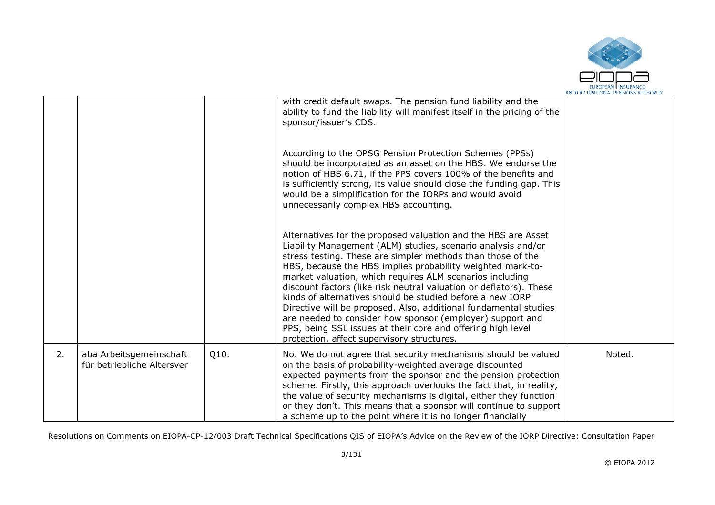

|    |                                                       |      |                                                                                                                                                                                                                                                                                                                                                                                                                                                                                                                                                                                                                                                                                                         | AND OCCUPATIONAL PENSIONS AUTHORIT |
|----|-------------------------------------------------------|------|---------------------------------------------------------------------------------------------------------------------------------------------------------------------------------------------------------------------------------------------------------------------------------------------------------------------------------------------------------------------------------------------------------------------------------------------------------------------------------------------------------------------------------------------------------------------------------------------------------------------------------------------------------------------------------------------------------|------------------------------------|
|    |                                                       |      | with credit default swaps. The pension fund liability and the<br>ability to fund the liability will manifest itself in the pricing of the<br>sponsor/issuer's CDS.                                                                                                                                                                                                                                                                                                                                                                                                                                                                                                                                      |                                    |
|    |                                                       |      | According to the OPSG Pension Protection Schemes (PPSs)<br>should be incorporated as an asset on the HBS. We endorse the<br>notion of HBS 6.71, if the PPS covers 100% of the benefits and<br>is sufficiently strong, its value should close the funding gap. This<br>would be a simplification for the IORPs and would avoid<br>unnecessarily complex HBS accounting.                                                                                                                                                                                                                                                                                                                                  |                                    |
|    |                                                       |      | Alternatives for the proposed valuation and the HBS are Asset<br>Liability Management (ALM) studies, scenario analysis and/or<br>stress testing. These are simpler methods than those of the<br>HBS, because the HBS implies probability weighted mark-to-<br>market valuation, which requires ALM scenarios including<br>discount factors (like risk neutral valuation or deflators). These<br>kinds of alternatives should be studied before a new IORP<br>Directive will be proposed. Also, additional fundamental studies<br>are needed to consider how sponsor (employer) support and<br>PPS, being SSL issues at their core and offering high level<br>protection, affect supervisory structures. |                                    |
| 2. | aba Arbeitsgemeinschaft<br>für betriebliche Altersver | Q10. | No. We do not agree that security mechanisms should be valued<br>on the basis of probability-weighted average discounted<br>expected payments from the sponsor and the pension protection<br>scheme. Firstly, this approach overlooks the fact that, in reality,<br>the value of security mechanisms is digital, either they function<br>or they don't. This means that a sponsor will continue to support<br>a scheme up to the point where it is no longer financially                                                                                                                                                                                                                                | Noted.                             |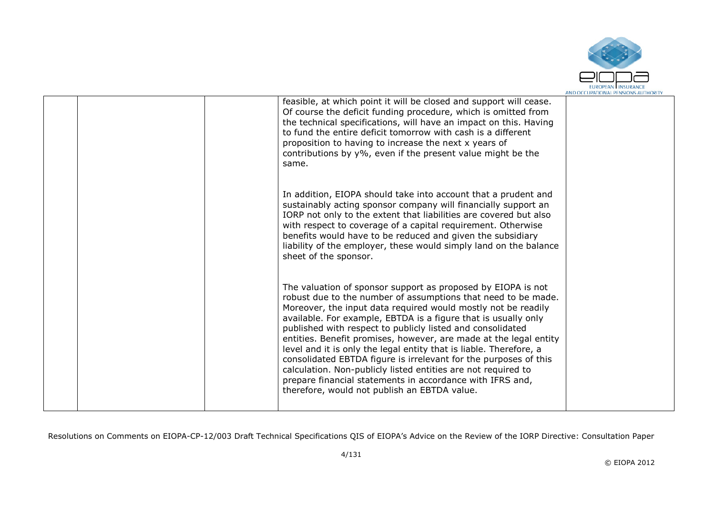

|  | feasible, at which point it will be closed and support will cease.<br>Of course the deficit funding procedure, which is omitted from<br>the technical specifications, will have an impact on this. Having<br>to fund the entire deficit tomorrow with cash is a different<br>proposition to having to increase the next x years of<br>contributions by y%, even if the present value might be the<br>same.                                                                                                                                                                                                                                                                                                                  |  |
|--|-----------------------------------------------------------------------------------------------------------------------------------------------------------------------------------------------------------------------------------------------------------------------------------------------------------------------------------------------------------------------------------------------------------------------------------------------------------------------------------------------------------------------------------------------------------------------------------------------------------------------------------------------------------------------------------------------------------------------------|--|
|  | In addition, EIOPA should take into account that a prudent and<br>sustainably acting sponsor company will financially support an<br>IORP not only to the extent that liabilities are covered but also<br>with respect to coverage of a capital requirement. Otherwise<br>benefits would have to be reduced and given the subsidiary<br>liability of the employer, these would simply land on the balance<br>sheet of the sponsor.                                                                                                                                                                                                                                                                                           |  |
|  | The valuation of sponsor support as proposed by EIOPA is not<br>robust due to the number of assumptions that need to be made.<br>Moreover, the input data required would mostly not be readily<br>available. For example, EBTDA is a figure that is usually only<br>published with respect to publicly listed and consolidated<br>entities. Benefit promises, however, are made at the legal entity<br>level and it is only the legal entity that is liable. Therefore, a<br>consolidated EBTDA figure is irrelevant for the purposes of this<br>calculation. Non-publicly listed entities are not required to<br>prepare financial statements in accordance with IFRS and,<br>therefore, would not publish an EBTDA value. |  |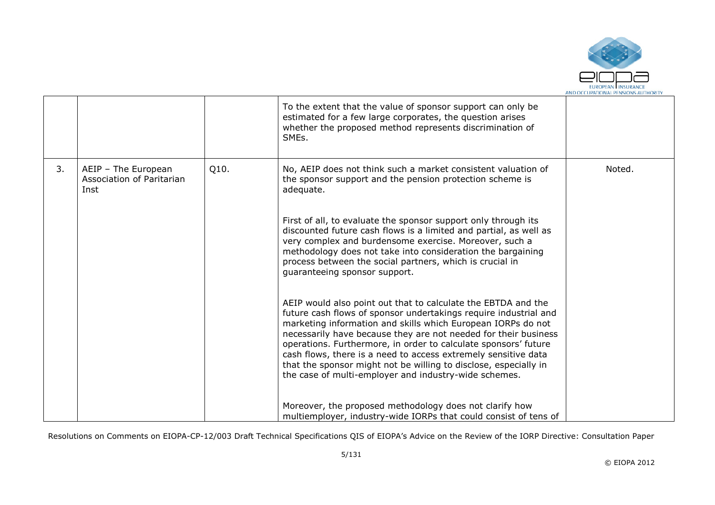

| To the extent that the value of sponsor support can only be<br>estimated for a few large corporates, the question arises<br>whether the proposed method represents discrimination of<br>SME <sub>s</sub> .                                                                                                                                                                                                                                                                                                                                                                                                                                                                                                                                                                                                                                                                                                                                                                                                                                                                                                                                                                                                                                             |        |
|--------------------------------------------------------------------------------------------------------------------------------------------------------------------------------------------------------------------------------------------------------------------------------------------------------------------------------------------------------------------------------------------------------------------------------------------------------------------------------------------------------------------------------------------------------------------------------------------------------------------------------------------------------------------------------------------------------------------------------------------------------------------------------------------------------------------------------------------------------------------------------------------------------------------------------------------------------------------------------------------------------------------------------------------------------------------------------------------------------------------------------------------------------------------------------------------------------------------------------------------------------|--------|
| 3.<br>Q10.<br>No, AEIP does not think such a market consistent valuation of<br>AEIP - The European<br>Association of Paritarian<br>the sponsor support and the pension protection scheme is<br>adequate.<br>Inst<br>First of all, to evaluate the sponsor support only through its<br>discounted future cash flows is a limited and partial, as well as<br>very complex and burdensome exercise. Moreover, such a<br>methodology does not take into consideration the bargaining<br>process between the social partners, which is crucial in<br>quaranteeing sponsor support.<br>AEIP would also point out that to calculate the EBTDA and the<br>future cash flows of sponsor undertakings require industrial and<br>marketing information and skills which European IORPs do not<br>necessarily have because they are not needed for their business<br>operations. Furthermore, in order to calculate sponsors' future<br>cash flows, there is a need to access extremely sensitive data<br>that the sponsor might not be willing to disclose, especially in<br>the case of multi-employer and industry-wide schemes.<br>Moreover, the proposed methodology does not clarify how<br>multiemployer, industry-wide IORPs that could consist of tens of | Noted. |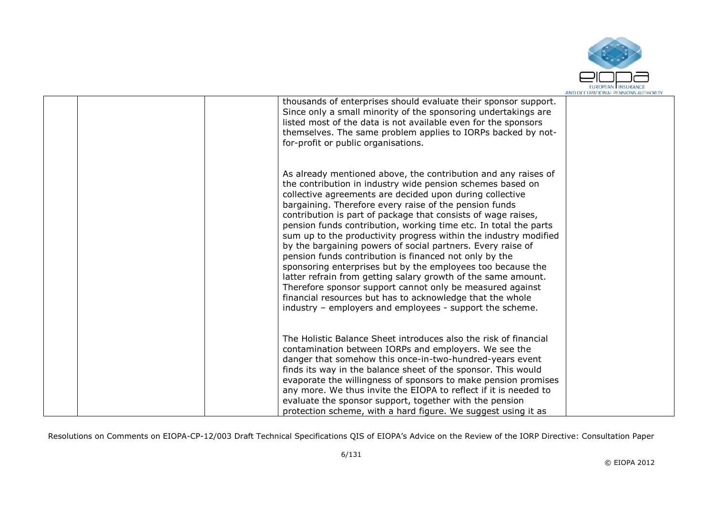

|  | thousands of enterprises should evaluate their sponsor support.<br>Since only a small minority of the sponsoring undertakings are<br>listed most of the data is not available even for the sponsors<br>themselves. The same problem applies to IORPs backed by not-<br>for-profit or public organisations.                                                                                                                                                                                                                                                                                                                                                                                                                                                                                                                                                                                                 |  |
|--|------------------------------------------------------------------------------------------------------------------------------------------------------------------------------------------------------------------------------------------------------------------------------------------------------------------------------------------------------------------------------------------------------------------------------------------------------------------------------------------------------------------------------------------------------------------------------------------------------------------------------------------------------------------------------------------------------------------------------------------------------------------------------------------------------------------------------------------------------------------------------------------------------------|--|
|  | As already mentioned above, the contribution and any raises of<br>the contribution in industry wide pension schemes based on<br>collective agreements are decided upon during collective<br>bargaining. Therefore every raise of the pension funds<br>contribution is part of package that consists of wage raises,<br>pension funds contribution, working time etc. In total the parts<br>sum up to the productivity progress within the industry modified<br>by the bargaining powers of social partners. Every raise of<br>pension funds contribution is financed not only by the<br>sponsoring enterprises but by the employees too because the<br>latter refrain from getting salary growth of the same amount.<br>Therefore sponsor support cannot only be measured against<br>financial resources but has to acknowledge that the whole<br>industry – employers and employees - support the scheme. |  |
|  | The Holistic Balance Sheet introduces also the risk of financial<br>contamination between IORPs and employers. We see the<br>danger that somehow this once-in-two-hundred-years event<br>finds its way in the balance sheet of the sponsor. This would<br>evaporate the willingness of sponsors to make pension promises<br>any more. We thus invite the EIOPA to reflect if it is needed to<br>evaluate the sponsor support, together with the pension<br>protection scheme, with a hard figure. We suggest using it as                                                                                                                                                                                                                                                                                                                                                                                   |  |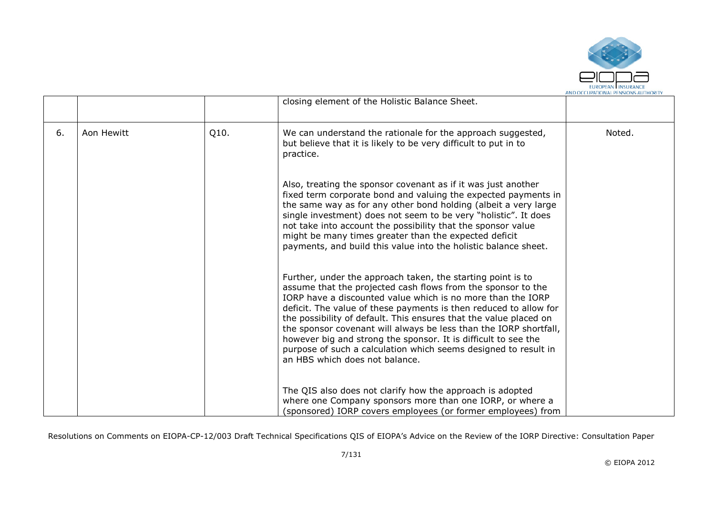

|    |            |      | closing element of the Holistic Balance Sheet.                                                                                                                                                                                                                                                                                                                                                                                                                                                                                                                                   |        |
|----|------------|------|----------------------------------------------------------------------------------------------------------------------------------------------------------------------------------------------------------------------------------------------------------------------------------------------------------------------------------------------------------------------------------------------------------------------------------------------------------------------------------------------------------------------------------------------------------------------------------|--------|
| 6. | Aon Hewitt | Q10. | We can understand the rationale for the approach suggested,<br>but believe that it is likely to be very difficult to put in to<br>practice.                                                                                                                                                                                                                                                                                                                                                                                                                                      | Noted. |
|    |            |      | Also, treating the sponsor covenant as if it was just another<br>fixed term corporate bond and valuing the expected payments in<br>the same way as for any other bond holding (albeit a very large<br>single investment) does not seem to be very "holistic". It does<br>not take into account the possibility that the sponsor value<br>might be many times greater than the expected deficit<br>payments, and build this value into the holistic balance sheet.                                                                                                                |        |
|    |            |      | Further, under the approach taken, the starting point is to<br>assume that the projected cash flows from the sponsor to the<br>IORP have a discounted value which is no more than the IORP<br>deficit. The value of these payments is then reduced to allow for<br>the possibility of default. This ensures that the value placed on<br>the sponsor covenant will always be less than the IORP shortfall,<br>however big and strong the sponsor. It is difficult to see the<br>purpose of such a calculation which seems designed to result in<br>an HBS which does not balance. |        |
|    |            |      | The QIS also does not clarify how the approach is adopted<br>where one Company sponsors more than one IORP, or where a<br>(sponsored) IORP covers employees (or former employees) from                                                                                                                                                                                                                                                                                                                                                                                           |        |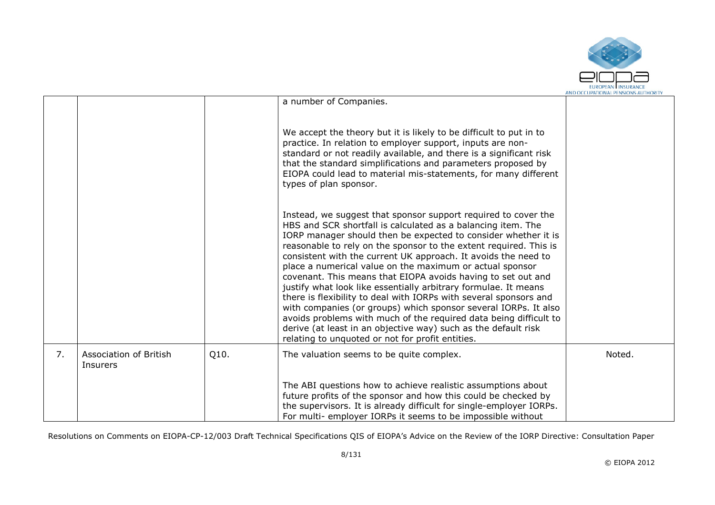

|    |                                    |      | a number of Companies.                                                                                                                                                                                                                                                                                                                                                                                                                                                                                                                                                                                                                                                                                                                                                                                                                                                    |        |
|----|------------------------------------|------|---------------------------------------------------------------------------------------------------------------------------------------------------------------------------------------------------------------------------------------------------------------------------------------------------------------------------------------------------------------------------------------------------------------------------------------------------------------------------------------------------------------------------------------------------------------------------------------------------------------------------------------------------------------------------------------------------------------------------------------------------------------------------------------------------------------------------------------------------------------------------|--------|
|    |                                    |      | We accept the theory but it is likely to be difficult to put in to<br>practice. In relation to employer support, inputs are non-<br>standard or not readily available, and there is a significant risk<br>that the standard simplifications and parameters proposed by<br>EIOPA could lead to material mis-statements, for many different<br>types of plan sponsor.                                                                                                                                                                                                                                                                                                                                                                                                                                                                                                       |        |
|    |                                    |      | Instead, we suggest that sponsor support required to cover the<br>HBS and SCR shortfall is calculated as a balancing item. The<br>IORP manager should then be expected to consider whether it is<br>reasonable to rely on the sponsor to the extent required. This is<br>consistent with the current UK approach. It avoids the need to<br>place a numerical value on the maximum or actual sponsor<br>covenant. This means that EIOPA avoids having to set out and<br>justify what look like essentially arbitrary formulae. It means<br>there is flexibility to deal with IORPs with several sponsors and<br>with companies (or groups) which sponsor several IORPs. It also<br>avoids problems with much of the required data being difficult to<br>derive (at least in an objective way) such as the default risk<br>relating to unquoted or not for profit entities. |        |
| 7. | Association of British<br>Insurers | Q10. | The valuation seems to be quite complex.                                                                                                                                                                                                                                                                                                                                                                                                                                                                                                                                                                                                                                                                                                                                                                                                                                  | Noted. |
|    |                                    |      | The ABI questions how to achieve realistic assumptions about<br>future profits of the sponsor and how this could be checked by<br>the supervisors. It is already difficult for single-employer IORPs.<br>For multi- employer IORPs it seems to be impossible without                                                                                                                                                                                                                                                                                                                                                                                                                                                                                                                                                                                                      |        |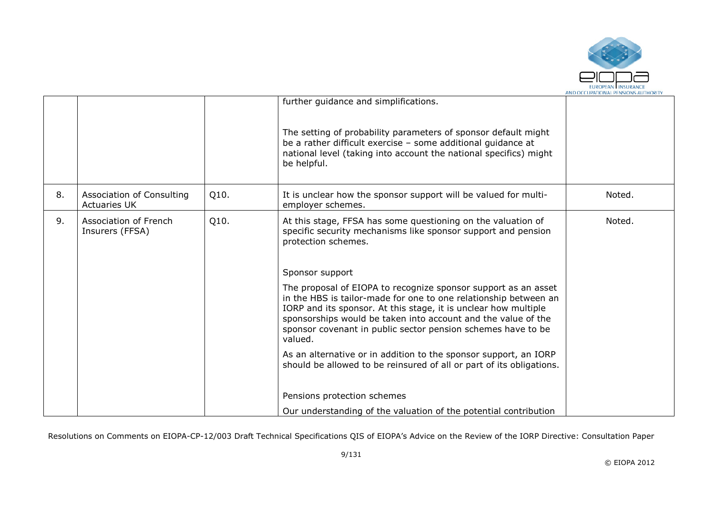

|    |                                                  |      | further guidance and simplifications.<br>The setting of probability parameters of sponsor default might<br>be a rather difficult exercise - some additional quidance at<br>national level (taking into account the national specifics) might<br>be helpful.                                                                                                                                                                                                                                                                                                                                                                                                                                             |        |
|----|--------------------------------------------------|------|---------------------------------------------------------------------------------------------------------------------------------------------------------------------------------------------------------------------------------------------------------------------------------------------------------------------------------------------------------------------------------------------------------------------------------------------------------------------------------------------------------------------------------------------------------------------------------------------------------------------------------------------------------------------------------------------------------|--------|
| 8. | Association of Consulting<br><b>Actuaries UK</b> | Q10. | It is unclear how the sponsor support will be valued for multi-<br>employer schemes.                                                                                                                                                                                                                                                                                                                                                                                                                                                                                                                                                                                                                    | Noted. |
| 9. | Association of French<br>Insurers (FFSA)         | Q10. | At this stage, FFSA has some questioning on the valuation of<br>specific security mechanisms like sponsor support and pension<br>protection schemes.<br>Sponsor support<br>The proposal of EIOPA to recognize sponsor support as an asset<br>in the HBS is tailor-made for one to one relationship between an<br>IORP and its sponsor. At this stage, it is unclear how multiple<br>sponsorships would be taken into account and the value of the<br>sponsor covenant in public sector pension schemes have to be<br>valued.<br>As an alternative or in addition to the sponsor support, an IORP<br>should be allowed to be reinsured of all or part of its obligations.<br>Pensions protection schemes | Noted. |
|    |                                                  |      | Our understanding of the valuation of the potential contribution                                                                                                                                                                                                                                                                                                                                                                                                                                                                                                                                                                                                                                        |        |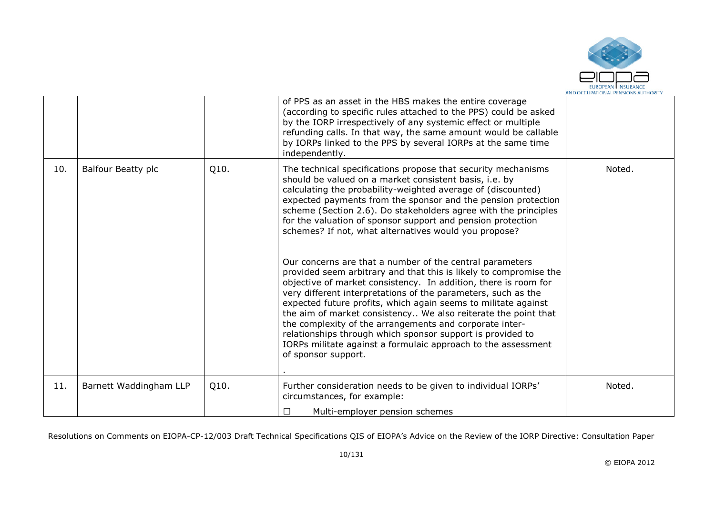

|     |                        |      | of PPS as an asset in the HBS makes the entire coverage<br>(according to specific rules attached to the PPS) could be asked<br>by the IORP irrespectively of any systemic effect or multiple<br>refunding calls. In that way, the same amount would be callable<br>by IORPs linked to the PPS by several IORPs at the same time<br>independently.                                                                                                                                                                                                                                                                                                                                                                                                                                                                                                                                                                                                                                                                                                                             |        |
|-----|------------------------|------|-------------------------------------------------------------------------------------------------------------------------------------------------------------------------------------------------------------------------------------------------------------------------------------------------------------------------------------------------------------------------------------------------------------------------------------------------------------------------------------------------------------------------------------------------------------------------------------------------------------------------------------------------------------------------------------------------------------------------------------------------------------------------------------------------------------------------------------------------------------------------------------------------------------------------------------------------------------------------------------------------------------------------------------------------------------------------------|--------|
| 10. | Balfour Beatty plc     | Q10. | The technical specifications propose that security mechanisms<br>should be valued on a market consistent basis, i.e. by<br>calculating the probability-weighted average of (discounted)<br>expected payments from the sponsor and the pension protection<br>scheme (Section 2.6). Do stakeholders agree with the principles<br>for the valuation of sponsor support and pension protection<br>schemes? If not, what alternatives would you propose?<br>Our concerns are that a number of the central parameters<br>provided seem arbitrary and that this is likely to compromise the<br>objective of market consistency. In addition, there is room for<br>very different interpretations of the parameters, such as the<br>expected future profits, which again seems to militate against<br>the aim of market consistency We also reiterate the point that<br>the complexity of the arrangements and corporate inter-<br>relationships through which sponsor support is provided to<br>IORPs militate against a formulaic approach to the assessment<br>of sponsor support. | Noted. |
| 11. | Barnett Waddingham LLP | Q10. | Further consideration needs to be given to individual IORPs'<br>circumstances, for example:                                                                                                                                                                                                                                                                                                                                                                                                                                                                                                                                                                                                                                                                                                                                                                                                                                                                                                                                                                                   | Noted. |
|     |                        |      | $\Box$<br>Multi-employer pension schemes                                                                                                                                                                                                                                                                                                                                                                                                                                                                                                                                                                                                                                                                                                                                                                                                                                                                                                                                                                                                                                      |        |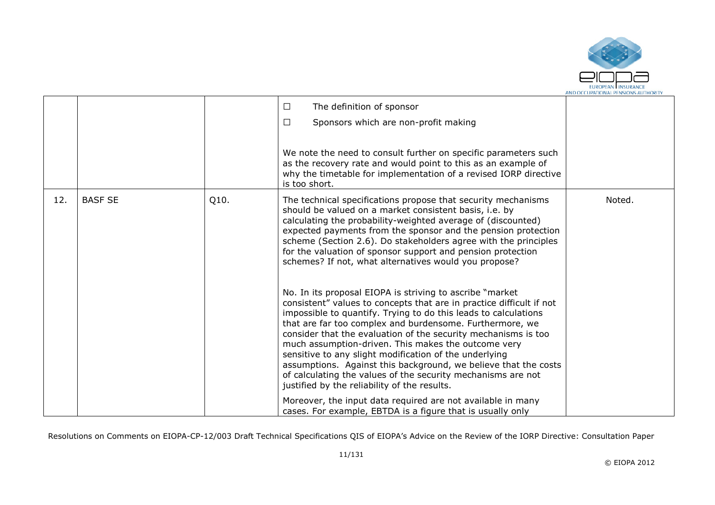

|     |                |      | $\Box$<br>The definition of sponsor<br>Sponsors which are non-profit making<br>□<br>We note the need to consult further on specific parameters such<br>as the recovery rate and would point to this as an example of<br>why the timetable for implementation of a revised IORP directive                                                                                                                                                                                                                                                                                                                                                                                                                                                                                                                                                                                                                                                                                                       |        |
|-----|----------------|------|------------------------------------------------------------------------------------------------------------------------------------------------------------------------------------------------------------------------------------------------------------------------------------------------------------------------------------------------------------------------------------------------------------------------------------------------------------------------------------------------------------------------------------------------------------------------------------------------------------------------------------------------------------------------------------------------------------------------------------------------------------------------------------------------------------------------------------------------------------------------------------------------------------------------------------------------------------------------------------------------|--------|
| 12. | <b>BASF SE</b> | Q10. | is too short.<br>The technical specifications propose that security mechanisms<br>should be valued on a market consistent basis, i.e. by<br>calculating the probability-weighted average of (discounted)<br>expected payments from the sponsor and the pension protection<br>scheme (Section 2.6). Do stakeholders agree with the principles<br>for the valuation of sponsor support and pension protection<br>schemes? If not, what alternatives would you propose?<br>No. In its proposal EIOPA is striving to ascribe "market"<br>consistent" values to concepts that are in practice difficult if not<br>impossible to quantify. Trying to do this leads to calculations<br>that are far too complex and burdensome. Furthermore, we<br>consider that the evaluation of the security mechanisms is too<br>much assumption-driven. This makes the outcome very<br>sensitive to any slight modification of the underlying<br>assumptions. Against this background, we believe that the costs | Noted. |
|     |                |      | of calculating the values of the security mechanisms are not<br>justified by the reliability of the results.<br>Moreover, the input data required are not available in many<br>cases. For example, EBTDA is a figure that is usually only                                                                                                                                                                                                                                                                                                                                                                                                                                                                                                                                                                                                                                                                                                                                                      |        |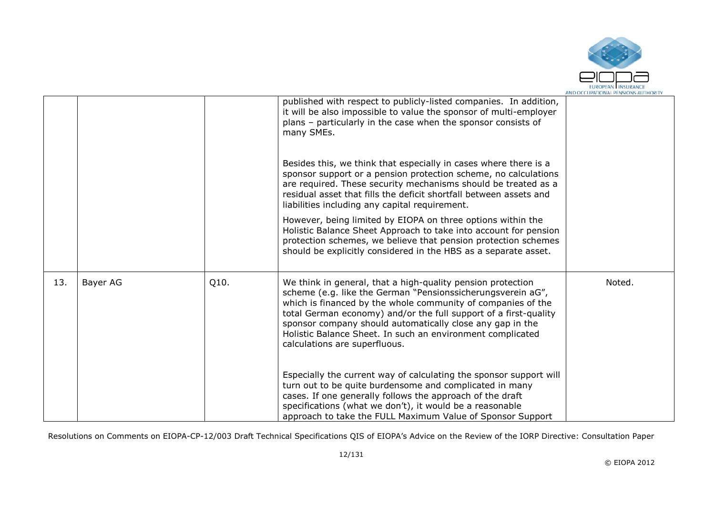

|     |          |      | published with respect to publicly-listed companies. In addition,<br>it will be also impossible to value the sponsor of multi-employer<br>plans - particularly in the case when the sponsor consists of<br>many SMEs.<br>Besides this, we think that especially in cases where there is a<br>sponsor support or a pension protection scheme, no calculations<br>are required. These security mechanisms should be treated as a<br>residual asset that fills the deficit shortfall between assets and<br>liabilities including any capital requirement. |        |
|-----|----------|------|--------------------------------------------------------------------------------------------------------------------------------------------------------------------------------------------------------------------------------------------------------------------------------------------------------------------------------------------------------------------------------------------------------------------------------------------------------------------------------------------------------------------------------------------------------|--------|
|     |          |      | However, being limited by EIOPA on three options within the<br>Holistic Balance Sheet Approach to take into account for pension<br>protection schemes, we believe that pension protection schemes<br>should be explicitly considered in the HBS as a separate asset.                                                                                                                                                                                                                                                                                   |        |
| 13. | Bayer AG | Q10. | We think in general, that a high-quality pension protection<br>scheme (e.g. like the German "Pensionssicherungsverein aG",<br>which is financed by the whole community of companies of the<br>total German economy) and/or the full support of a first-quality<br>sponsor company should automatically close any gap in the<br>Holistic Balance Sheet. In such an environment complicated<br>calculations are superfluous.                                                                                                                             | Noted. |
|     |          |      | Especially the current way of calculating the sponsor support will<br>turn out to be quite burdensome and complicated in many<br>cases. If one generally follows the approach of the draft<br>specifications (what we don't), it would be a reasonable<br>approach to take the FULL Maximum Value of Sponsor Support                                                                                                                                                                                                                                   |        |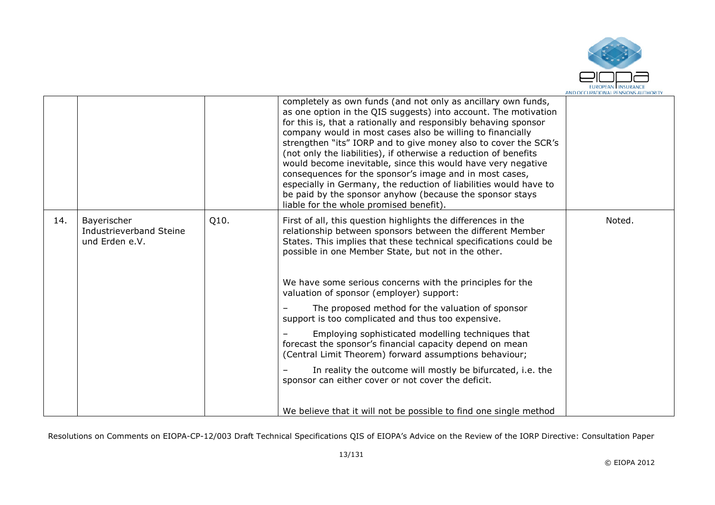

| especially in Germany, the reduction of liabilities would have to<br>be paid by the sponsor anyhow (because the sponsor stays<br>liable for the whole promised benefit).                                                                                                                                                                                                                                                                                                                                                                                                                                                                                                                                                                                                                                                                                                                                                            |  |
|-------------------------------------------------------------------------------------------------------------------------------------------------------------------------------------------------------------------------------------------------------------------------------------------------------------------------------------------------------------------------------------------------------------------------------------------------------------------------------------------------------------------------------------------------------------------------------------------------------------------------------------------------------------------------------------------------------------------------------------------------------------------------------------------------------------------------------------------------------------------------------------------------------------------------------------|--|
| Q10.<br>14.<br>Noted.<br>Bayerischer<br>First of all, this question highlights the differences in the<br>Industrieverband Steine<br>relationship between sponsors between the different Member<br>States. This implies that these technical specifications could be<br>und Erden e.V.<br>possible in one Member State, but not in the other.<br>We have some serious concerns with the principles for the<br>valuation of sponsor (employer) support:<br>The proposed method for the valuation of sponsor<br>support is too complicated and thus too expensive.<br>Employing sophisticated modelling techniques that<br>forecast the sponsor's financial capacity depend on mean<br>(Central Limit Theorem) forward assumptions behaviour;<br>In reality the outcome will mostly be bifurcated, i.e. the<br>sponsor can either cover or not cover the deficit.<br>We believe that it will not be possible to find one single method |  |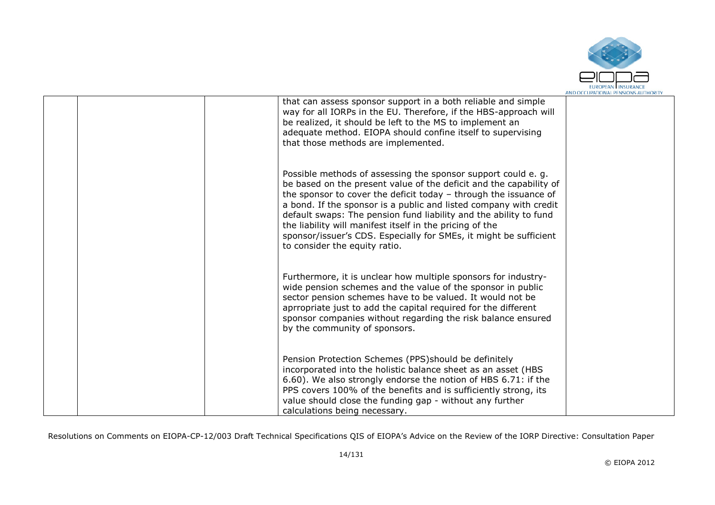

| that can assess sponsor support in a both reliable and simple<br>way for all IORPs in the EU. Therefore, if the HBS-approach will<br>be realized, it should be left to the MS to implement an<br>adequate method. EIOPA should confine itself to supervising<br>that those methods are implemented.                                                                                                                                                                                                                 |  |
|---------------------------------------------------------------------------------------------------------------------------------------------------------------------------------------------------------------------------------------------------------------------------------------------------------------------------------------------------------------------------------------------------------------------------------------------------------------------------------------------------------------------|--|
| Possible methods of assessing the sponsor support could e. g.<br>be based on the present value of the deficit and the capability of<br>the sponsor to cover the deficit today - through the issuance of<br>a bond. If the sponsor is a public and listed company with credit<br>default swaps: The pension fund liability and the ability to fund<br>the liability will manifest itself in the pricing of the<br>sponsor/issuer's CDS. Especially for SMEs, it might be sufficient<br>to consider the equity ratio. |  |
| Furthermore, it is unclear how multiple sponsors for industry-<br>wide pension schemes and the value of the sponsor in public<br>sector pension schemes have to be valued. It would not be<br>aprropriate just to add the capital required for the different<br>sponsor companies without regarding the risk balance ensured<br>by the community of sponsors.                                                                                                                                                       |  |
| Pension Protection Schemes (PPS) should be definitely<br>incorporated into the holistic balance sheet as an asset (HBS<br>6.60). We also strongly endorse the notion of HBS 6.71: if the<br>PPS covers 100% of the benefits and is sufficiently strong, its<br>value should close the funding gap - without any further<br>calculations being necessary.                                                                                                                                                            |  |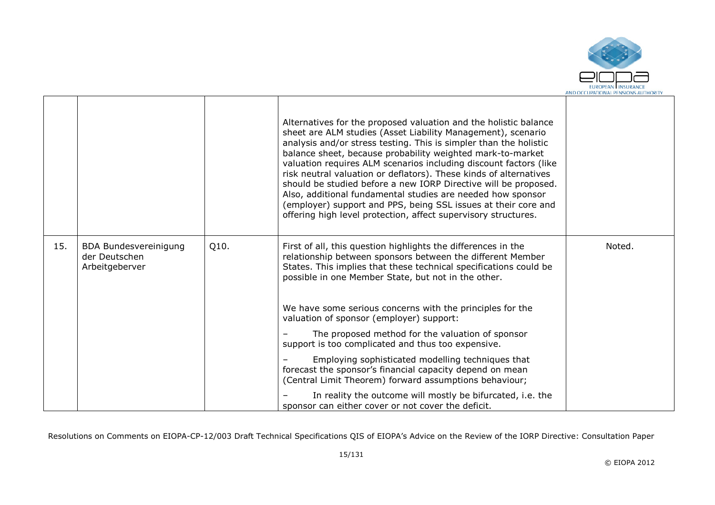

|     |                                                                 |      | Alternatives for the proposed valuation and the holistic balance<br>sheet are ALM studies (Asset Liability Management), scenario<br>analysis and/or stress testing. This is simpler than the holistic<br>balance sheet, because probability weighted mark-to-market<br>valuation requires ALM scenarios including discount factors (like<br>risk neutral valuation or deflators). These kinds of alternatives<br>should be studied before a new IORP Directive will be proposed.<br>Also, additional fundamental studies are needed how sponsor<br>(employer) support and PPS, being SSL issues at their core and<br>offering high level protection, affect supervisory structures. |        |
|-----|-----------------------------------------------------------------|------|-------------------------------------------------------------------------------------------------------------------------------------------------------------------------------------------------------------------------------------------------------------------------------------------------------------------------------------------------------------------------------------------------------------------------------------------------------------------------------------------------------------------------------------------------------------------------------------------------------------------------------------------------------------------------------------|--------|
| 15. | <b>BDA Bundesvereinigung</b><br>der Deutschen<br>Arbeitgeberver | Q10. | First of all, this question highlights the differences in the<br>relationship between sponsors between the different Member<br>States. This implies that these technical specifications could be<br>possible in one Member State, but not in the other.<br>We have some serious concerns with the principles for the                                                                                                                                                                                                                                                                                                                                                                | Noted. |
|     |                                                                 |      | valuation of sponsor (employer) support:                                                                                                                                                                                                                                                                                                                                                                                                                                                                                                                                                                                                                                            |        |
|     |                                                                 |      | The proposed method for the valuation of sponsor<br>support is too complicated and thus too expensive.                                                                                                                                                                                                                                                                                                                                                                                                                                                                                                                                                                              |        |
|     |                                                                 |      | Employing sophisticated modelling techniques that<br>forecast the sponsor's financial capacity depend on mean<br>(Central Limit Theorem) forward assumptions behaviour;                                                                                                                                                                                                                                                                                                                                                                                                                                                                                                             |        |
|     |                                                                 |      | In reality the outcome will mostly be bifurcated, i.e. the<br>sponsor can either cover or not cover the deficit.                                                                                                                                                                                                                                                                                                                                                                                                                                                                                                                                                                    |        |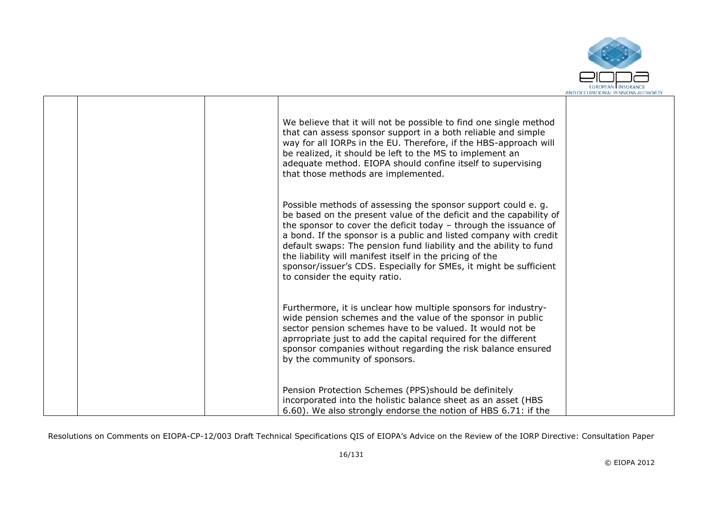

|  | We believe that it will not be possible to find one single method<br>that can assess sponsor support in a both reliable and simple<br>way for all IORPs in the EU. Therefore, if the HBS-approach will<br>be realized, it should be left to the MS to implement an<br>adequate method. EIOPA should confine itself to supervising<br>that those methods are implemented.                                                                                                                                             |  |
|--|----------------------------------------------------------------------------------------------------------------------------------------------------------------------------------------------------------------------------------------------------------------------------------------------------------------------------------------------------------------------------------------------------------------------------------------------------------------------------------------------------------------------|--|
|  | Possible methods of assessing the sponsor support could e.g.<br>be based on the present value of the deficit and the capability of<br>the sponsor to cover the deficit today $-$ through the issuance of<br>a bond. If the sponsor is a public and listed company with credit<br>default swaps: The pension fund liability and the ability to fund<br>the liability will manifest itself in the pricing of the<br>sponsor/issuer's CDS. Especially for SMEs, it might be sufficient<br>to consider the equity ratio. |  |
|  | Furthermore, it is unclear how multiple sponsors for industry-<br>wide pension schemes and the value of the sponsor in public<br>sector pension schemes have to be valued. It would not be<br>aprropriate just to add the capital required for the different<br>sponsor companies without regarding the risk balance ensured<br>by the community of sponsors.                                                                                                                                                        |  |
|  | Pension Protection Schemes (PPS) should be definitely<br>incorporated into the holistic balance sheet as an asset (HBS<br>6.60). We also strongly endorse the notion of HBS 6.71: if the                                                                                                                                                                                                                                                                                                                             |  |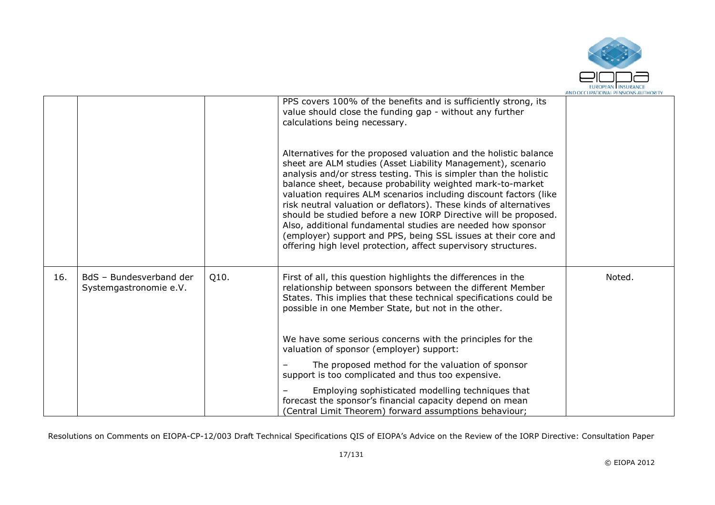

|     |                                                   |      | PPS covers 100% of the benefits and is sufficiently strong, its<br>value should close the funding gap - without any further<br>calculations being necessary.                                                                                                                                                                                                                                                                                                                                                                                                                                                                                                                        |        |
|-----|---------------------------------------------------|------|-------------------------------------------------------------------------------------------------------------------------------------------------------------------------------------------------------------------------------------------------------------------------------------------------------------------------------------------------------------------------------------------------------------------------------------------------------------------------------------------------------------------------------------------------------------------------------------------------------------------------------------------------------------------------------------|--------|
|     |                                                   |      | Alternatives for the proposed valuation and the holistic balance<br>sheet are ALM studies (Asset Liability Management), scenario<br>analysis and/or stress testing. This is simpler than the holistic<br>balance sheet, because probability weighted mark-to-market<br>valuation requires ALM scenarios including discount factors (like<br>risk neutral valuation or deflators). These kinds of alternatives<br>should be studied before a new IORP Directive will be proposed.<br>Also, additional fundamental studies are needed how sponsor<br>(employer) support and PPS, being SSL issues at their core and<br>offering high level protection, affect supervisory structures. |        |
| 16. | BdS - Bundesverband der<br>Systemgastronomie e.V. | Q10. | First of all, this question highlights the differences in the<br>relationship between sponsors between the different Member<br>States. This implies that these technical specifications could be<br>possible in one Member State, but not in the other.                                                                                                                                                                                                                                                                                                                                                                                                                             | Noted. |
|     |                                                   |      | We have some serious concerns with the principles for the<br>valuation of sponsor (employer) support:                                                                                                                                                                                                                                                                                                                                                                                                                                                                                                                                                                               |        |
|     |                                                   |      | The proposed method for the valuation of sponsor<br>support is too complicated and thus too expensive.                                                                                                                                                                                                                                                                                                                                                                                                                                                                                                                                                                              |        |
|     |                                                   |      | Employing sophisticated modelling techniques that<br>forecast the sponsor's financial capacity depend on mean<br>(Central Limit Theorem) forward assumptions behaviour;                                                                                                                                                                                                                                                                                                                                                                                                                                                                                                             |        |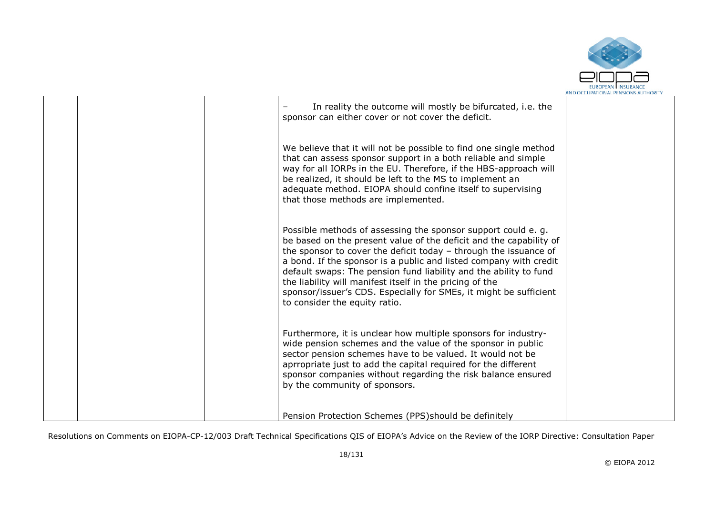

|  | In reality the outcome will mostly be bifurcated, i.e. the<br>sponsor can either cover or not cover the deficit.                                                                                                                                                                                                                                                                                                                                                                                                   |  |
|--|--------------------------------------------------------------------------------------------------------------------------------------------------------------------------------------------------------------------------------------------------------------------------------------------------------------------------------------------------------------------------------------------------------------------------------------------------------------------------------------------------------------------|--|
|  | We believe that it will not be possible to find one single method<br>that can assess sponsor support in a both reliable and simple<br>way for all IORPs in the EU. Therefore, if the HBS-approach will<br>be realized, it should be left to the MS to implement an<br>adequate method. EIOPA should confine itself to supervising<br>that those methods are implemented.                                                                                                                                           |  |
|  | Possible methods of assessing the sponsor support could e.g.<br>be based on the present value of the deficit and the capability of<br>the sponsor to cover the deficit today - through the issuance of<br>a bond. If the sponsor is a public and listed company with credit<br>default swaps: The pension fund liability and the ability to fund<br>the liability will manifest itself in the pricing of the<br>sponsor/issuer's CDS. Especially for SMEs, it might be sufficient<br>to consider the equity ratio. |  |
|  | Furthermore, it is unclear how multiple sponsors for industry-<br>wide pension schemes and the value of the sponsor in public<br>sector pension schemes have to be valued. It would not be<br>aprropriate just to add the capital required for the different<br>sponsor companies without regarding the risk balance ensured<br>by the community of sponsors.                                                                                                                                                      |  |
|  | Pension Protection Schemes (PPS) should be definitely                                                                                                                                                                                                                                                                                                                                                                                                                                                              |  |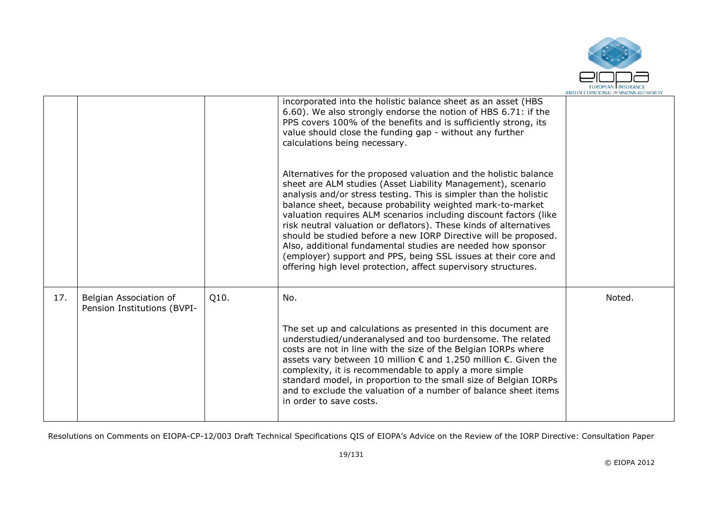

|     |                                                       |      | incorporated into the holistic balance sheet as an asset (HBS<br>6.60). We also strongly endorse the notion of HBS 6.71: if the<br>PPS covers 100% of the benefits and is sufficiently strong, its<br>value should close the funding gap - without any further<br>calculations being necessary.                                                                                                                                                                                                                                                                                                                                                                                     |        |
|-----|-------------------------------------------------------|------|-------------------------------------------------------------------------------------------------------------------------------------------------------------------------------------------------------------------------------------------------------------------------------------------------------------------------------------------------------------------------------------------------------------------------------------------------------------------------------------------------------------------------------------------------------------------------------------------------------------------------------------------------------------------------------------|--------|
|     |                                                       |      | Alternatives for the proposed valuation and the holistic balance<br>sheet are ALM studies (Asset Liability Management), scenario<br>analysis and/or stress testing. This is simpler than the holistic<br>balance sheet, because probability weighted mark-to-market<br>valuation requires ALM scenarios including discount factors (like<br>risk neutral valuation or deflators). These kinds of alternatives<br>should be studied before a new IORP Directive will be proposed.<br>Also, additional fundamental studies are needed how sponsor<br>(employer) support and PPS, being SSL issues at their core and<br>offering high level protection, affect supervisory structures. |        |
| 17. | Belgian Association of<br>Pension Institutions (BVPI- | Q10. | No.                                                                                                                                                                                                                                                                                                                                                                                                                                                                                                                                                                                                                                                                                 | Noted. |
|     |                                                       |      | The set up and calculations as presented in this document are<br>understudied/underanalysed and too burdensome. The related<br>costs are not in line with the size of the Belgian IORPs where<br>assets vary between 10 million $€$ and 1.250 million $€$ . Given the<br>complexity, it is recommendable to apply a more simple<br>standard model, in proportion to the small size of Belgian IORPs<br>and to exclude the valuation of a number of balance sheet items<br>in order to save costs.                                                                                                                                                                                   |        |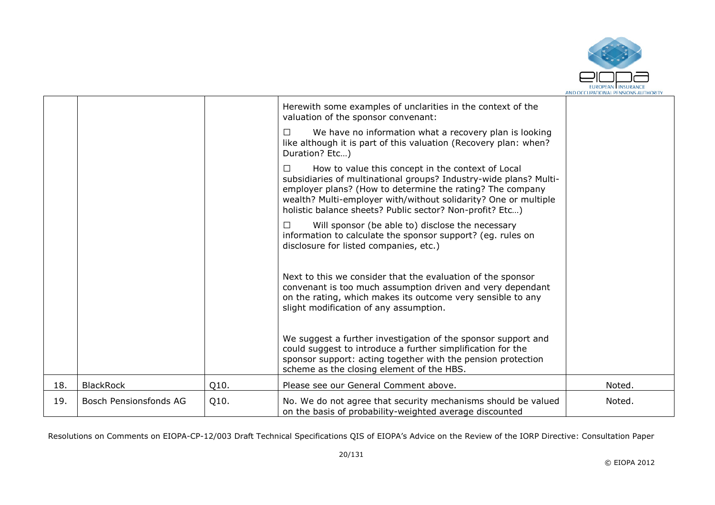

|     |                        |      | Herewith some examples of unclarities in the context of the<br>valuation of the sponsor convenant:                                                                                                                                                                                                                      |        |
|-----|------------------------|------|-------------------------------------------------------------------------------------------------------------------------------------------------------------------------------------------------------------------------------------------------------------------------------------------------------------------------|--------|
|     |                        |      | We have no information what a recovery plan is looking<br>$\Box$<br>like although it is part of this valuation (Recovery plan: when?<br>Duration? Etc)                                                                                                                                                                  |        |
|     |                        |      | How to value this concept in the context of Local<br>П<br>subsidiaries of multinational groups? Industry-wide plans? Multi-<br>employer plans? (How to determine the rating? The company<br>wealth? Multi-employer with/without solidarity? One or multiple<br>holistic balance sheets? Public sector? Non-profit? Etc) |        |
|     |                        |      | Will sponsor (be able to) disclose the necessary<br>$\Box$<br>information to calculate the sponsor support? (eg. rules on<br>disclosure for listed companies, etc.)                                                                                                                                                     |        |
|     |                        |      | Next to this we consider that the evaluation of the sponsor<br>convenant is too much assumption driven and very dependant<br>on the rating, which makes its outcome very sensible to any<br>slight modification of any assumption.                                                                                      |        |
|     |                        |      | We suggest a further investigation of the sponsor support and<br>could suggest to introduce a further simplification for the<br>sponsor support: acting together with the pension protection<br>scheme as the closing element of the HBS.                                                                               |        |
| 18. | <b>BlackRock</b>       | Q10. | Please see our General Comment above.                                                                                                                                                                                                                                                                                   | Noted. |
| 19. | Bosch Pensionsfonds AG | Q10. | No. We do not agree that security mechanisms should be valued<br>on the basis of probability-weighted average discounted                                                                                                                                                                                                | Noted. |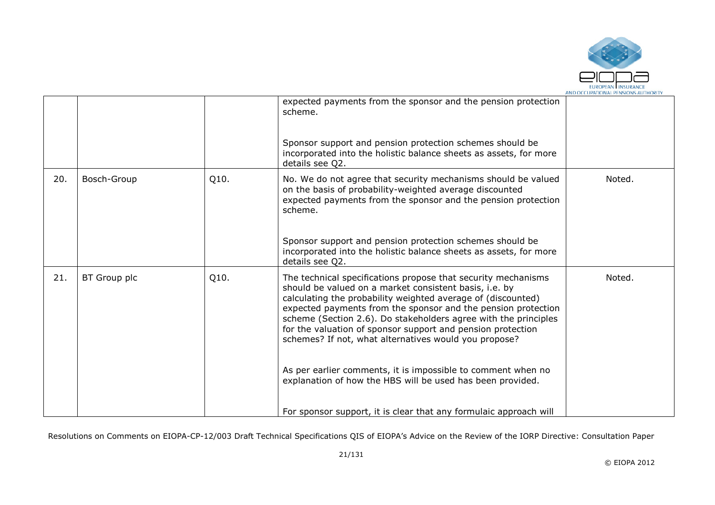

|     |              |      | expected payments from the sponsor and the pension protection<br>scheme.<br>Sponsor support and pension protection schemes should be<br>incorporated into the holistic balance sheets as assets, for more<br>details see Q2.                                                                                                                                                                                                                                                                                                                                                                                                                           |        |
|-----|--------------|------|--------------------------------------------------------------------------------------------------------------------------------------------------------------------------------------------------------------------------------------------------------------------------------------------------------------------------------------------------------------------------------------------------------------------------------------------------------------------------------------------------------------------------------------------------------------------------------------------------------------------------------------------------------|--------|
| 20. | Bosch-Group  | Q10. | No. We do not agree that security mechanisms should be valued<br>on the basis of probability-weighted average discounted<br>expected payments from the sponsor and the pension protection<br>scheme.<br>Sponsor support and pension protection schemes should be<br>incorporated into the holistic balance sheets as assets, for more<br>details see Q2.                                                                                                                                                                                                                                                                                               | Noted. |
| 21. | BT Group plc | Q10. | The technical specifications propose that security mechanisms<br>should be valued on a market consistent basis, i.e. by<br>calculating the probability weighted average of (discounted)<br>expected payments from the sponsor and the pension protection<br>scheme (Section 2.6). Do stakeholders agree with the principles<br>for the valuation of sponsor support and pension protection<br>schemes? If not, what alternatives would you propose?<br>As per earlier comments, it is impossible to comment when no<br>explanation of how the HBS will be used has been provided.<br>For sponsor support, it is clear that any formulaic approach will | Noted. |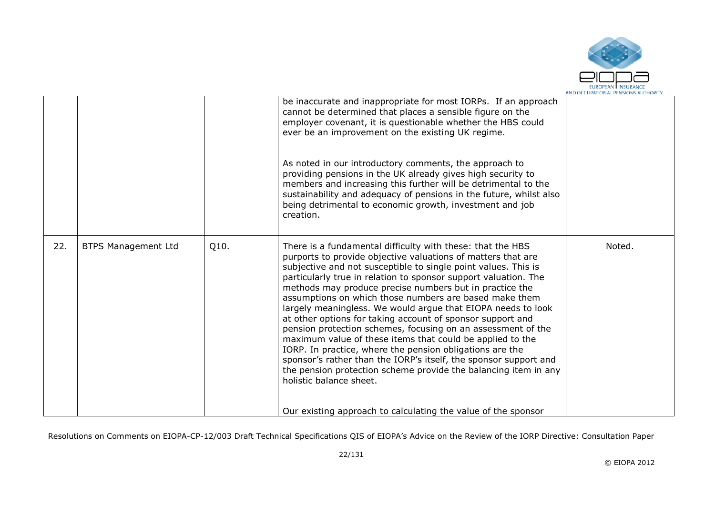

|     |                            |      | be inaccurate and inappropriate for most IORPs. If an approach<br>cannot be determined that places a sensible figure on the<br>employer covenant, it is questionable whether the HBS could<br>ever be an improvement on the existing UK regime.<br>As noted in our introductory comments, the approach to<br>providing pensions in the UK already gives high security to<br>members and increasing this further will be detrimental to the<br>sustainability and adequacy of pensions in the future, whilst also<br>being detrimental to economic growth, investment and job<br>creation.                                                                                                                                                                                                                                                                                                                                                      |        |
|-----|----------------------------|------|------------------------------------------------------------------------------------------------------------------------------------------------------------------------------------------------------------------------------------------------------------------------------------------------------------------------------------------------------------------------------------------------------------------------------------------------------------------------------------------------------------------------------------------------------------------------------------------------------------------------------------------------------------------------------------------------------------------------------------------------------------------------------------------------------------------------------------------------------------------------------------------------------------------------------------------------|--------|
| 22. | <b>BTPS Management Ltd</b> | Q10. | There is a fundamental difficulty with these: that the HBS<br>purports to provide objective valuations of matters that are<br>subjective and not susceptible to single point values. This is<br>particularly true in relation to sponsor support valuation. The<br>methods may produce precise numbers but in practice the<br>assumptions on which those numbers are based make them<br>largely meaningless. We would argue that EIOPA needs to look<br>at other options for taking account of sponsor support and<br>pension protection schemes, focusing on an assessment of the<br>maximum value of these items that could be applied to the<br>IORP. In practice, where the pension obligations are the<br>sponsor's rather than the IORP's itself, the sponsor support and<br>the pension protection scheme provide the balancing item in any<br>holistic balance sheet.<br>Our existing approach to calculating the value of the sponsor | Noted. |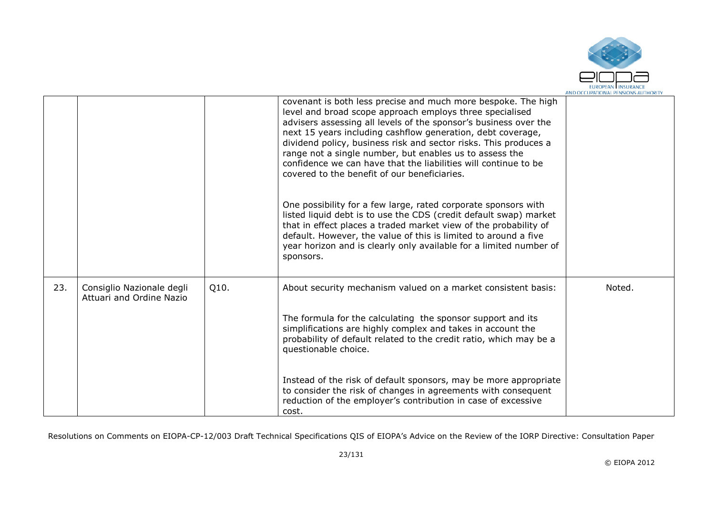

|     |                                                       |      | covenant is both less precise and much more bespoke. The high<br>level and broad scope approach employs three specialised<br>advisers assessing all levels of the sponsor's business over the<br>next 15 years including cashflow generation, debt coverage,<br>dividend policy, business risk and sector risks. This produces a<br>range not a single number, but enables us to assess the<br>confidence we can have that the liabilities will continue to be<br>covered to the benefit of our beneficiaries.<br>One possibility for a few large, rated corporate sponsors with<br>listed liquid debt is to use the CDS (credit default swap) market<br>that in effect places a traded market view of the probability of<br>default. However, the value of this is limited to around a five<br>year horizon and is clearly only available for a limited number of<br>sponsors. |        |
|-----|-------------------------------------------------------|------|---------------------------------------------------------------------------------------------------------------------------------------------------------------------------------------------------------------------------------------------------------------------------------------------------------------------------------------------------------------------------------------------------------------------------------------------------------------------------------------------------------------------------------------------------------------------------------------------------------------------------------------------------------------------------------------------------------------------------------------------------------------------------------------------------------------------------------------------------------------------------------|--------|
| 23. | Consiglio Nazionale degli<br>Attuari and Ordine Nazio | Q10. | About security mechanism valued on a market consistent basis:<br>The formula for the calculating the sponsor support and its<br>simplifications are highly complex and takes in account the<br>probability of default related to the credit ratio, which may be a<br>questionable choice.                                                                                                                                                                                                                                                                                                                                                                                                                                                                                                                                                                                       | Noted. |
|     |                                                       |      | Instead of the risk of default sponsors, may be more appropriate<br>to consider the risk of changes in agreements with consequent<br>reduction of the employer's contribution in case of excessive<br>cost.                                                                                                                                                                                                                                                                                                                                                                                                                                                                                                                                                                                                                                                                     |        |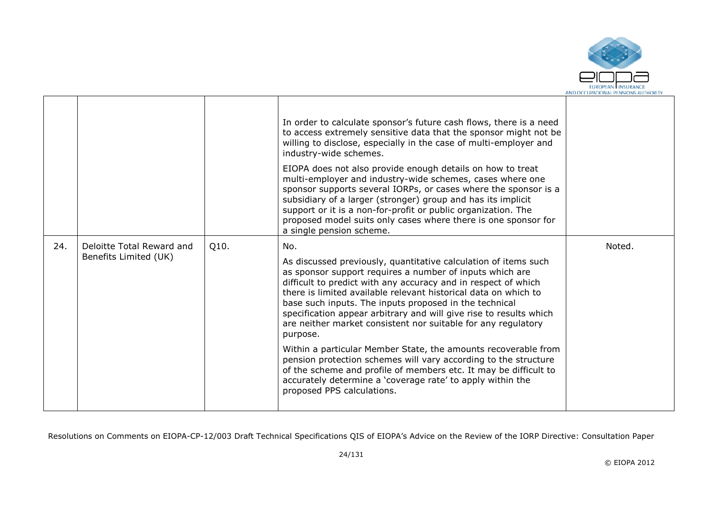

|     |                                                    |      | In order to calculate sponsor's future cash flows, there is a need<br>to access extremely sensitive data that the sponsor might not be<br>willing to disclose, especially in the case of multi-employer and<br>industry-wide schemes.<br>EIOPA does not also provide enough details on how to treat<br>multi-employer and industry-wide schemes, cases where one<br>sponsor supports several IORPs, or cases where the sponsor is a<br>subsidiary of a larger (stronger) group and has its implicit<br>support or it is a non-for-profit or public organization. The<br>proposed model suits only cases where there is one sponsor for<br>a single pension scheme.                                                                                                                        |        |
|-----|----------------------------------------------------|------|-------------------------------------------------------------------------------------------------------------------------------------------------------------------------------------------------------------------------------------------------------------------------------------------------------------------------------------------------------------------------------------------------------------------------------------------------------------------------------------------------------------------------------------------------------------------------------------------------------------------------------------------------------------------------------------------------------------------------------------------------------------------------------------------|--------|
| 24. | Deloitte Total Reward and<br>Benefits Limited (UK) | Q10. | No.<br>As discussed previously, quantitative calculation of items such<br>as sponsor support requires a number of inputs which are<br>difficult to predict with any accuracy and in respect of which<br>there is limited available relevant historical data on which to<br>base such inputs. The inputs proposed in the technical<br>specification appear arbitrary and will give rise to results which<br>are neither market consistent nor suitable for any regulatory<br>purpose.<br>Within a particular Member State, the amounts recoverable from<br>pension protection schemes will vary according to the structure<br>of the scheme and profile of members etc. It may be difficult to<br>accurately determine a 'coverage rate' to apply within the<br>proposed PPS calculations. | Noted. |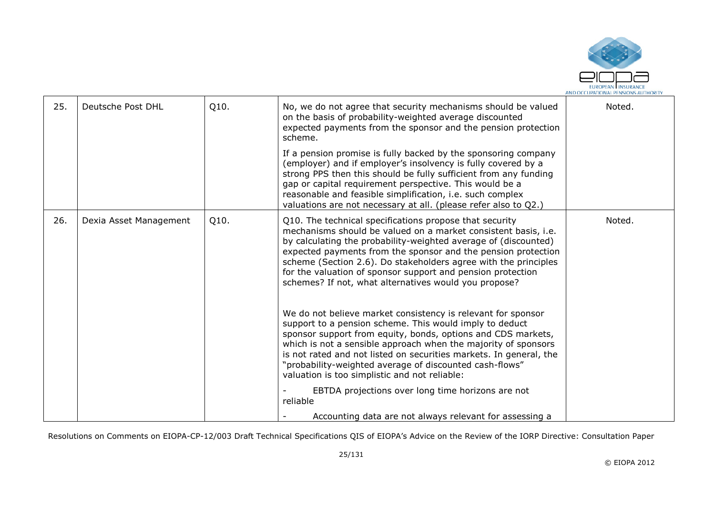

| 25. | Deutsche Post DHL      | Q10. | No, we do not agree that security mechanisms should be valued<br>on the basis of probability-weighted average discounted<br>expected payments from the sponsor and the pension protection<br>scheme.                                                                                                                                                                                                                                                     | Noted. |
|-----|------------------------|------|----------------------------------------------------------------------------------------------------------------------------------------------------------------------------------------------------------------------------------------------------------------------------------------------------------------------------------------------------------------------------------------------------------------------------------------------------------|--------|
|     |                        |      | If a pension promise is fully backed by the sponsoring company<br>(employer) and if employer's insolvency is fully covered by a<br>strong PPS then this should be fully sufficient from any funding<br>gap or capital requirement perspective. This would be a<br>reasonable and feasible simplification, i.e. such complex<br>valuations are not necessary at all. (please refer also to Q2.)                                                           |        |
| 26. | Dexia Asset Management | Q10. | Q10. The technical specifications propose that security<br>mechanisms should be valued on a market consistent basis, i.e.<br>by calculating the probability-weighted average of (discounted)<br>expected payments from the sponsor and the pension protection<br>scheme (Section 2.6). Do stakeholders agree with the principles<br>for the valuation of sponsor support and pension protection<br>schemes? If not, what alternatives would you propose? | Noted. |
|     |                        |      | We do not believe market consistency is relevant for sponsor<br>support to a pension scheme. This would imply to deduct<br>sponsor support from equity, bonds, options and CDS markets,<br>which is not a sensible approach when the majority of sponsors<br>is not rated and not listed on securities markets. In general, the<br>"probability-weighted average of discounted cash-flows"<br>valuation is too simplistic and not reliable:              |        |
|     |                        |      | EBTDA projections over long time horizons are not<br>reliable<br>Accounting data are not always relevant for assessing a                                                                                                                                                                                                                                                                                                                                 |        |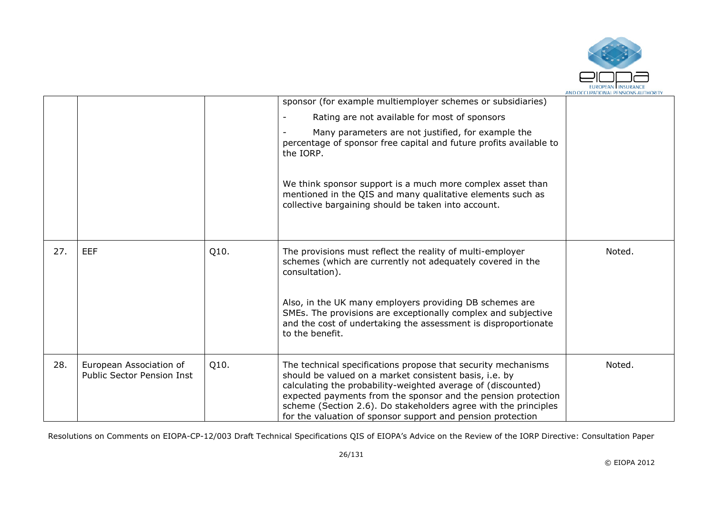

|     |                                                              |      | sponsor (for example multiemployer schemes or subsidiaries)                                                                                                                                                                                                                                                                                                                                |        |
|-----|--------------------------------------------------------------|------|--------------------------------------------------------------------------------------------------------------------------------------------------------------------------------------------------------------------------------------------------------------------------------------------------------------------------------------------------------------------------------------------|--------|
|     |                                                              |      | Rating are not available for most of sponsors                                                                                                                                                                                                                                                                                                                                              |        |
|     |                                                              |      | Many parameters are not justified, for example the<br>percentage of sponsor free capital and future profits available to<br>the IORP.                                                                                                                                                                                                                                                      |        |
|     |                                                              |      | We think sponsor support is a much more complex asset than<br>mentioned in the QIS and many qualitative elements such as<br>collective bargaining should be taken into account.                                                                                                                                                                                                            |        |
| 27. | <b>EEF</b>                                                   | Q10. | The provisions must reflect the reality of multi-employer<br>schemes (which are currently not adequately covered in the<br>consultation).                                                                                                                                                                                                                                                  | Noted. |
|     |                                                              |      | Also, in the UK many employers providing DB schemes are<br>SMEs. The provisions are exceptionally complex and subjective<br>and the cost of undertaking the assessment is disproportionate<br>to the benefit.                                                                                                                                                                              |        |
| 28. | European Association of<br><b>Public Sector Pension Inst</b> | Q10. | The technical specifications propose that security mechanisms<br>should be valued on a market consistent basis, i.e. by<br>calculating the probability-weighted average of (discounted)<br>expected payments from the sponsor and the pension protection<br>scheme (Section 2.6). Do stakeholders agree with the principles<br>for the valuation of sponsor support and pension protection | Noted. |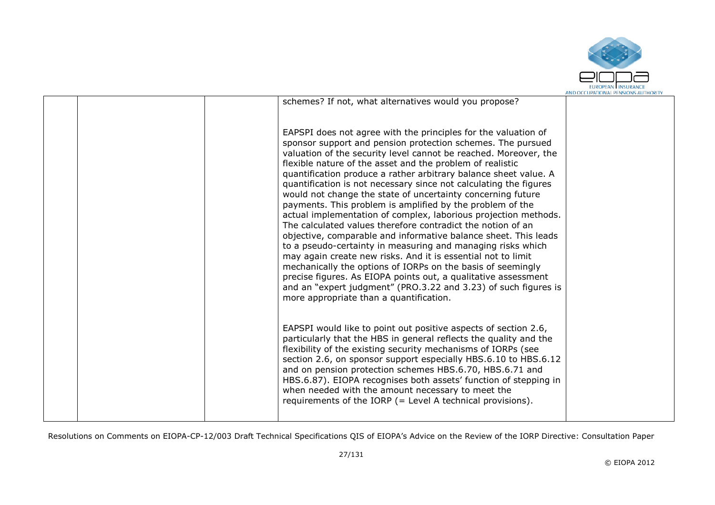

|  |                                                                                                                                                                                                                                                                                                                                                                                                                                                                                                                                                                                                                                                                                                                                                                                                                                                                                                                                                                                                                                                                                                                        | AND OCCUPATIONAL FENSIONS AUTHONITY |
|--|------------------------------------------------------------------------------------------------------------------------------------------------------------------------------------------------------------------------------------------------------------------------------------------------------------------------------------------------------------------------------------------------------------------------------------------------------------------------------------------------------------------------------------------------------------------------------------------------------------------------------------------------------------------------------------------------------------------------------------------------------------------------------------------------------------------------------------------------------------------------------------------------------------------------------------------------------------------------------------------------------------------------------------------------------------------------------------------------------------------------|-------------------------------------|
|  | schemes? If not, what alternatives would you propose?                                                                                                                                                                                                                                                                                                                                                                                                                                                                                                                                                                                                                                                                                                                                                                                                                                                                                                                                                                                                                                                                  |                                     |
|  | EAPSPI does not agree with the principles for the valuation of<br>sponsor support and pension protection schemes. The pursued<br>valuation of the security level cannot be reached. Moreover, the<br>flexible nature of the asset and the problem of realistic<br>quantification produce a rather arbitrary balance sheet value. A<br>quantification is not necessary since not calculating the figures<br>would not change the state of uncertainty concerning future<br>payments. This problem is amplified by the problem of the<br>actual implementation of complex, laborious projection methods.<br>The calculated values therefore contradict the notion of an<br>objective, comparable and informative balance sheet. This leads<br>to a pseudo-certainty in measuring and managing risks which<br>may again create new risks. And it is essential not to limit<br>mechanically the options of IORPs on the basis of seemingly<br>precise figures. As EIOPA points out, a qualitative assessment<br>and an "expert judgment" (PRO.3.22 and 3.23) of such figures is<br>more appropriate than a quantification. |                                     |
|  | EAPSPI would like to point out positive aspects of section 2.6,<br>particularly that the HBS in general reflects the quality and the<br>flexibility of the existing security mechanisms of IORPs (see<br>section 2.6, on sponsor support especially HBS.6.10 to HBS.6.12<br>and on pension protection schemes HBS.6.70, HBS.6.71 and<br>HBS.6.87). EIOPA recognises both assets' function of stepping in<br>when needed with the amount necessary to meet the<br>requirements of the IORP (= Level A technical provisions).                                                                                                                                                                                                                                                                                                                                                                                                                                                                                                                                                                                            |                                     |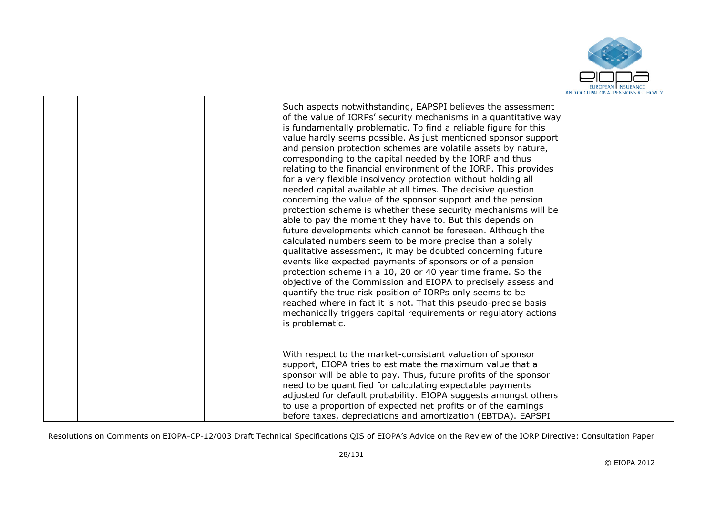

|  | Such aspects notwithstanding, EAPSPI believes the assessment<br>of the value of IORPs' security mechanisms in a quantitative way<br>is fundamentally problematic. To find a reliable figure for this<br>value hardly seems possible. As just mentioned sponsor support<br>and pension protection schemes are volatile assets by nature,<br>corresponding to the capital needed by the IORP and thus<br>relating to the financial environment of the IORP. This provides<br>for a very flexible insolvency protection without holding all<br>needed capital available at all times. The decisive question<br>concerning the value of the sponsor support and the pension<br>protection scheme is whether these security mechanisms will be<br>able to pay the moment they have to. But this depends on<br>future developments which cannot be foreseen. Although the<br>calculated numbers seem to be more precise than a solely<br>qualitative assessment, it may be doubted concerning future<br>events like expected payments of sponsors or of a pension<br>protection scheme in a 10, 20 or 40 year time frame. So the<br>objective of the Commission and EIOPA to precisely assess and<br>quantify the true risk position of IORPs only seems to be<br>reached where in fact it is not. That this pseudo-precise basis<br>mechanically triggers capital requirements or regulatory actions<br>is problematic. |  |
|--|--------------------------------------------------------------------------------------------------------------------------------------------------------------------------------------------------------------------------------------------------------------------------------------------------------------------------------------------------------------------------------------------------------------------------------------------------------------------------------------------------------------------------------------------------------------------------------------------------------------------------------------------------------------------------------------------------------------------------------------------------------------------------------------------------------------------------------------------------------------------------------------------------------------------------------------------------------------------------------------------------------------------------------------------------------------------------------------------------------------------------------------------------------------------------------------------------------------------------------------------------------------------------------------------------------------------------------------------------------------------------------------------------------------------|--|
|  | With respect to the market-consistant valuation of sponsor<br>support, EIOPA tries to estimate the maximum value that a<br>sponsor will be able to pay. Thus, future profits of the sponsor<br>need to be quantified for calculating expectable payments<br>adjusted for default probability. EIOPA suggests amongst others<br>to use a proportion of expected net profits or of the earnings<br>before taxes, depreciations and amortization (EBTDA). EAPSPI                                                                                                                                                                                                                                                                                                                                                                                                                                                                                                                                                                                                                                                                                                                                                                                                                                                                                                                                                      |  |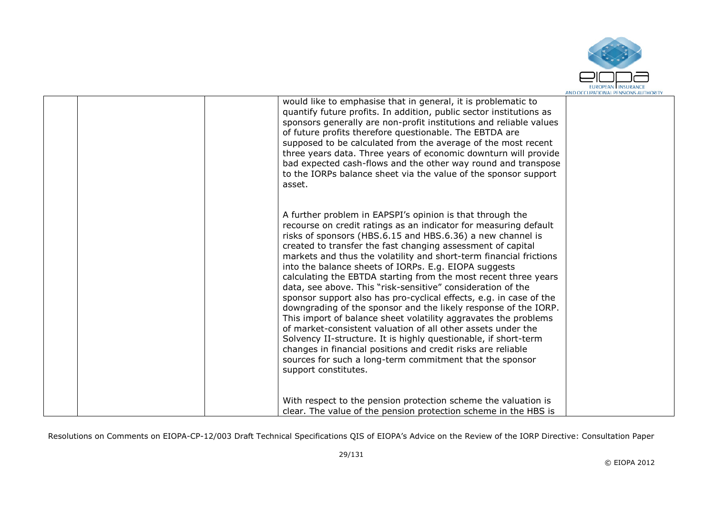

| would like to emphasise that in general, it is problematic to<br>quantify future profits. In addition, public sector institutions as<br>sponsors generally are non-profit institutions and reliable values<br>of future profits therefore questionable. The EBTDA are<br>supposed to be calculated from the average of the most recent<br>three years data. Three years of economic downturn will provide<br>bad expected cash-flows and the other way round and transpose<br>to the IORPs balance sheet via the value of the sponsor support<br>asset.                                                                                                                                                                                                                                                                                                                                                                                                                                                                        |  |
|--------------------------------------------------------------------------------------------------------------------------------------------------------------------------------------------------------------------------------------------------------------------------------------------------------------------------------------------------------------------------------------------------------------------------------------------------------------------------------------------------------------------------------------------------------------------------------------------------------------------------------------------------------------------------------------------------------------------------------------------------------------------------------------------------------------------------------------------------------------------------------------------------------------------------------------------------------------------------------------------------------------------------------|--|
| A further problem in EAPSPI's opinion is that through the<br>recourse on credit ratings as an indicator for measuring default<br>risks of sponsors (HBS.6.15 and HBS.6.36) a new channel is<br>created to transfer the fast changing assessment of capital<br>markets and thus the volatility and short-term financial frictions<br>into the balance sheets of IORPs. E.g. EIOPA suggests<br>calculating the EBTDA starting from the most recent three years<br>data, see above. This "risk-sensitive" consideration of the<br>sponsor support also has pro-cyclical effects, e.g. in case of the<br>downgrading of the sponsor and the likely response of the IORP.<br>This import of balance sheet volatility aggravates the problems<br>of market-consistent valuation of all other assets under the<br>Solvency II-structure. It is highly questionable, if short-term<br>changes in financial positions and credit risks are reliable<br>sources for such a long-term commitment that the sponsor<br>support constitutes. |  |
| With respect to the pension protection scheme the valuation is<br>clear. The value of the pension protection scheme in the HBS is                                                                                                                                                                                                                                                                                                                                                                                                                                                                                                                                                                                                                                                                                                                                                                                                                                                                                              |  |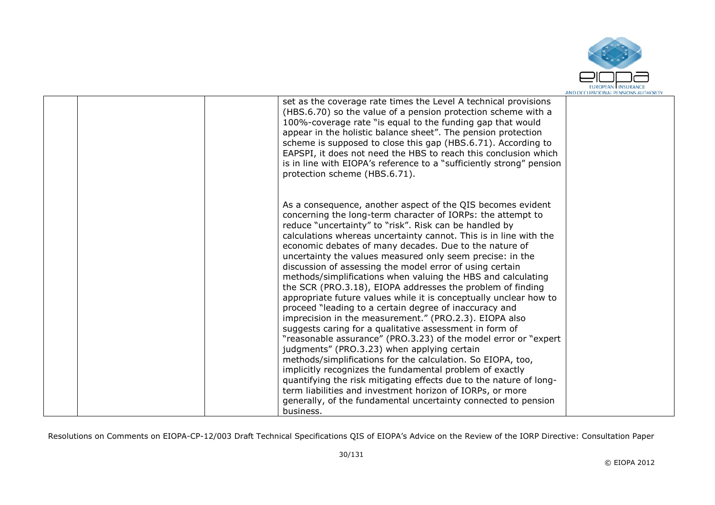

| set as the coverage rate times the Level A technical provisions<br>(HBS.6.70) so the value of a pension protection scheme with a<br>100%-coverage rate "is equal to the funding gap that would<br>appear in the holistic balance sheet". The pension protection<br>scheme is supposed to close this gap (HBS.6.71). According to<br>EAPSPI, it does not need the HBS to reach this conclusion which<br>is in line with EIOPA's reference to a "sufficiently strong" pension<br>protection scheme (HBS.6.71).                                                                                                                                                                                                                                                                                                                                                                                                                                                                                                                                                                                                                                                                                                                                                                                  |  |
|-----------------------------------------------------------------------------------------------------------------------------------------------------------------------------------------------------------------------------------------------------------------------------------------------------------------------------------------------------------------------------------------------------------------------------------------------------------------------------------------------------------------------------------------------------------------------------------------------------------------------------------------------------------------------------------------------------------------------------------------------------------------------------------------------------------------------------------------------------------------------------------------------------------------------------------------------------------------------------------------------------------------------------------------------------------------------------------------------------------------------------------------------------------------------------------------------------------------------------------------------------------------------------------------------|--|
| As a consequence, another aspect of the QIS becomes evident<br>concerning the long-term character of IORPs: the attempt to<br>reduce "uncertainty" to "risk". Risk can be handled by<br>calculations whereas uncertainty cannot. This is in line with the<br>economic debates of many decades. Due to the nature of<br>uncertainty the values measured only seem precise: in the<br>discussion of assessing the model error of using certain<br>methods/simplifications when valuing the HBS and calculating<br>the SCR (PRO.3.18), EIOPA addresses the problem of finding<br>appropriate future values while it is conceptually unclear how to<br>proceed "leading to a certain degree of inaccuracy and<br>imprecision in the measurement." (PRO.2.3). EIOPA also<br>suggests caring for a qualitative assessment in form of<br>"reasonable assurance" (PRO.3.23) of the model error or "expert<br>judgments" (PRO.3.23) when applying certain<br>methods/simplifications for the calculation. So EIOPA, too,<br>implicitly recognizes the fundamental problem of exactly<br>quantifying the risk mitigating effects due to the nature of long-<br>term liabilities and investment horizon of IORPs, or more<br>generally, of the fundamental uncertainty connected to pension<br>business. |  |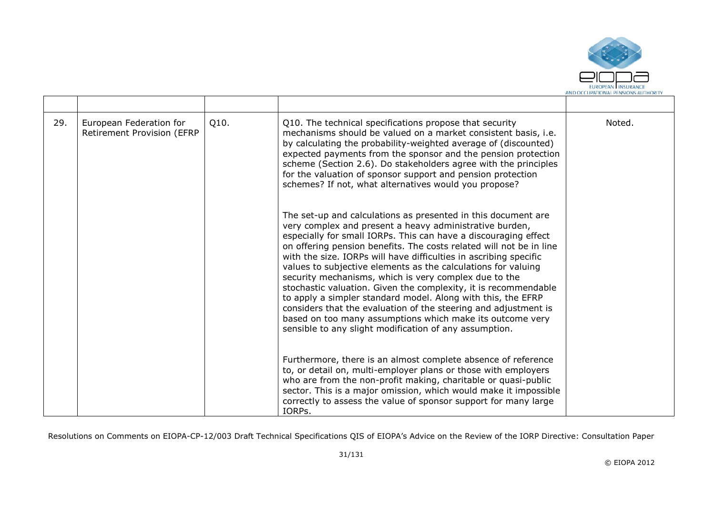

| 29. | European Federation for<br>Retirement Provision (EFRP | Q10. | Q10. The technical specifications propose that security<br>mechanisms should be valued on a market consistent basis, i.e.<br>by calculating the probability-weighted average of (discounted)<br>expected payments from the sponsor and the pension protection<br>scheme (Section 2.6). Do stakeholders agree with the principles<br>for the valuation of sponsor support and pension protection<br>schemes? If not, what alternatives would you propose?                                                                                                                                                                                                                                                                                                                                       | Noted. |
|-----|-------------------------------------------------------|------|------------------------------------------------------------------------------------------------------------------------------------------------------------------------------------------------------------------------------------------------------------------------------------------------------------------------------------------------------------------------------------------------------------------------------------------------------------------------------------------------------------------------------------------------------------------------------------------------------------------------------------------------------------------------------------------------------------------------------------------------------------------------------------------------|--------|
|     |                                                       |      | The set-up and calculations as presented in this document are<br>very complex and present a heavy administrative burden,<br>especially for small IORPs. This can have a discouraging effect<br>on offering pension benefits. The costs related will not be in line<br>with the size. IORPs will have difficulties in ascribing specific<br>values to subjective elements as the calculations for valuing<br>security mechanisms, which is very complex due to the<br>stochastic valuation. Given the complexity, it is recommendable<br>to apply a simpler standard model. Along with this, the EFRP<br>considers that the evaluation of the steering and adjustment is<br>based on too many assumptions which make its outcome very<br>sensible to any slight modification of any assumption. |        |
|     |                                                       |      | Furthermore, there is an almost complete absence of reference<br>to, or detail on, multi-employer plans or those with employers<br>who are from the non-profit making, charitable or quasi-public<br>sector. This is a major omission, which would make it impossible<br>correctly to assess the value of sponsor support for many large<br>IORPs.                                                                                                                                                                                                                                                                                                                                                                                                                                             |        |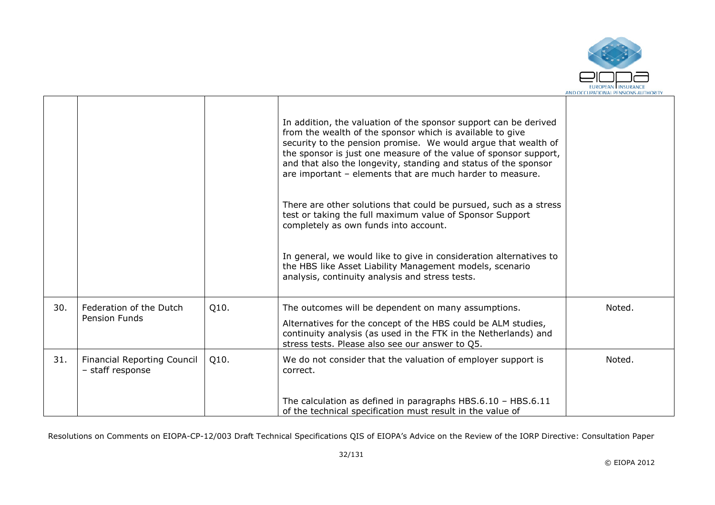

|     |                                                        |      | In addition, the valuation of the sponsor support can be derived<br>from the wealth of the sponsor which is available to give<br>security to the pension promise. We would argue that wealth of<br>the sponsor is just one measure of the value of sponsor support,<br>and that also the longevity, standing and status of the sponsor<br>are important - elements that are much harder to measure.<br>There are other solutions that could be pursued, such as a stress<br>test or taking the full maximum value of Sponsor Support<br>completely as own funds into account.<br>In general, we would like to give in consideration alternatives to<br>the HBS like Asset Liability Management models, scenario<br>analysis, continuity analysis and stress tests. |        |
|-----|--------------------------------------------------------|------|--------------------------------------------------------------------------------------------------------------------------------------------------------------------------------------------------------------------------------------------------------------------------------------------------------------------------------------------------------------------------------------------------------------------------------------------------------------------------------------------------------------------------------------------------------------------------------------------------------------------------------------------------------------------------------------------------------------------------------------------------------------------|--------|
| 30. | Federation of the Dutch<br><b>Pension Funds</b>        | Q10. | The outcomes will be dependent on many assumptions.<br>Alternatives for the concept of the HBS could be ALM studies,<br>continuity analysis (as used in the FTK in the Netherlands) and<br>stress tests. Please also see our answer to Q5.                                                                                                                                                                                                                                                                                                                                                                                                                                                                                                                         | Noted. |
| 31. | <b>Financial Reporting Council</b><br>- staff response | Q10. | We do not consider that the valuation of employer support is<br>correct.                                                                                                                                                                                                                                                                                                                                                                                                                                                                                                                                                                                                                                                                                           | Noted. |
|     |                                                        |      | The calculation as defined in paragraphs HBS.6.10 - HBS.6.11<br>of the technical specification must result in the value of                                                                                                                                                                                                                                                                                                                                                                                                                                                                                                                                                                                                                                         |        |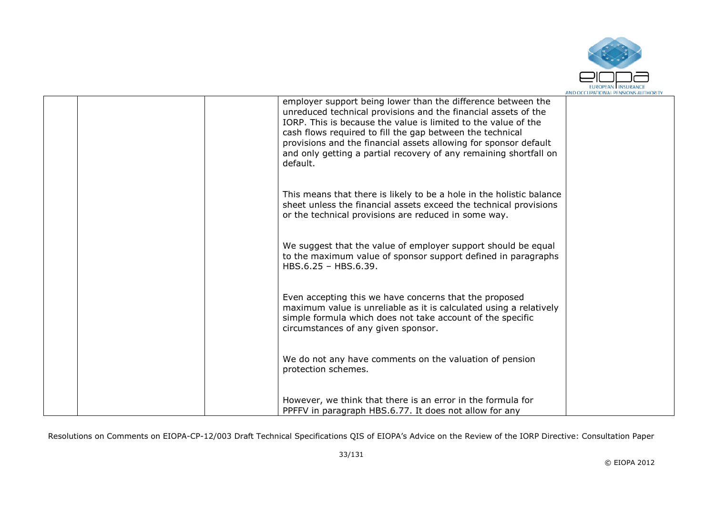

|  | employer support being lower than the difference between the<br>unreduced technical provisions and the financial assets of the<br>IORP. This is because the value is limited to the value of the<br>cash flows required to fill the gap between the technical<br>provisions and the financial assets allowing for sponsor default<br>and only getting a partial recovery of any remaining shortfall on<br>default. |  |
|--|--------------------------------------------------------------------------------------------------------------------------------------------------------------------------------------------------------------------------------------------------------------------------------------------------------------------------------------------------------------------------------------------------------------------|--|
|  | This means that there is likely to be a hole in the holistic balance<br>sheet unless the financial assets exceed the technical provisions<br>or the technical provisions are reduced in some way.                                                                                                                                                                                                                  |  |
|  | We suggest that the value of employer support should be equal<br>to the maximum value of sponsor support defined in paragraphs<br>HBS.6.25 - HBS.6.39.                                                                                                                                                                                                                                                             |  |
|  | Even accepting this we have concerns that the proposed<br>maximum value is unreliable as it is calculated using a relatively<br>simple formula which does not take account of the specific<br>circumstances of any given sponsor.                                                                                                                                                                                  |  |
|  | We do not any have comments on the valuation of pension<br>protection schemes.                                                                                                                                                                                                                                                                                                                                     |  |
|  | However, we think that there is an error in the formula for<br>PPFFV in paragraph HBS.6.77. It does not allow for any                                                                                                                                                                                                                                                                                              |  |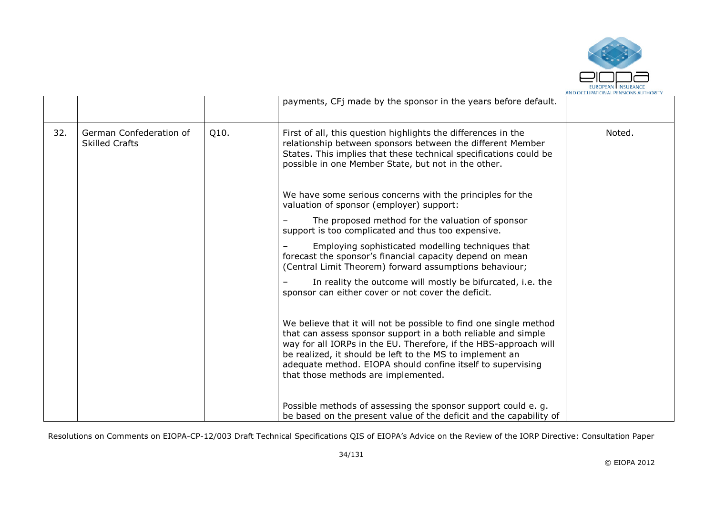

|     |                                                  |      | payments, CFj made by the sponsor in the years before default.                                                                                                                                                                                                                                                                                                           |        |
|-----|--------------------------------------------------|------|--------------------------------------------------------------------------------------------------------------------------------------------------------------------------------------------------------------------------------------------------------------------------------------------------------------------------------------------------------------------------|--------|
| 32. | German Confederation of<br><b>Skilled Crafts</b> | Q10. | First of all, this question highlights the differences in the<br>relationship between sponsors between the different Member<br>States. This implies that these technical specifications could be<br>possible in one Member State, but not in the other.                                                                                                                  | Noted. |
|     |                                                  |      | We have some serious concerns with the principles for the<br>valuation of sponsor (employer) support:                                                                                                                                                                                                                                                                    |        |
|     |                                                  |      | The proposed method for the valuation of sponsor<br>support is too complicated and thus too expensive.                                                                                                                                                                                                                                                                   |        |
|     |                                                  |      | Employing sophisticated modelling techniques that<br>forecast the sponsor's financial capacity depend on mean<br>(Central Limit Theorem) forward assumptions behaviour;                                                                                                                                                                                                  |        |
|     |                                                  |      | In reality the outcome will mostly be bifurcated, i.e. the<br>sponsor can either cover or not cover the deficit.                                                                                                                                                                                                                                                         |        |
|     |                                                  |      | We believe that it will not be possible to find one single method<br>that can assess sponsor support in a both reliable and simple<br>way for all IORPs in the EU. Therefore, if the HBS-approach will<br>be realized, it should be left to the MS to implement an<br>adequate method. EIOPA should confine itself to supervising<br>that those methods are implemented. |        |
|     |                                                  |      | Possible methods of assessing the sponsor support could e.g.<br>be based on the present value of the deficit and the capability of                                                                                                                                                                                                                                       |        |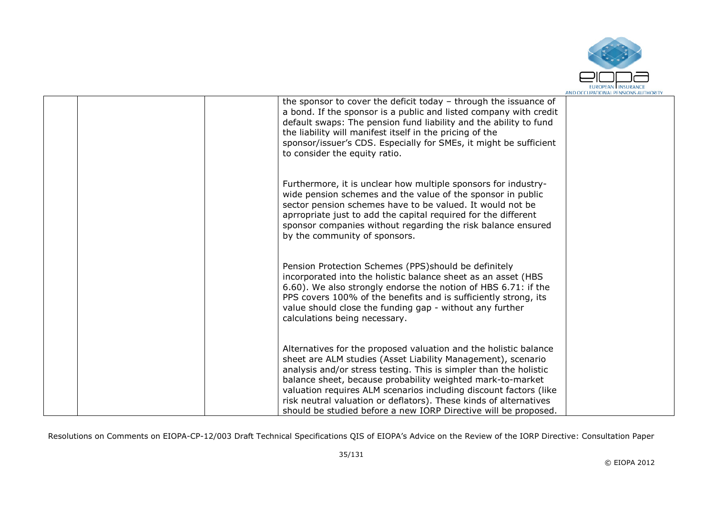

|  | the sponsor to cover the deficit today - through the issuance of<br>a bond. If the sponsor is a public and listed company with credit<br>default swaps: The pension fund liability and the ability to fund<br>the liability will manifest itself in the pricing of the<br>sponsor/issuer's CDS. Especially for SMEs, it might be sufficient<br>to consider the equity ratio.                                                                                                     |  |
|--|----------------------------------------------------------------------------------------------------------------------------------------------------------------------------------------------------------------------------------------------------------------------------------------------------------------------------------------------------------------------------------------------------------------------------------------------------------------------------------|--|
|  | Furthermore, it is unclear how multiple sponsors for industry-<br>wide pension schemes and the value of the sponsor in public<br>sector pension schemes have to be valued. It would not be<br>aprropriate just to add the capital required for the different<br>sponsor companies without regarding the risk balance ensured<br>by the community of sponsors.                                                                                                                    |  |
|  | Pension Protection Schemes (PPS) should be definitely<br>incorporated into the holistic balance sheet as an asset (HBS<br>6.60). We also strongly endorse the notion of HBS 6.71: if the<br>PPS covers 100% of the benefits and is sufficiently strong, its<br>value should close the funding gap - without any further<br>calculations being necessary.                                                                                                                         |  |
|  | Alternatives for the proposed valuation and the holistic balance<br>sheet are ALM studies (Asset Liability Management), scenario<br>analysis and/or stress testing. This is simpler than the holistic<br>balance sheet, because probability weighted mark-to-market<br>valuation requires ALM scenarios including discount factors (like<br>risk neutral valuation or deflators). These kinds of alternatives<br>should be studied before a new IORP Directive will be proposed. |  |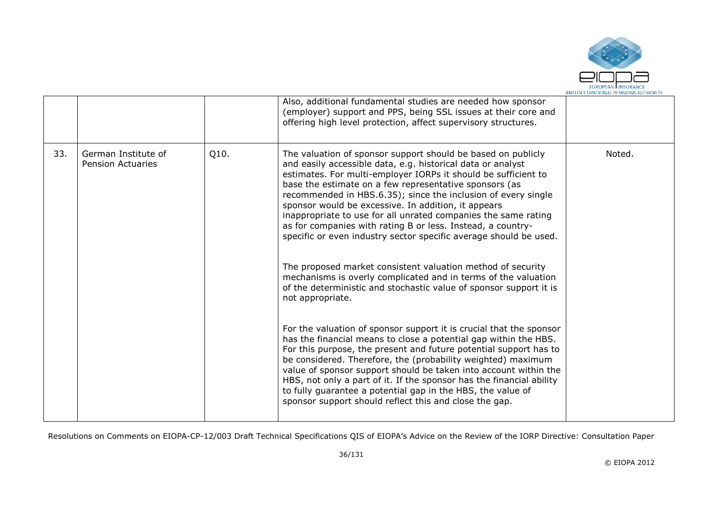

|     |                                                 |      | Also, additional fundamental studies are needed how sponsor<br>(employer) support and PPS, being SSL issues at their core and<br>offering high level protection, affect supervisory structures.                                                                                                                                                                                                                                                                                                                                                                                                                                                                                                                                                                                                                                                                                                                                                             |        |
|-----|-------------------------------------------------|------|-------------------------------------------------------------------------------------------------------------------------------------------------------------------------------------------------------------------------------------------------------------------------------------------------------------------------------------------------------------------------------------------------------------------------------------------------------------------------------------------------------------------------------------------------------------------------------------------------------------------------------------------------------------------------------------------------------------------------------------------------------------------------------------------------------------------------------------------------------------------------------------------------------------------------------------------------------------|--------|
| 33. | German Institute of<br><b>Pension Actuaries</b> | Q10. | The valuation of sponsor support should be based on publicly<br>and easily accessible data, e.g. historical data or analyst<br>estimates. For multi-employer IORPs it should be sufficient to<br>base the estimate on a few representative sponsors (as<br>recommended in HBS.6.35); since the inclusion of every single<br>sponsor would be excessive. In addition, it appears<br>inappropriate to use for all unrated companies the same rating<br>as for companies with rating B or less. Instead, a country-<br>specific or even industry sector specific average should be used.<br>The proposed market consistent valuation method of security<br>mechanisms is overly complicated and in terms of the valuation<br>of the deterministic and stochastic value of sponsor support it is<br>not appropriate.<br>For the valuation of sponsor support it is crucial that the sponsor<br>has the financial means to close a potential gap within the HBS. | Noted. |
|     |                                                 |      | For this purpose, the present and future potential support has to<br>be considered. Therefore, the (probability weighted) maximum<br>value of sponsor support should be taken into account within the<br>HBS, not only a part of it. If the sponsor has the financial ability<br>to fully guarantee a potential gap in the HBS, the value of<br>sponsor support should reflect this and close the gap.                                                                                                                                                                                                                                                                                                                                                                                                                                                                                                                                                      |        |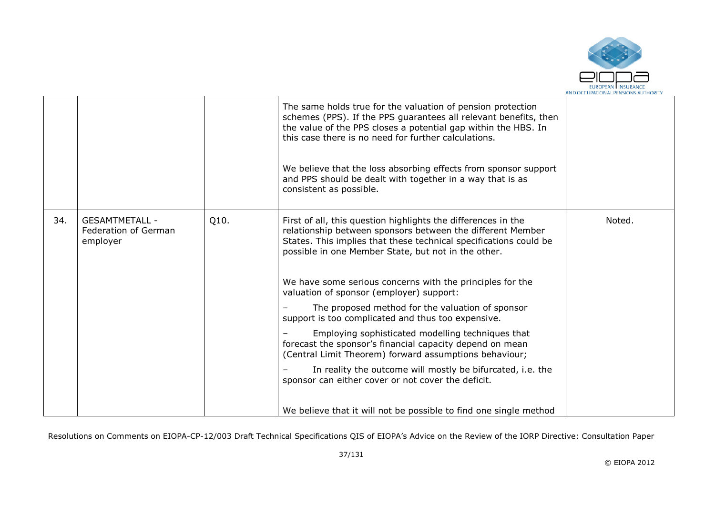

|     |                                                           |      | The same holds true for the valuation of pension protection<br>schemes (PPS). If the PPS guarantees all relevant benefits, then<br>the value of the PPS closes a potential gap within the HBS. In<br>this case there is no need for further calculations.<br>We believe that the loss absorbing effects from sponsor support<br>and PPS should be dealt with together in a way that is as<br>consistent as possible.                                                                                                                                                                                                                                                                                                                                                      |        |
|-----|-----------------------------------------------------------|------|---------------------------------------------------------------------------------------------------------------------------------------------------------------------------------------------------------------------------------------------------------------------------------------------------------------------------------------------------------------------------------------------------------------------------------------------------------------------------------------------------------------------------------------------------------------------------------------------------------------------------------------------------------------------------------------------------------------------------------------------------------------------------|--------|
| 34. | <b>GESAMTMETALL -</b><br>Federation of German<br>employer | Q10. | First of all, this question highlights the differences in the<br>relationship between sponsors between the different Member<br>States. This implies that these technical specifications could be<br>possible in one Member State, but not in the other.<br>We have some serious concerns with the principles for the<br>valuation of sponsor (employer) support:<br>The proposed method for the valuation of sponsor<br>support is too complicated and thus too expensive.<br>Employing sophisticated modelling techniques that<br>forecast the sponsor's financial capacity depend on mean<br>(Central Limit Theorem) forward assumptions behaviour;<br>In reality the outcome will mostly be bifurcated, i.e. the<br>sponsor can either cover or not cover the deficit. | Noted. |
|     |                                                           |      | We believe that it will not be possible to find one single method                                                                                                                                                                                                                                                                                                                                                                                                                                                                                                                                                                                                                                                                                                         |        |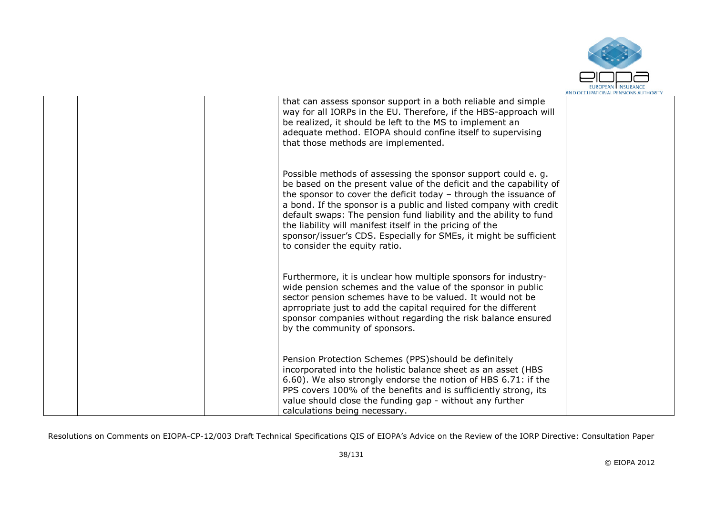

| that can assess sponsor support in a both reliable and simple<br>way for all IORPs in the EU. Therefore, if the HBS-approach will<br>be realized, it should be left to the MS to implement an<br>adequate method. EIOPA should confine itself to supervising<br>that those methods are implemented.                                                                                                                                                                                                                 |  |
|---------------------------------------------------------------------------------------------------------------------------------------------------------------------------------------------------------------------------------------------------------------------------------------------------------------------------------------------------------------------------------------------------------------------------------------------------------------------------------------------------------------------|--|
| Possible methods of assessing the sponsor support could e. g.<br>be based on the present value of the deficit and the capability of<br>the sponsor to cover the deficit today - through the issuance of<br>a bond. If the sponsor is a public and listed company with credit<br>default swaps: The pension fund liability and the ability to fund<br>the liability will manifest itself in the pricing of the<br>sponsor/issuer's CDS. Especially for SMEs, it might be sufficient<br>to consider the equity ratio. |  |
| Furthermore, it is unclear how multiple sponsors for industry-<br>wide pension schemes and the value of the sponsor in public<br>sector pension schemes have to be valued. It would not be<br>aprropriate just to add the capital required for the different<br>sponsor companies without regarding the risk balance ensured<br>by the community of sponsors.                                                                                                                                                       |  |
| Pension Protection Schemes (PPS) should be definitely<br>incorporated into the holistic balance sheet as an asset (HBS<br>6.60). We also strongly endorse the notion of HBS 6.71: if the<br>PPS covers 100% of the benefits and is sufficiently strong, its<br>value should close the funding gap - without any further<br>calculations being necessary.                                                                                                                                                            |  |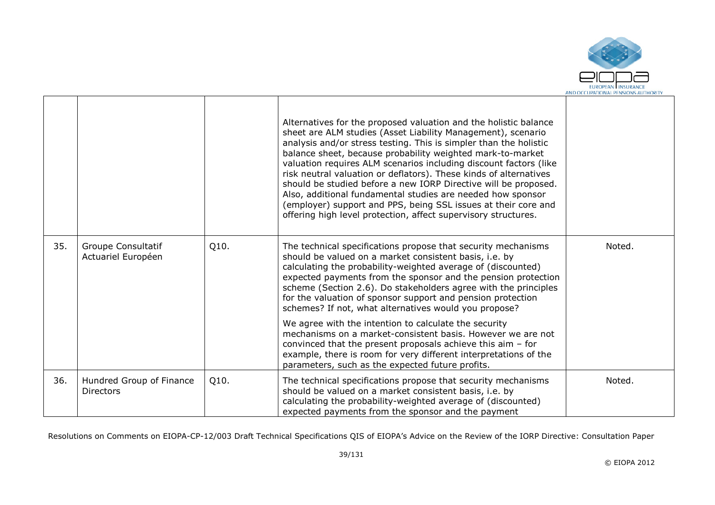

|     |                                              |      | Alternatives for the proposed valuation and the holistic balance<br>sheet are ALM studies (Asset Liability Management), scenario<br>analysis and/or stress testing. This is simpler than the holistic<br>balance sheet, because probability weighted mark-to-market<br>valuation requires ALM scenarios including discount factors (like<br>risk neutral valuation or deflators). These kinds of alternatives<br>should be studied before a new IORP Directive will be proposed.<br>Also, additional fundamental studies are needed how sponsor<br>(employer) support and PPS, being SSL issues at their core and<br>offering high level protection, affect supervisory structures.                              |        |
|-----|----------------------------------------------|------|------------------------------------------------------------------------------------------------------------------------------------------------------------------------------------------------------------------------------------------------------------------------------------------------------------------------------------------------------------------------------------------------------------------------------------------------------------------------------------------------------------------------------------------------------------------------------------------------------------------------------------------------------------------------------------------------------------------|--------|
| 35. | Groupe Consultatif<br>Actuariel Européen     | Q10. | The technical specifications propose that security mechanisms<br>should be valued on a market consistent basis, i.e. by<br>calculating the probability-weighted average of (discounted)<br>expected payments from the sponsor and the pension protection<br>scheme (Section 2.6). Do stakeholders agree with the principles<br>for the valuation of sponsor support and pension protection<br>schemes? If not, what alternatives would you propose?<br>We agree with the intention to calculate the security<br>mechanisms on a market-consistent basis. However we are not<br>convinced that the present proposals achieve this aim $-$ for<br>example, there is room for very different interpretations of the | Noted. |
|     |                                              |      | parameters, such as the expected future profits.                                                                                                                                                                                                                                                                                                                                                                                                                                                                                                                                                                                                                                                                 |        |
| 36. | Hundred Group of Finance<br><b>Directors</b> | Q10. | The technical specifications propose that security mechanisms<br>should be valued on a market consistent basis, i.e. by<br>calculating the probability-weighted average of (discounted)<br>expected payments from the sponsor and the payment                                                                                                                                                                                                                                                                                                                                                                                                                                                                    | Noted. |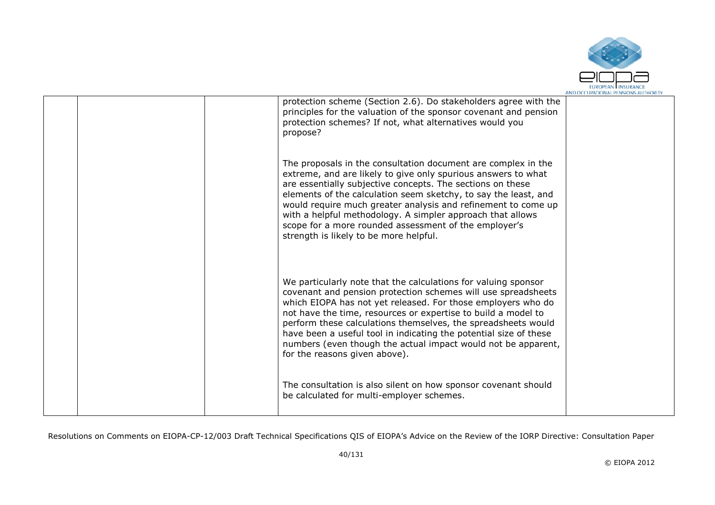

|  | protection scheme (Section 2.6). Do stakeholders agree with the<br>principles for the valuation of the sponsor covenant and pension<br>protection schemes? If not, what alternatives would you<br>propose?                                                                                                                                                                                                                                                                                               |  |
|--|----------------------------------------------------------------------------------------------------------------------------------------------------------------------------------------------------------------------------------------------------------------------------------------------------------------------------------------------------------------------------------------------------------------------------------------------------------------------------------------------------------|--|
|  | The proposals in the consultation document are complex in the<br>extreme, and are likely to give only spurious answers to what<br>are essentially subjective concepts. The sections on these<br>elements of the calculation seem sketchy, to say the least, and<br>would require much greater analysis and refinement to come up<br>with a helpful methodology. A simpler approach that allows<br>scope for a more rounded assessment of the employer's<br>strength is likely to be more helpful.        |  |
|  | We particularly note that the calculations for valuing sponsor<br>covenant and pension protection schemes will use spreadsheets<br>which EIOPA has not yet released. For those employers who do<br>not have the time, resources or expertise to build a model to<br>perform these calculations themselves, the spreadsheets would<br>have been a useful tool in indicating the potential size of these<br>numbers (even though the actual impact would not be apparent,<br>for the reasons given above). |  |
|  | The consultation is also silent on how sponsor covenant should<br>be calculated for multi-employer schemes.                                                                                                                                                                                                                                                                                                                                                                                              |  |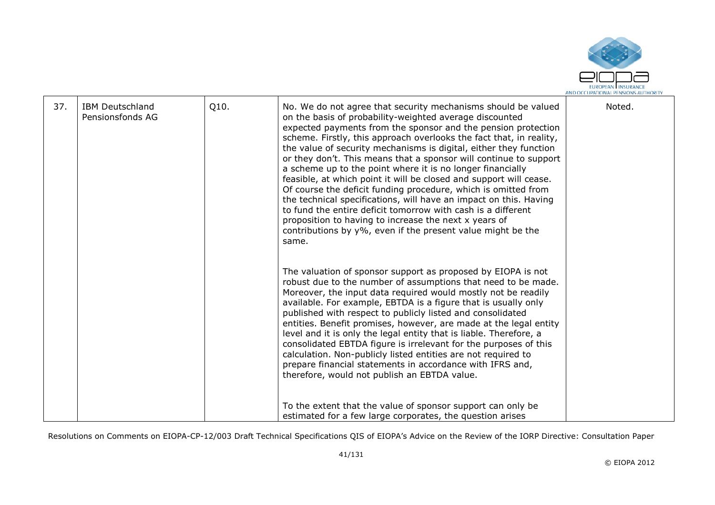

| 37.<br>Q10.<br>Noted.<br><b>IBM Deutschland</b><br>No. We do not agree that security mechanisms should be valued<br>on the basis of probability-weighted average discounted<br>Pensionsfonds AG<br>expected payments from the sponsor and the pension protection<br>scheme. Firstly, this approach overlooks the fact that, in reality,<br>the value of security mechanisms is digital, either they function<br>or they don't. This means that a sponsor will continue to support<br>a scheme up to the point where it is no longer financially<br>feasible, at which point it will be closed and support will cease.<br>Of course the deficit funding procedure, which is omitted from<br>the technical specifications, will have an impact on this. Having<br>to fund the entire deficit tomorrow with cash is a different<br>proposition to having to increase the next x years of<br>contributions by $y\%$ , even if the present value might be the<br>same.<br>The valuation of sponsor support as proposed by EIOPA is not<br>robust due to the number of assumptions that need to be made.<br>Moreover, the input data required would mostly not be readily<br>available. For example, EBTDA is a figure that is usually only<br>published with respect to publicly listed and consolidated<br>entities. Benefit promises, however, are made at the legal entity<br>level and it is only the legal entity that is liable. Therefore, a<br>consolidated EBTDA figure is irrelevant for the purposes of this<br>calculation. Non-publicly listed entities are not required to<br>prepare financial statements in accordance with IFRS and,<br>therefore, would not publish an EBTDA value. |  |                                                             |  |
|--------------------------------------------------------------------------------------------------------------------------------------------------------------------------------------------------------------------------------------------------------------------------------------------------------------------------------------------------------------------------------------------------------------------------------------------------------------------------------------------------------------------------------------------------------------------------------------------------------------------------------------------------------------------------------------------------------------------------------------------------------------------------------------------------------------------------------------------------------------------------------------------------------------------------------------------------------------------------------------------------------------------------------------------------------------------------------------------------------------------------------------------------------------------------------------------------------------------------------------------------------------------------------------------------------------------------------------------------------------------------------------------------------------------------------------------------------------------------------------------------------------------------------------------------------------------------------------------------------------------------------------------------------------------------------------------------|--|-------------------------------------------------------------|--|
|                                                                                                                                                                                                                                                                                                                                                                                                                                                                                                                                                                                                                                                                                                                                                                                                                                                                                                                                                                                                                                                                                                                                                                                                                                                                                                                                                                                                                                                                                                                                                                                                                                                                                                  |  |                                                             |  |
| estimated for a few large corporates, the question arises                                                                                                                                                                                                                                                                                                                                                                                                                                                                                                                                                                                                                                                                                                                                                                                                                                                                                                                                                                                                                                                                                                                                                                                                                                                                                                                                                                                                                                                                                                                                                                                                                                        |  | To the extent that the value of sponsor support can only be |  |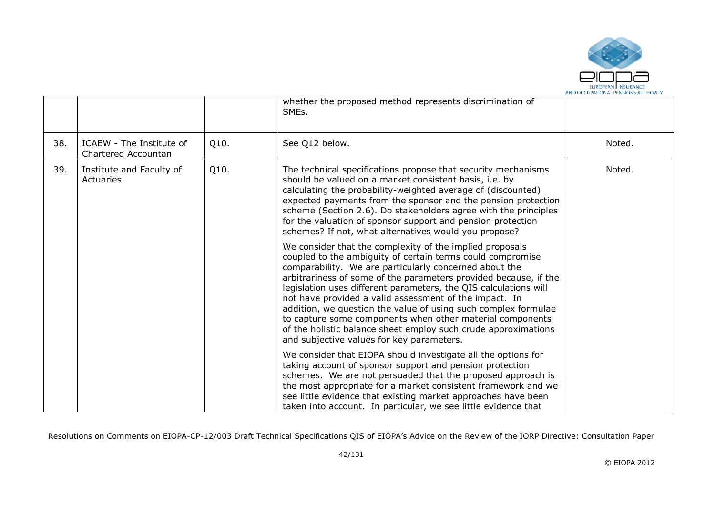

|     |                                                 |      | whether the proposed method represents discrimination of<br>SME <sub>s</sub> .                                                                                                                                                                                                                                                                                                                                                                                                                                                                                                                                                   |        |
|-----|-------------------------------------------------|------|----------------------------------------------------------------------------------------------------------------------------------------------------------------------------------------------------------------------------------------------------------------------------------------------------------------------------------------------------------------------------------------------------------------------------------------------------------------------------------------------------------------------------------------------------------------------------------------------------------------------------------|--------|
| 38. | ICAEW - The Institute of<br>Chartered Accountan | Q10. | See Q12 below.                                                                                                                                                                                                                                                                                                                                                                                                                                                                                                                                                                                                                   | Noted. |
| 39. | Institute and Faculty of<br>Actuaries           | Q10. | The technical specifications propose that security mechanisms<br>should be valued on a market consistent basis, i.e. by<br>calculating the probability-weighted average of (discounted)<br>expected payments from the sponsor and the pension protection<br>scheme (Section 2.6). Do stakeholders agree with the principles<br>for the valuation of sponsor support and pension protection<br>schemes? If not, what alternatives would you propose?                                                                                                                                                                              | Noted. |
|     |                                                 |      | We consider that the complexity of the implied proposals<br>coupled to the ambiguity of certain terms could compromise<br>comparability. We are particularly concerned about the<br>arbitrariness of some of the parameters provided because, if the<br>legislation uses different parameters, the QIS calculations will<br>not have provided a valid assessment of the impact. In<br>addition, we question the value of using such complex formulae<br>to capture some components when other material components<br>of the holistic balance sheet employ such crude approximations<br>and subjective values for key parameters. |        |
|     |                                                 |      | We consider that EIOPA should investigate all the options for<br>taking account of sponsor support and pension protection<br>schemes. We are not persuaded that the proposed approach is<br>the most appropriate for a market consistent framework and we<br>see little evidence that existing market approaches have been<br>taken into account. In particular, we see little evidence that                                                                                                                                                                                                                                     |        |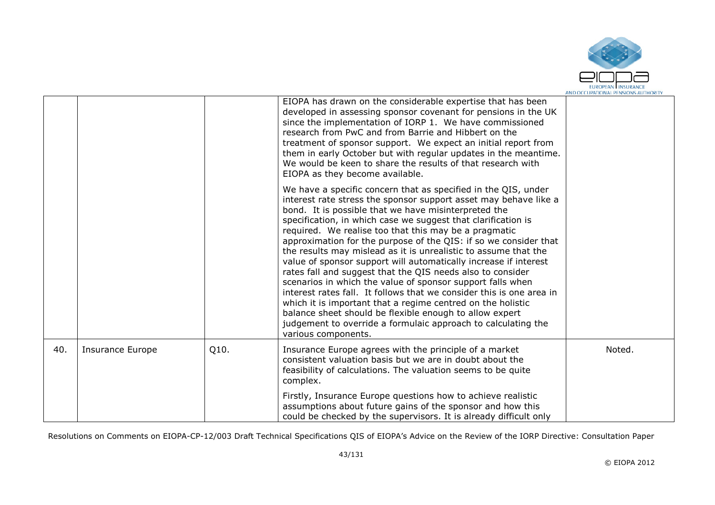

|     |                         |      | EIOPA has drawn on the considerable expertise that has been<br>developed in assessing sponsor covenant for pensions in the UK<br>since the implementation of IORP 1. We have commissioned<br>research from PwC and from Barrie and Hibbert on the<br>treatment of sponsor support. We expect an initial report from<br>them in early October but with regular updates in the meantime.<br>We would be keen to share the results of that research with<br>EIOPA as they become available.                                                                                                                                                                                                                                                                                                                                                                                                                                                              |        |
|-----|-------------------------|------|-------------------------------------------------------------------------------------------------------------------------------------------------------------------------------------------------------------------------------------------------------------------------------------------------------------------------------------------------------------------------------------------------------------------------------------------------------------------------------------------------------------------------------------------------------------------------------------------------------------------------------------------------------------------------------------------------------------------------------------------------------------------------------------------------------------------------------------------------------------------------------------------------------------------------------------------------------|--------|
|     |                         |      | We have a specific concern that as specified in the QIS, under<br>interest rate stress the sponsor support asset may behave like a<br>bond. It is possible that we have misinterpreted the<br>specification, in which case we suggest that clarification is<br>required. We realise too that this may be a pragmatic<br>approximation for the purpose of the QIS: if so we consider that<br>the results may mislead as it is unrealistic to assume that the<br>value of sponsor support will automatically increase if interest<br>rates fall and suggest that the QIS needs also to consider<br>scenarios in which the value of sponsor support falls when<br>interest rates fall. It follows that we consider this is one area in<br>which it is important that a regime centred on the holistic<br>balance sheet should be flexible enough to allow expert<br>judgement to override a formulaic approach to calculating the<br>various components. |        |
| 40. | <b>Insurance Europe</b> | Q10. | Insurance Europe agrees with the principle of a market<br>consistent valuation basis but we are in doubt about the<br>feasibility of calculations. The valuation seems to be quite<br>complex.                                                                                                                                                                                                                                                                                                                                                                                                                                                                                                                                                                                                                                                                                                                                                        | Noted. |
|     |                         |      | Firstly, Insurance Europe questions how to achieve realistic<br>assumptions about future gains of the sponsor and how this<br>could be checked by the supervisors. It is already difficult only                                                                                                                                                                                                                                                                                                                                                                                                                                                                                                                                                                                                                                                                                                                                                       |        |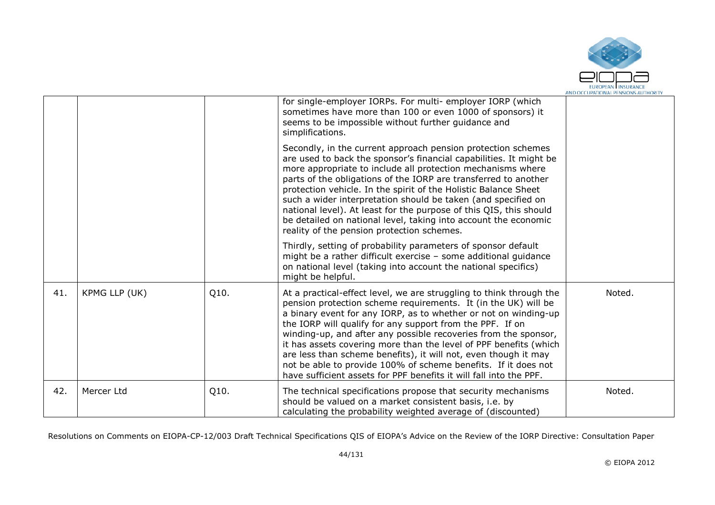

|     |               |      | for single-employer IORPs. For multi- employer IORP (which<br>sometimes have more than 100 or even 1000 of sponsors) it<br>seems to be impossible without further guidance and<br>simplifications.                                                                                                                                                                                                                                                                                                                                                                                                                       |        |
|-----|---------------|------|--------------------------------------------------------------------------------------------------------------------------------------------------------------------------------------------------------------------------------------------------------------------------------------------------------------------------------------------------------------------------------------------------------------------------------------------------------------------------------------------------------------------------------------------------------------------------------------------------------------------------|--------|
|     |               |      | Secondly, in the current approach pension protection schemes<br>are used to back the sponsor's financial capabilities. It might be<br>more appropriate to include all protection mechanisms where<br>parts of the obligations of the IORP are transferred to another<br>protection vehicle. In the spirit of the Holistic Balance Sheet<br>such a wider interpretation should be taken (and specified on<br>national level). At least for the purpose of this QIS, this should<br>be detailed on national level, taking into account the economic<br>reality of the pension protection schemes.                          |        |
|     |               |      | Thirdly, setting of probability parameters of sponsor default<br>might be a rather difficult exercise - some additional guidance<br>on national level (taking into account the national specifics)<br>might be helpful.                                                                                                                                                                                                                                                                                                                                                                                                  |        |
| 41. | KPMG LLP (UK) | Q10. | At a practical-effect level, we are struggling to think through the<br>pension protection scheme requirements. It (in the UK) will be<br>a binary event for any IORP, as to whether or not on winding-up<br>the IORP will qualify for any support from the PPF. If on<br>winding-up, and after any possible recoveries from the sponsor,<br>it has assets covering more than the level of PPF benefits (which<br>are less than scheme benefits), it will not, even though it may<br>not be able to provide 100% of scheme benefits. If it does not<br>have sufficient assets for PPF benefits it will fall into the PPF. | Noted. |
| 42. | Mercer Ltd    | Q10. | The technical specifications propose that security mechanisms<br>should be valued on a market consistent basis, i.e. by<br>calculating the probability weighted average of (discounted)                                                                                                                                                                                                                                                                                                                                                                                                                                  | Noted. |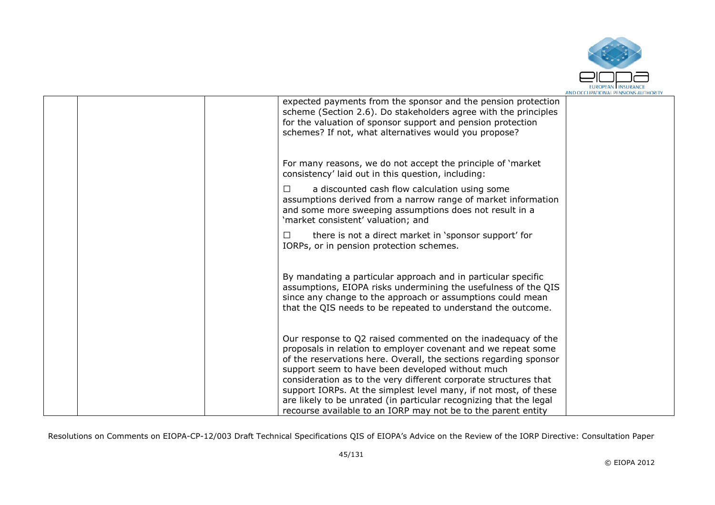

| for the valuation of sponsor support and pension protection<br>schemes? If not, what alternatives would you propose?                                | expected payments from the sponsor and the pension protection<br>scheme (Section 2.6). Do stakeholders agree with the principles                                                                                                                                                                                                                                                                                                                                                  |  |
|-----------------------------------------------------------------------------------------------------------------------------------------------------|-----------------------------------------------------------------------------------------------------------------------------------------------------------------------------------------------------------------------------------------------------------------------------------------------------------------------------------------------------------------------------------------------------------------------------------------------------------------------------------|--|
| consistency' laid out in this question, including:                                                                                                  | For many reasons, we do not accept the principle of 'market                                                                                                                                                                                                                                                                                                                                                                                                                       |  |
| a discounted cash flow calculation using some<br>□<br>and some more sweeping assumptions does not result in a<br>'market consistent' valuation; and | assumptions derived from a narrow range of market information                                                                                                                                                                                                                                                                                                                                                                                                                     |  |
| $\Box$<br>IORPs, or in pension protection schemes.                                                                                                  | there is not a direct market in 'sponsor support' for                                                                                                                                                                                                                                                                                                                                                                                                                             |  |
|                                                                                                                                                     | By mandating a particular approach and in particular specific<br>assumptions, EIOPA risks undermining the usefulness of the QIS<br>since any change to the approach or assumptions could mean<br>that the QIS needs to be repeated to understand the outcome.                                                                                                                                                                                                                     |  |
| support seem to have been developed without much                                                                                                    | Our response to Q2 raised commented on the inadequacy of the<br>proposals in relation to employer covenant and we repeat some<br>of the reservations here. Overall, the sections regarding sponsor<br>consideration as to the very different corporate structures that<br>support IORPs. At the simplest level many, if not most, of these<br>are likely to be unrated (in particular recognizing that the legal<br>recourse available to an IORP may not be to the parent entity |  |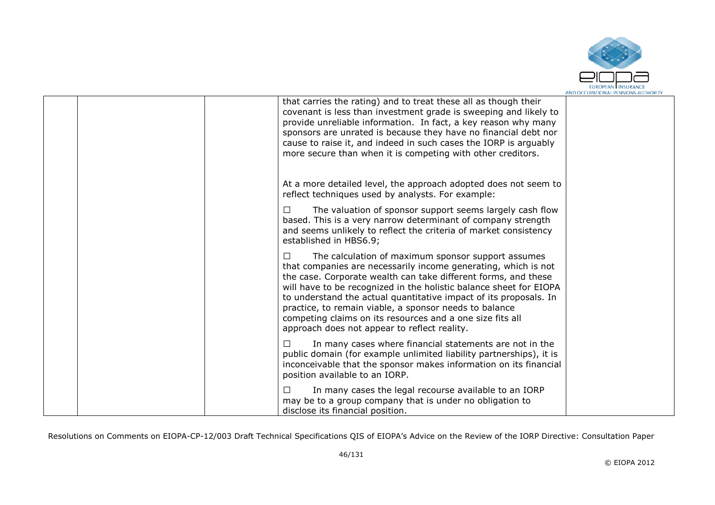

|  | that carries the rating) and to treat these all as though their<br>covenant is less than investment grade is sweeping and likely to<br>provide unreliable information. In fact, a key reason why many<br>sponsors are unrated is because they have no financial debt nor<br>cause to raise it, and indeed in such cases the IORP is arguably<br>more secure than when it is competing with other creditors.                                                                                                   |  |
|--|---------------------------------------------------------------------------------------------------------------------------------------------------------------------------------------------------------------------------------------------------------------------------------------------------------------------------------------------------------------------------------------------------------------------------------------------------------------------------------------------------------------|--|
|  | At a more detailed level, the approach adopted does not seem to<br>reflect techniques used by analysts. For example:                                                                                                                                                                                                                                                                                                                                                                                          |  |
|  | The valuation of sponsor support seems largely cash flow<br>$\Box$<br>based. This is a very narrow determinant of company strength<br>and seems unlikely to reflect the criteria of market consistency<br>established in HBS6.9;                                                                                                                                                                                                                                                                              |  |
|  | The calculation of maximum sponsor support assumes<br>П<br>that companies are necessarily income generating, which is not<br>the case. Corporate wealth can take different forms, and these<br>will have to be recognized in the holistic balance sheet for EIOPA<br>to understand the actual quantitative impact of its proposals. In<br>practice, to remain viable, a sponsor needs to balance<br>competing claims on its resources and a one size fits all<br>approach does not appear to reflect reality. |  |
|  | In many cases where financial statements are not in the<br>□<br>public domain (for example unlimited liability partnerships), it is<br>inconceivable that the sponsor makes information on its financial<br>position available to an IORP.                                                                                                                                                                                                                                                                    |  |
|  | In many cases the legal recourse available to an IORP<br>П<br>may be to a group company that is under no obligation to<br>disclose its financial position.                                                                                                                                                                                                                                                                                                                                                    |  |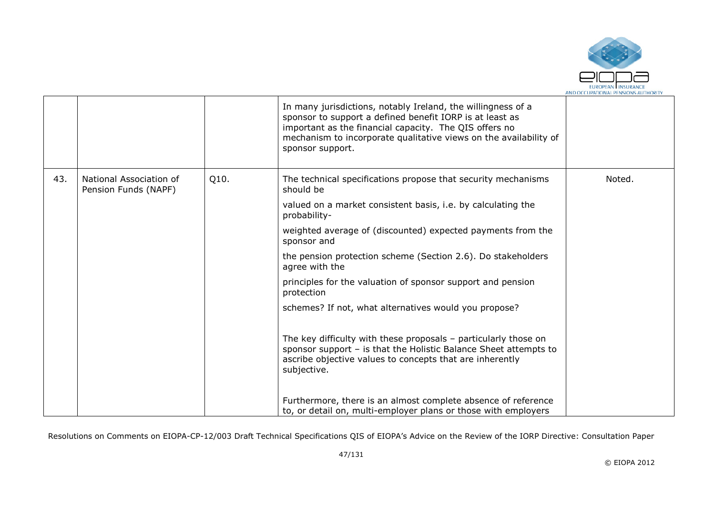

|     |                                                 |      | In many jurisdictions, notably Ireland, the willingness of a<br>sponsor to support a defined benefit IORP is at least as<br>important as the financial capacity. The QIS offers no<br>mechanism to incorporate qualitative views on the availability of<br>sponsor support. |        |
|-----|-------------------------------------------------|------|-----------------------------------------------------------------------------------------------------------------------------------------------------------------------------------------------------------------------------------------------------------------------------|--------|
| 43. | National Association of<br>Pension Funds (NAPF) | Q10. | The technical specifications propose that security mechanisms<br>should be                                                                                                                                                                                                  | Noted. |
|     |                                                 |      | valued on a market consistent basis, i.e. by calculating the<br>probability-                                                                                                                                                                                                |        |
|     |                                                 |      | weighted average of (discounted) expected payments from the<br>sponsor and                                                                                                                                                                                                  |        |
|     |                                                 |      | the pension protection scheme (Section 2.6). Do stakeholders<br>agree with the                                                                                                                                                                                              |        |
|     |                                                 |      | principles for the valuation of sponsor support and pension<br>protection                                                                                                                                                                                                   |        |
|     |                                                 |      | schemes? If not, what alternatives would you propose?                                                                                                                                                                                                                       |        |
|     |                                                 |      | The key difficulty with these proposals $-$ particularly those on<br>sponsor support - is that the Holistic Balance Sheet attempts to<br>ascribe objective values to concepts that are inherently<br>subjective.                                                            |        |
|     |                                                 |      | Furthermore, there is an almost complete absence of reference<br>to, or detail on, multi-employer plans or those with employers                                                                                                                                             |        |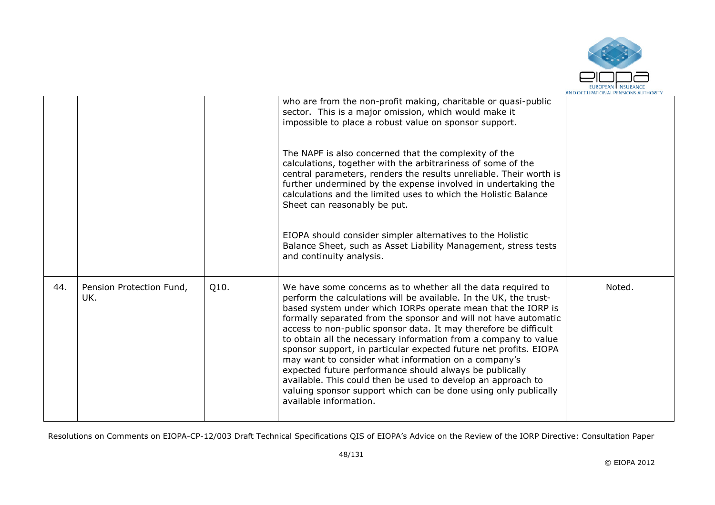

|     |                                 |      | who are from the non-profit making, charitable or quasi-public<br>sector. This is a major omission, which would make it<br>impossible to place a robust value on sponsor support.                                                                                                                                                                                                                                                                                                                                                                                                                                                                                                                                                                                |        |
|-----|---------------------------------|------|------------------------------------------------------------------------------------------------------------------------------------------------------------------------------------------------------------------------------------------------------------------------------------------------------------------------------------------------------------------------------------------------------------------------------------------------------------------------------------------------------------------------------------------------------------------------------------------------------------------------------------------------------------------------------------------------------------------------------------------------------------------|--------|
|     |                                 |      | The NAPF is also concerned that the complexity of the<br>calculations, together with the arbitrariness of some of the<br>central parameters, renders the results unreliable. Their worth is<br>further undermined by the expense involved in undertaking the<br>calculations and the limited uses to which the Holistic Balance<br>Sheet can reasonably be put.                                                                                                                                                                                                                                                                                                                                                                                                  |        |
|     |                                 |      | EIOPA should consider simpler alternatives to the Holistic<br>Balance Sheet, such as Asset Liability Management, stress tests<br>and continuity analysis.                                                                                                                                                                                                                                                                                                                                                                                                                                                                                                                                                                                                        |        |
| 44. | Pension Protection Fund,<br>UK. | Q10. | We have some concerns as to whether all the data required to<br>perform the calculations will be available. In the UK, the trust-<br>based system under which IORPs operate mean that the IORP is<br>formally separated from the sponsor and will not have automatic<br>access to non-public sponsor data. It may therefore be difficult<br>to obtain all the necessary information from a company to value<br>sponsor support, in particular expected future net profits. EIOPA<br>may want to consider what information on a company's<br>expected future performance should always be publically<br>available. This could then be used to develop an approach to<br>valuing sponsor support which can be done using only publically<br>available information. | Noted. |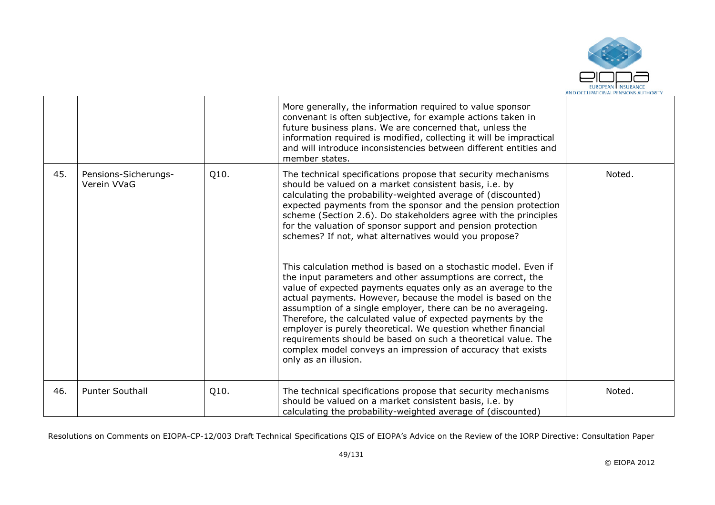

|     |                                     |      | More generally, the information required to value sponsor<br>convenant is often subjective, for example actions taken in<br>future business plans. We are concerned that, unless the<br>information required is modified, collecting it will be impractical<br>and will introduce inconsistencies between different entities and<br>member states.                                                                                                                                                                                                                                                                                                                                                                                                                                                                                                                                                                                                                                                                                                                           |        |
|-----|-------------------------------------|------|------------------------------------------------------------------------------------------------------------------------------------------------------------------------------------------------------------------------------------------------------------------------------------------------------------------------------------------------------------------------------------------------------------------------------------------------------------------------------------------------------------------------------------------------------------------------------------------------------------------------------------------------------------------------------------------------------------------------------------------------------------------------------------------------------------------------------------------------------------------------------------------------------------------------------------------------------------------------------------------------------------------------------------------------------------------------------|--------|
| 45. | Pensions-Sicherungs-<br>Verein VVaG | Q10. | The technical specifications propose that security mechanisms<br>should be valued on a market consistent basis, i.e. by<br>calculating the probability-weighted average of (discounted)<br>expected payments from the sponsor and the pension protection<br>scheme (Section 2.6). Do stakeholders agree with the principles<br>for the valuation of sponsor support and pension protection<br>schemes? If not, what alternatives would you propose?<br>This calculation method is based on a stochastic model. Even if<br>the input parameters and other assumptions are correct, the<br>value of expected payments equates only as an average to the<br>actual payments. However, because the model is based on the<br>assumption of a single employer, there can be no averageing.<br>Therefore, the calculated value of expected payments by the<br>employer is purely theoretical. We question whether financial<br>requirements should be based on such a theoretical value. The<br>complex model conveys an impression of accuracy that exists<br>only as an illusion. | Noted. |
| 46. | <b>Punter Southall</b>              | Q10. | The technical specifications propose that security mechanisms<br>should be valued on a market consistent basis, i.e. by<br>calculating the probability-weighted average of (discounted)                                                                                                                                                                                                                                                                                                                                                                                                                                                                                                                                                                                                                                                                                                                                                                                                                                                                                      | Noted. |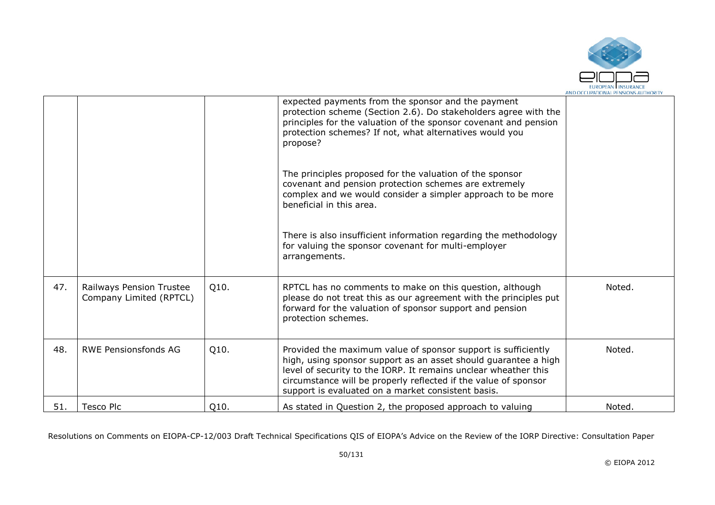

|     |                                                     |      | expected payments from the sponsor and the payment<br>protection scheme (Section 2.6). Do stakeholders agree with the<br>principles for the valuation of the sponsor covenant and pension<br>protection schemes? If not, what alternatives would you<br>propose?                                                             |        |
|-----|-----------------------------------------------------|------|------------------------------------------------------------------------------------------------------------------------------------------------------------------------------------------------------------------------------------------------------------------------------------------------------------------------------|--------|
|     |                                                     |      | The principles proposed for the valuation of the sponsor<br>covenant and pension protection schemes are extremely<br>complex and we would consider a simpler approach to be more<br>beneficial in this area.                                                                                                                 |        |
|     |                                                     |      | There is also insufficient information regarding the methodology<br>for valuing the sponsor covenant for multi-employer<br>arrangements.                                                                                                                                                                                     |        |
| 47. | Railways Pension Trustee<br>Company Limited (RPTCL) | Q10. | RPTCL has no comments to make on this question, although<br>please do not treat this as our agreement with the principles put<br>forward for the valuation of sponsor support and pension<br>protection schemes.                                                                                                             | Noted. |
| 48. | <b>RWE Pensionsfonds AG</b>                         | Q10. | Provided the maximum value of sponsor support is sufficiently<br>high, using sponsor support as an asset should guarantee a high<br>level of security to the IORP. It remains unclear wheather this<br>circumstance will be properly reflected if the value of sponsor<br>support is evaluated on a market consistent basis. | Noted. |
| 51. | Tesco Plc                                           | Q10. | As stated in Question 2, the proposed approach to valuing                                                                                                                                                                                                                                                                    | Noted. |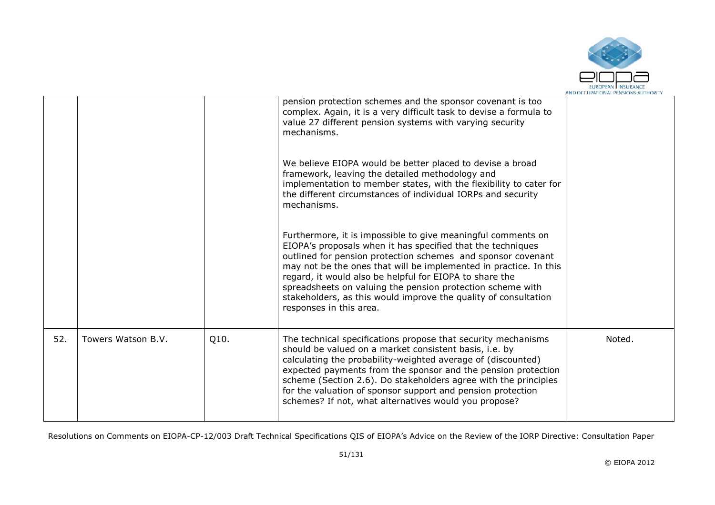

|     |                    |      | pension protection schemes and the sponsor covenant is too<br>complex. Again, it is a very difficult task to devise a formula to<br>value 27 different pension systems with varying security<br>mechanisms.                                                                                                                                                                                                                                                                             |        |
|-----|--------------------|------|-----------------------------------------------------------------------------------------------------------------------------------------------------------------------------------------------------------------------------------------------------------------------------------------------------------------------------------------------------------------------------------------------------------------------------------------------------------------------------------------|--------|
|     |                    |      | We believe EIOPA would be better placed to devise a broad<br>framework, leaving the detailed methodology and<br>implementation to member states, with the flexibility to cater for<br>the different circumstances of individual IORPs and security<br>mechanisms.                                                                                                                                                                                                                       |        |
|     |                    |      | Furthermore, it is impossible to give meaningful comments on<br>EIOPA's proposals when it has specified that the techniques<br>outlined for pension protection schemes and sponsor covenant<br>may not be the ones that will be implemented in practice. In this<br>regard, it would also be helpful for EIOPA to share the<br>spreadsheets on valuing the pension protection scheme with<br>stakeholders, as this would improve the quality of consultation<br>responses in this area. |        |
| 52. | Towers Watson B.V. | Q10. | The technical specifications propose that security mechanisms<br>should be valued on a market consistent basis, i.e. by<br>calculating the probability-weighted average of (discounted)<br>expected payments from the sponsor and the pension protection<br>scheme (Section 2.6). Do stakeholders agree with the principles<br>for the valuation of sponsor support and pension protection<br>schemes? If not, what alternatives would you propose?                                     | Noted. |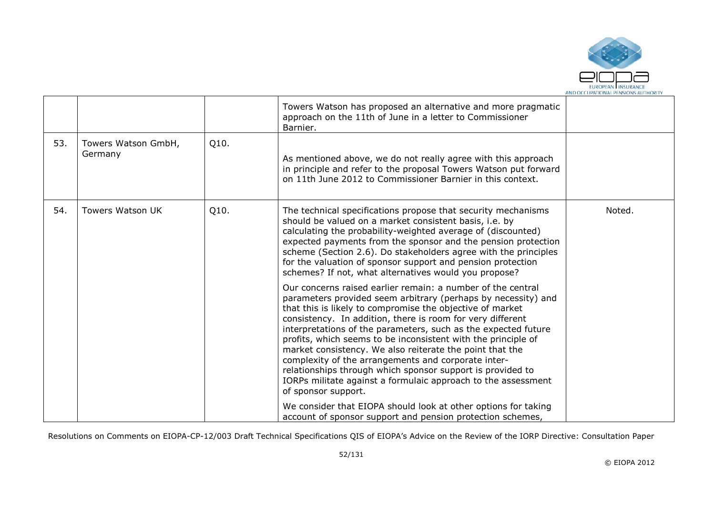

|     |                                |      | Towers Watson has proposed an alternative and more pragmatic<br>approach on the 11th of June in a letter to Commissioner<br>Barnier.                                                                                                                                                                                                                                                                                                                                                                                                                                                                                                                                |        |
|-----|--------------------------------|------|---------------------------------------------------------------------------------------------------------------------------------------------------------------------------------------------------------------------------------------------------------------------------------------------------------------------------------------------------------------------------------------------------------------------------------------------------------------------------------------------------------------------------------------------------------------------------------------------------------------------------------------------------------------------|--------|
| 53. | Towers Watson GmbH,<br>Germany | Q10. | As mentioned above, we do not really agree with this approach<br>in principle and refer to the proposal Towers Watson put forward<br>on 11th June 2012 to Commissioner Barnier in this context.                                                                                                                                                                                                                                                                                                                                                                                                                                                                     |        |
| 54. | <b>Towers Watson UK</b>        | Q10. | The technical specifications propose that security mechanisms<br>should be valued on a market consistent basis, i.e. by<br>calculating the probability-weighted average of (discounted)<br>expected payments from the sponsor and the pension protection<br>scheme (Section 2.6). Do stakeholders agree with the principles<br>for the valuation of sponsor support and pension protection<br>schemes? If not, what alternatives would you propose?                                                                                                                                                                                                                 | Noted. |
|     |                                |      | Our concerns raised earlier remain: a number of the central<br>parameters provided seem arbitrary (perhaps by necessity) and<br>that this is likely to compromise the objective of market<br>consistency. In addition, there is room for very different<br>interpretations of the parameters, such as the expected future<br>profits, which seems to be inconsistent with the principle of<br>market consistency. We also reiterate the point that the<br>complexity of the arrangements and corporate inter-<br>relationships through which sponsor support is provided to<br>IORPs militate against a formulaic approach to the assessment<br>of sponsor support. |        |
|     |                                |      | We consider that EIOPA should look at other options for taking<br>account of sponsor support and pension protection schemes,                                                                                                                                                                                                                                                                                                                                                                                                                                                                                                                                        |        |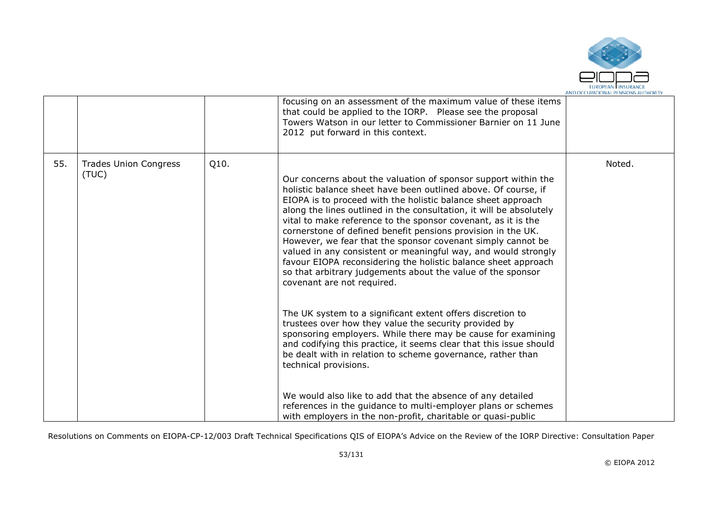

|     |                                       |      | focusing on an assessment of the maximum value of these items<br>that could be applied to the IORP. Please see the proposal<br>Towers Watson in our letter to Commissioner Barnier on 11 June<br>2012 put forward in this context.                                                                                                                                                                                                                                                                                                                                                                                                                                                                                                                                                                                                                                                                                                                                                                                                                                                                                                                                                                                                                           |        |
|-----|---------------------------------------|------|--------------------------------------------------------------------------------------------------------------------------------------------------------------------------------------------------------------------------------------------------------------------------------------------------------------------------------------------------------------------------------------------------------------------------------------------------------------------------------------------------------------------------------------------------------------------------------------------------------------------------------------------------------------------------------------------------------------------------------------------------------------------------------------------------------------------------------------------------------------------------------------------------------------------------------------------------------------------------------------------------------------------------------------------------------------------------------------------------------------------------------------------------------------------------------------------------------------------------------------------------------------|--------|
| 55. | <b>Trades Union Congress</b><br>(TUC) | Q10. | Our concerns about the valuation of sponsor support within the<br>holistic balance sheet have been outlined above. Of course, if<br>EIOPA is to proceed with the holistic balance sheet approach<br>along the lines outlined in the consultation, it will be absolutely<br>vital to make reference to the sponsor covenant, as it is the<br>cornerstone of defined benefit pensions provision in the UK.<br>However, we fear that the sponsor covenant simply cannot be<br>valued in any consistent or meaningful way, and would strongly<br>favour EIOPA reconsidering the holistic balance sheet approach<br>so that arbitrary judgements about the value of the sponsor<br>covenant are not required.<br>The UK system to a significant extent offers discretion to<br>trustees over how they value the security provided by<br>sponsoring employers. While there may be cause for examining<br>and codifying this practice, it seems clear that this issue should<br>be dealt with in relation to scheme governance, rather than<br>technical provisions.<br>We would also like to add that the absence of any detailed<br>references in the guidance to multi-employer plans or schemes<br>with employers in the non-profit, charitable or quasi-public | Noted. |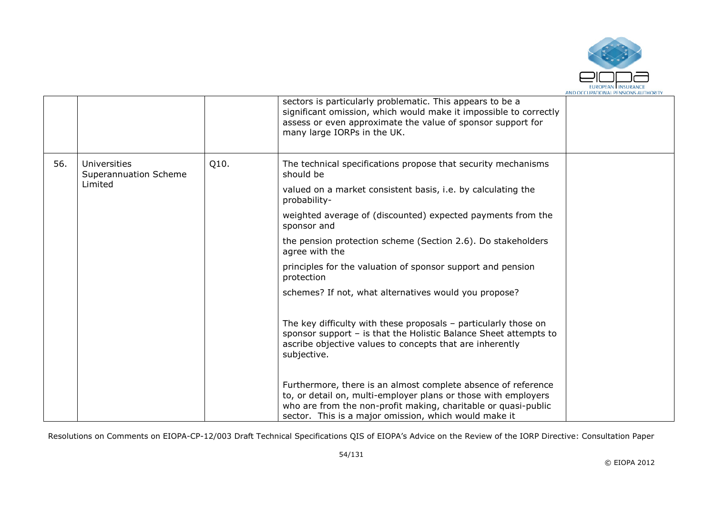

|     |                                              |      | sectors is particularly problematic. This appears to be a<br>significant omission, which would make it impossible to correctly<br>assess or even approximate the value of sponsor support for<br>many large IORPs in the UK.                               |  |
|-----|----------------------------------------------|------|------------------------------------------------------------------------------------------------------------------------------------------------------------------------------------------------------------------------------------------------------------|--|
| 56. | <b>Universities</b><br>Superannuation Scheme | Q10. | The technical specifications propose that security mechanisms<br>should be                                                                                                                                                                                 |  |
|     | Limited                                      |      | valued on a market consistent basis, i.e. by calculating the<br>probability-                                                                                                                                                                               |  |
|     |                                              |      | weighted average of (discounted) expected payments from the<br>sponsor and                                                                                                                                                                                 |  |
|     |                                              |      | the pension protection scheme (Section 2.6). Do stakeholders<br>agree with the                                                                                                                                                                             |  |
|     |                                              |      | principles for the valuation of sponsor support and pension<br>protection                                                                                                                                                                                  |  |
|     |                                              |      | schemes? If not, what alternatives would you propose?                                                                                                                                                                                                      |  |
|     |                                              |      | The key difficulty with these proposals $-$ particularly those on<br>sponsor support - is that the Holistic Balance Sheet attempts to<br>ascribe objective values to concepts that are inherently<br>subjective.                                           |  |
|     |                                              |      | Furthermore, there is an almost complete absence of reference<br>to, or detail on, multi-employer plans or those with employers<br>who are from the non-profit making, charitable or quasi-public<br>sector. This is a major omission, which would make it |  |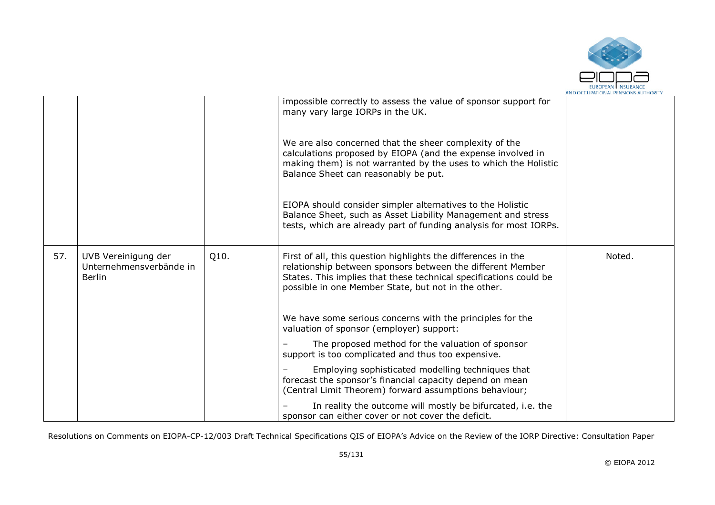

|     |                                                                 |      |                                                                                                                                                                                                                                                         | AND OLL DPATIONAL PENSIONS AUTHORIT |
|-----|-----------------------------------------------------------------|------|---------------------------------------------------------------------------------------------------------------------------------------------------------------------------------------------------------------------------------------------------------|-------------------------------------|
|     |                                                                 |      | impossible correctly to assess the value of sponsor support for<br>many vary large IORPs in the UK.                                                                                                                                                     |                                     |
|     |                                                                 |      | We are also concerned that the sheer complexity of the<br>calculations proposed by EIOPA (and the expense involved in<br>making them) is not warranted by the uses to which the Holistic<br>Balance Sheet can reasonably be put.                        |                                     |
|     |                                                                 |      | EIOPA should consider simpler alternatives to the Holistic<br>Balance Sheet, such as Asset Liability Management and stress<br>tests, which are already part of funding analysis for most IORPs.                                                         |                                     |
| 57. | UVB Vereinigung der<br>Unternehmensverbände in<br><b>Berlin</b> | Q10. | First of all, this question highlights the differences in the<br>relationship between sponsors between the different Member<br>States. This implies that these technical specifications could be<br>possible in one Member State, but not in the other. | Noted.                              |
|     |                                                                 |      | We have some serious concerns with the principles for the<br>valuation of sponsor (employer) support:                                                                                                                                                   |                                     |
|     |                                                                 |      | The proposed method for the valuation of sponsor<br>support is too complicated and thus too expensive.                                                                                                                                                  |                                     |
|     |                                                                 |      | Employing sophisticated modelling techniques that<br>forecast the sponsor's financial capacity depend on mean<br>(Central Limit Theorem) forward assumptions behaviour;                                                                                 |                                     |
|     |                                                                 |      | In reality the outcome will mostly be bifurcated, i.e. the<br>sponsor can either cover or not cover the deficit.                                                                                                                                        |                                     |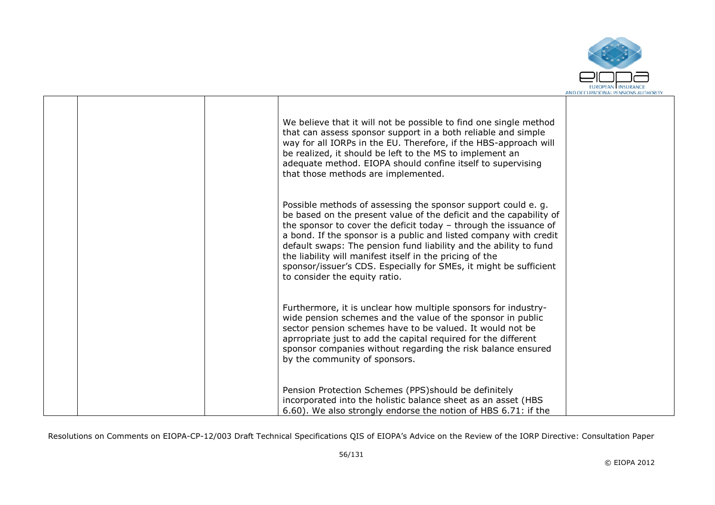

|  | We believe that it will not be possible to find one single method<br>that can assess sponsor support in a both reliable and simple<br>way for all IORPs in the EU. Therefore, if the HBS-approach will<br>be realized, it should be left to the MS to implement an<br>adequate method. EIOPA should confine itself to supervising<br>that those methods are implemented.                                                                                                                                             |  |
|--|----------------------------------------------------------------------------------------------------------------------------------------------------------------------------------------------------------------------------------------------------------------------------------------------------------------------------------------------------------------------------------------------------------------------------------------------------------------------------------------------------------------------|--|
|  | Possible methods of assessing the sponsor support could e.g.<br>be based on the present value of the deficit and the capability of<br>the sponsor to cover the deficit today $-$ through the issuance of<br>a bond. If the sponsor is a public and listed company with credit<br>default swaps: The pension fund liability and the ability to fund<br>the liability will manifest itself in the pricing of the<br>sponsor/issuer's CDS. Especially for SMEs, it might be sufficient<br>to consider the equity ratio. |  |
|  | Furthermore, it is unclear how multiple sponsors for industry-<br>wide pension schemes and the value of the sponsor in public<br>sector pension schemes have to be valued. It would not be<br>aprropriate just to add the capital required for the different<br>sponsor companies without regarding the risk balance ensured<br>by the community of sponsors.                                                                                                                                                        |  |
|  | Pension Protection Schemes (PPS)should be definitely<br>incorporated into the holistic balance sheet as an asset (HBS<br>6.60). We also strongly endorse the notion of HBS 6.71: if the                                                                                                                                                                                                                                                                                                                              |  |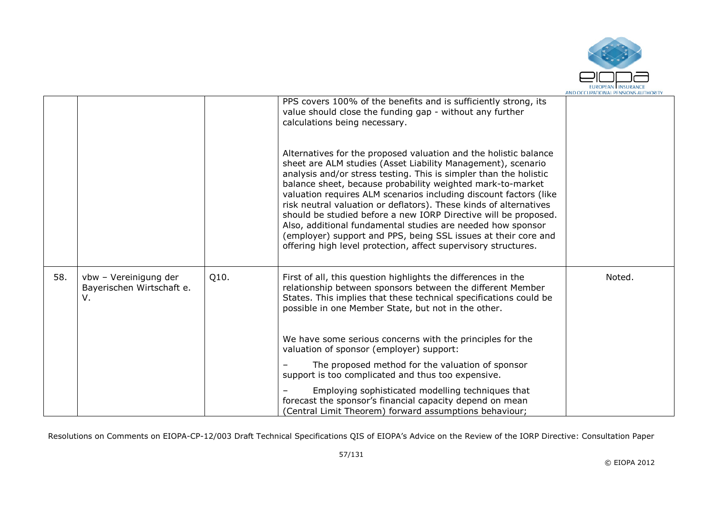

|     |                                                          |      | PPS covers 100% of the benefits and is sufficiently strong, its<br>value should close the funding gap - without any further<br>calculations being necessary.<br>Alternatives for the proposed valuation and the holistic balance                                                                                                                                                                                                                                                                                                                                                                                |        |
|-----|----------------------------------------------------------|------|-----------------------------------------------------------------------------------------------------------------------------------------------------------------------------------------------------------------------------------------------------------------------------------------------------------------------------------------------------------------------------------------------------------------------------------------------------------------------------------------------------------------------------------------------------------------------------------------------------------------|--------|
|     |                                                          |      | sheet are ALM studies (Asset Liability Management), scenario<br>analysis and/or stress testing. This is simpler than the holistic<br>balance sheet, because probability weighted mark-to-market<br>valuation requires ALM scenarios including discount factors (like<br>risk neutral valuation or deflators). These kinds of alternatives<br>should be studied before a new IORP Directive will be proposed.<br>Also, additional fundamental studies are needed how sponsor<br>(employer) support and PPS, being SSL issues at their core and<br>offering high level protection, affect supervisory structures. |        |
| 58. | vbw - Vereinigung der<br>Bayerischen Wirtschaft e.<br>V. | Q10. | First of all, this question highlights the differences in the<br>relationship between sponsors between the different Member<br>States. This implies that these technical specifications could be<br>possible in one Member State, but not in the other.                                                                                                                                                                                                                                                                                                                                                         | Noted. |
|     |                                                          |      | We have some serious concerns with the principles for the<br>valuation of sponsor (employer) support:                                                                                                                                                                                                                                                                                                                                                                                                                                                                                                           |        |
|     |                                                          |      | The proposed method for the valuation of sponsor<br>support is too complicated and thus too expensive.                                                                                                                                                                                                                                                                                                                                                                                                                                                                                                          |        |
|     |                                                          |      | Employing sophisticated modelling techniques that<br>forecast the sponsor's financial capacity depend on mean<br>(Central Limit Theorem) forward assumptions behaviour;                                                                                                                                                                                                                                                                                                                                                                                                                                         |        |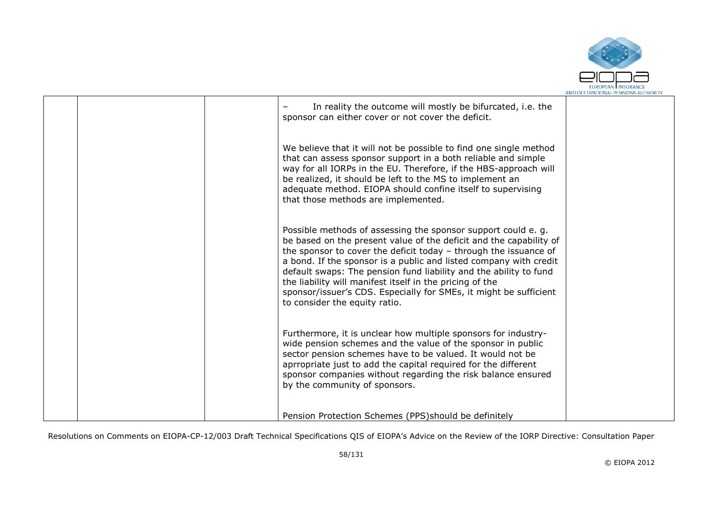

|  | In reality the outcome will mostly be bifurcated, i.e. the<br>sponsor can either cover or not cover the deficit.                                                                                                                                                                                                                                                                                                                                                                                                   |  |
|--|--------------------------------------------------------------------------------------------------------------------------------------------------------------------------------------------------------------------------------------------------------------------------------------------------------------------------------------------------------------------------------------------------------------------------------------------------------------------------------------------------------------------|--|
|  | We believe that it will not be possible to find one single method<br>that can assess sponsor support in a both reliable and simple<br>way for all IORPs in the EU. Therefore, if the HBS-approach will<br>be realized, it should be left to the MS to implement an<br>adequate method. EIOPA should confine itself to supervising<br>that those methods are implemented.                                                                                                                                           |  |
|  | Possible methods of assessing the sponsor support could e.g.<br>be based on the present value of the deficit and the capability of<br>the sponsor to cover the deficit today - through the issuance of<br>a bond. If the sponsor is a public and listed company with credit<br>default swaps: The pension fund liability and the ability to fund<br>the liability will manifest itself in the pricing of the<br>sponsor/issuer's CDS. Especially for SMEs, it might be sufficient<br>to consider the equity ratio. |  |
|  | Furthermore, it is unclear how multiple sponsors for industry-<br>wide pension schemes and the value of the sponsor in public<br>sector pension schemes have to be valued. It would not be<br>aprropriate just to add the capital required for the different<br>sponsor companies without regarding the risk balance ensured<br>by the community of sponsors.                                                                                                                                                      |  |
|  | Pension Protection Schemes (PPS) should be definitely                                                                                                                                                                                                                                                                                                                                                                                                                                                              |  |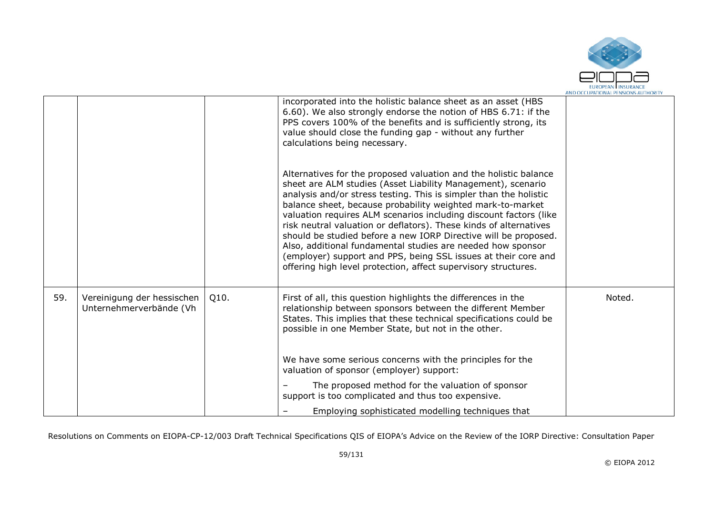

|     |                                                       |      | incorporated into the holistic balance sheet as an asset (HBS<br>6.60). We also strongly endorse the notion of HBS 6.71: if the<br>PPS covers 100% of the benefits and is sufficiently strong, its<br>value should close the funding gap - without any further<br>calculations being necessary.                                                                                                                                                                                                                                                                                                                                                                                     |        |
|-----|-------------------------------------------------------|------|-------------------------------------------------------------------------------------------------------------------------------------------------------------------------------------------------------------------------------------------------------------------------------------------------------------------------------------------------------------------------------------------------------------------------------------------------------------------------------------------------------------------------------------------------------------------------------------------------------------------------------------------------------------------------------------|--------|
|     |                                                       |      | Alternatives for the proposed valuation and the holistic balance<br>sheet are ALM studies (Asset Liability Management), scenario<br>analysis and/or stress testing. This is simpler than the holistic<br>balance sheet, because probability weighted mark-to-market<br>valuation requires ALM scenarios including discount factors (like<br>risk neutral valuation or deflators). These kinds of alternatives<br>should be studied before a new IORP Directive will be proposed.<br>Also, additional fundamental studies are needed how sponsor<br>(employer) support and PPS, being SSL issues at their core and<br>offering high level protection, affect supervisory structures. |        |
| 59. | Vereinigung der hessischen<br>Unternehmerverbände (Vh | Q10. | First of all, this question highlights the differences in the<br>relationship between sponsors between the different Member<br>States. This implies that these technical specifications could be<br>possible in one Member State, but not in the other.<br>We have some serious concerns with the principles for the                                                                                                                                                                                                                                                                                                                                                                | Noted. |
|     |                                                       |      | valuation of sponsor (employer) support:                                                                                                                                                                                                                                                                                                                                                                                                                                                                                                                                                                                                                                            |        |
|     |                                                       |      | The proposed method for the valuation of sponsor<br>support is too complicated and thus too expensive.                                                                                                                                                                                                                                                                                                                                                                                                                                                                                                                                                                              |        |
|     |                                                       |      | Employing sophisticated modelling techniques that                                                                                                                                                                                                                                                                                                                                                                                                                                                                                                                                                                                                                                   |        |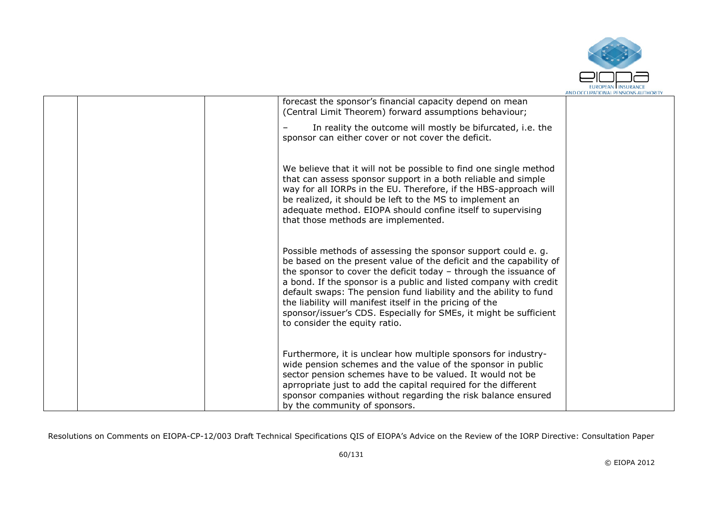

|  | forecast the sponsor's financial capacity depend on mean<br>(Central Limit Theorem) forward assumptions behaviour;                                                                                                                                                                                                                                                                                                                                                                                                 |  |
|--|--------------------------------------------------------------------------------------------------------------------------------------------------------------------------------------------------------------------------------------------------------------------------------------------------------------------------------------------------------------------------------------------------------------------------------------------------------------------------------------------------------------------|--|
|  | In reality the outcome will mostly be bifurcated, i.e. the<br>sponsor can either cover or not cover the deficit.                                                                                                                                                                                                                                                                                                                                                                                                   |  |
|  | We believe that it will not be possible to find one single method<br>that can assess sponsor support in a both reliable and simple<br>way for all IORPs in the EU. Therefore, if the HBS-approach will<br>be realized, it should be left to the MS to implement an<br>adequate method. EIOPA should confine itself to supervising<br>that those methods are implemented.                                                                                                                                           |  |
|  | Possible methods of assessing the sponsor support could e.g.<br>be based on the present value of the deficit and the capability of<br>the sponsor to cover the deficit today - through the issuance of<br>a bond. If the sponsor is a public and listed company with credit<br>default swaps: The pension fund liability and the ability to fund<br>the liability will manifest itself in the pricing of the<br>sponsor/issuer's CDS. Especially for SMEs, it might be sufficient<br>to consider the equity ratio. |  |
|  | Furthermore, it is unclear how multiple sponsors for industry-<br>wide pension schemes and the value of the sponsor in public<br>sector pension schemes have to be valued. It would not be<br>aprropriate just to add the capital required for the different<br>sponsor companies without regarding the risk balance ensured<br>by the community of sponsors.                                                                                                                                                      |  |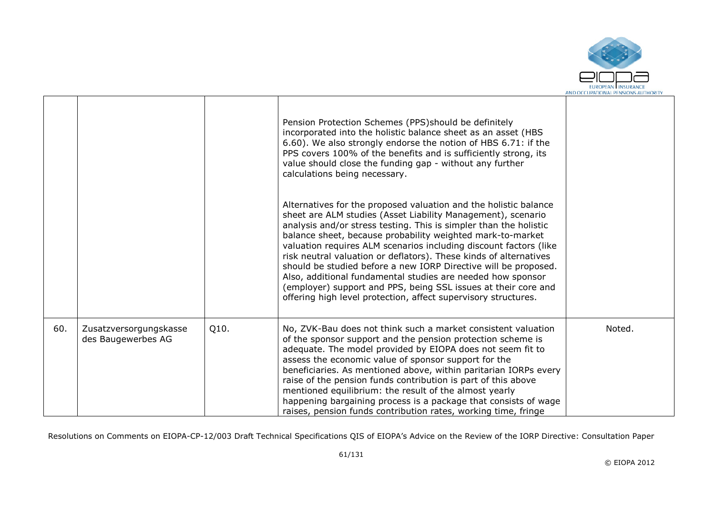

|     |                                              |      | Pension Protection Schemes (PPS) should be definitely<br>incorporated into the holistic balance sheet as an asset (HBS<br>6.60). We also strongly endorse the notion of HBS 6.71: if the<br>PPS covers 100% of the benefits and is sufficiently strong, its<br>value should close the funding gap - without any further<br>calculations being necessary.                                                                                                                                                                                                                                                                                                                            |        |
|-----|----------------------------------------------|------|-------------------------------------------------------------------------------------------------------------------------------------------------------------------------------------------------------------------------------------------------------------------------------------------------------------------------------------------------------------------------------------------------------------------------------------------------------------------------------------------------------------------------------------------------------------------------------------------------------------------------------------------------------------------------------------|--------|
|     |                                              |      | Alternatives for the proposed valuation and the holistic balance<br>sheet are ALM studies (Asset Liability Management), scenario<br>analysis and/or stress testing. This is simpler than the holistic<br>balance sheet, because probability weighted mark-to-market<br>valuation requires ALM scenarios including discount factors (like<br>risk neutral valuation or deflators). These kinds of alternatives<br>should be studied before a new IORP Directive will be proposed.<br>Also, additional fundamental studies are needed how sponsor<br>(employer) support and PPS, being SSL issues at their core and<br>offering high level protection, affect supervisory structures. |        |
| 60. | Zusatzversorgungskasse<br>des Baugewerbes AG | Q10. | No, ZVK-Bau does not think such a market consistent valuation<br>of the sponsor support and the pension protection scheme is<br>adequate. The model provided by EIOPA does not seem fit to<br>assess the economic value of sponsor support for the<br>beneficiaries. As mentioned above, within paritarian IORPs every<br>raise of the pension funds contribution is part of this above<br>mentioned equilibrium: the result of the almost yearly<br>happening bargaining process is a package that consists of wage<br>raises, pension funds contribution rates, working time, fringe                                                                                              | Noted. |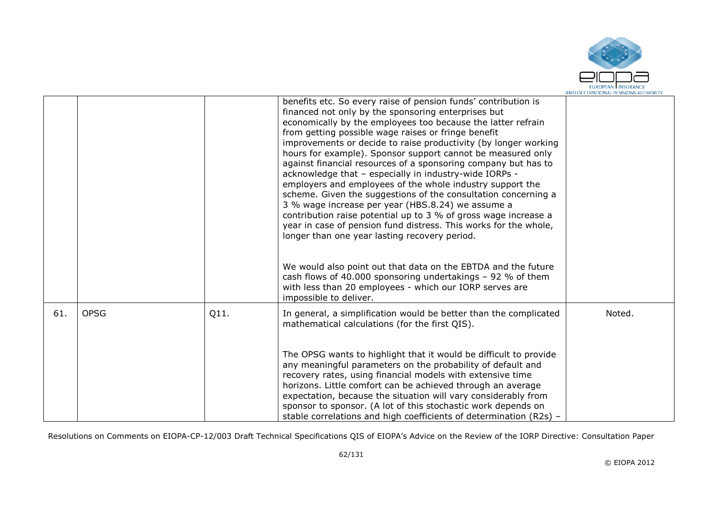

|     |             |      | benefits etc. So every raise of pension funds' contribution is<br>financed not only by the sponsoring enterprises but<br>economically by the employees too because the latter refrain<br>from getting possible wage raises or fringe benefit<br>improvements or decide to raise productivity (by longer working<br>hours for example). Sponsor support cannot be measured only<br>against financial resources of a sponsoring company but has to<br>acknowledge that - especially in industry-wide IORPs -<br>employers and employees of the whole industry support the<br>scheme. Given the suggestions of the consultation concerning a<br>3 % wage increase per year (HBS.8.24) we assume a<br>contribution raise potential up to 3 % of gross wage increase a<br>year in case of pension fund distress. This works for the whole,<br>longer than one year lasting recovery period. |        |
|-----|-------------|------|----------------------------------------------------------------------------------------------------------------------------------------------------------------------------------------------------------------------------------------------------------------------------------------------------------------------------------------------------------------------------------------------------------------------------------------------------------------------------------------------------------------------------------------------------------------------------------------------------------------------------------------------------------------------------------------------------------------------------------------------------------------------------------------------------------------------------------------------------------------------------------------|--------|
|     |             |      | We would also point out that data on the EBTDA and the future<br>cash flows of 40.000 sponsoring undertakings - 92 % of them<br>with less than 20 employees - which our IORP serves are<br>impossible to deliver.                                                                                                                                                                                                                                                                                                                                                                                                                                                                                                                                                                                                                                                                      |        |
| 61. | <b>OPSG</b> | Q11. | In general, a simplification would be better than the complicated<br>mathematical calculations (for the first QIS).                                                                                                                                                                                                                                                                                                                                                                                                                                                                                                                                                                                                                                                                                                                                                                    | Noted. |
|     |             |      | The OPSG wants to highlight that it would be difficult to provide<br>any meaningful parameters on the probability of default and<br>recovery rates, using financial models with extensive time<br>horizons. Little comfort can be achieved through an average<br>expectation, because the situation will vary considerably from<br>sponsor to sponsor. (A lot of this stochastic work depends on<br>stable correlations and high coefficients of determination (R2s) -                                                                                                                                                                                                                                                                                                                                                                                                                 |        |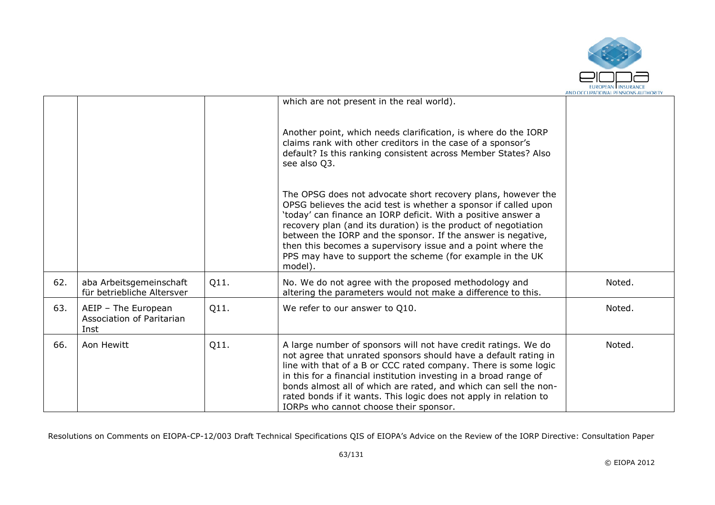

|     |                                                                 |      |                                                                                                                                                                                                                                                                                                                                                                                                                                                                           | AND OCCUPATIONAL PENSIONS AUTHORIT |
|-----|-----------------------------------------------------------------|------|---------------------------------------------------------------------------------------------------------------------------------------------------------------------------------------------------------------------------------------------------------------------------------------------------------------------------------------------------------------------------------------------------------------------------------------------------------------------------|------------------------------------|
|     |                                                                 |      | which are not present in the real world).                                                                                                                                                                                                                                                                                                                                                                                                                                 |                                    |
|     |                                                                 |      | Another point, which needs clarification, is where do the IORP<br>claims rank with other creditors in the case of a sponsor's<br>default? Is this ranking consistent across Member States? Also<br>see also Q3.                                                                                                                                                                                                                                                           |                                    |
|     |                                                                 |      | The OPSG does not advocate short recovery plans, however the<br>OPSG believes the acid test is whether a sponsor if called upon<br>'today' can finance an IORP deficit. With a positive answer a<br>recovery plan (and its duration) is the product of negotiation<br>between the IORP and the sponsor. If the answer is negative,<br>then this becomes a supervisory issue and a point where the<br>PPS may have to support the scheme (for example in the UK<br>model). |                                    |
| 62. | aba Arbeitsgemeinschaft<br>für betriebliche Altersver           | Q11. | No. We do not agree with the proposed methodology and<br>altering the parameters would not make a difference to this.                                                                                                                                                                                                                                                                                                                                                     | Noted.                             |
| 63. | AEIP - The European<br><b>Association of Paritarian</b><br>Inst | Q11. | We refer to our answer to Q10.                                                                                                                                                                                                                                                                                                                                                                                                                                            | Noted.                             |
| 66. | Aon Hewitt                                                      | Q11. | A large number of sponsors will not have credit ratings. We do<br>not agree that unrated sponsors should have a default rating in<br>line with that of a B or CCC rated company. There is some logic<br>in this for a financial institution investing in a broad range of<br>bonds almost all of which are rated, and which can sell the non-<br>rated bonds if it wants. This logic does not apply in relation to<br>IORPs who cannot choose their sponsor.              | Noted.                             |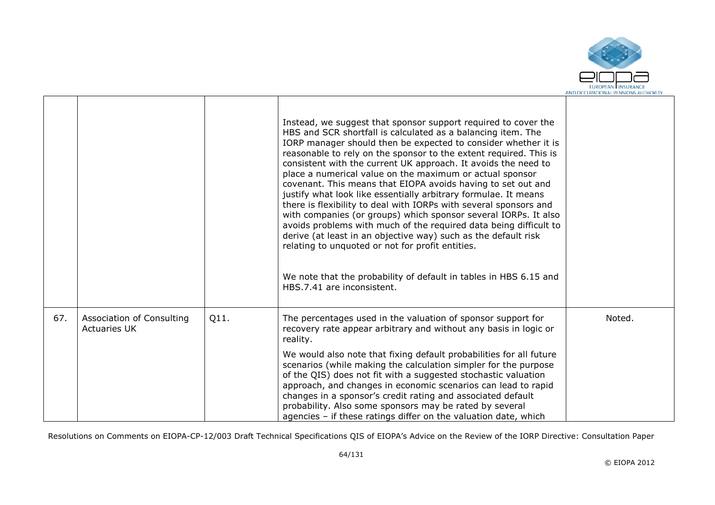

|     |                                                  |      | Instead, we suggest that sponsor support required to cover the<br>HBS and SCR shortfall is calculated as a balancing item. The<br>IORP manager should then be expected to consider whether it is<br>reasonable to rely on the sponsor to the extent required. This is<br>consistent with the current UK approach. It avoids the need to<br>place a numerical value on the maximum or actual sponsor<br>covenant. This means that EIOPA avoids having to set out and<br>justify what look like essentially arbitrary formulae. It means<br>there is flexibility to deal with IORPs with several sponsors and<br>with companies (or groups) which sponsor several IORPs. It also<br>avoids problems with much of the required data being difficult to<br>derive (at least in an objective way) such as the default risk<br>relating to unquoted or not for profit entities.<br>We note that the probability of default in tables in HBS 6.15 and<br>HBS.7.41 are inconsistent. |        |
|-----|--------------------------------------------------|------|------------------------------------------------------------------------------------------------------------------------------------------------------------------------------------------------------------------------------------------------------------------------------------------------------------------------------------------------------------------------------------------------------------------------------------------------------------------------------------------------------------------------------------------------------------------------------------------------------------------------------------------------------------------------------------------------------------------------------------------------------------------------------------------------------------------------------------------------------------------------------------------------------------------------------------------------------------------------------|--------|
| 67. | Association of Consulting<br><b>Actuaries UK</b> | Q11. | The percentages used in the valuation of sponsor support for<br>recovery rate appear arbitrary and without any basis in logic or<br>reality.                                                                                                                                                                                                                                                                                                                                                                                                                                                                                                                                                                                                                                                                                                                                                                                                                                 | Noted. |
|     |                                                  |      | We would also note that fixing default probabilities for all future<br>scenarios (while making the calculation simpler for the purpose<br>of the QIS) does not fit with a suggested stochastic valuation<br>approach, and changes in economic scenarios can lead to rapid<br>changes in a sponsor's credit rating and associated default<br>probability. Also some sponsors may be rated by several<br>agencies - if these ratings differ on the valuation date, which                                                                                                                                                                                                                                                                                                                                                                                                                                                                                                       |        |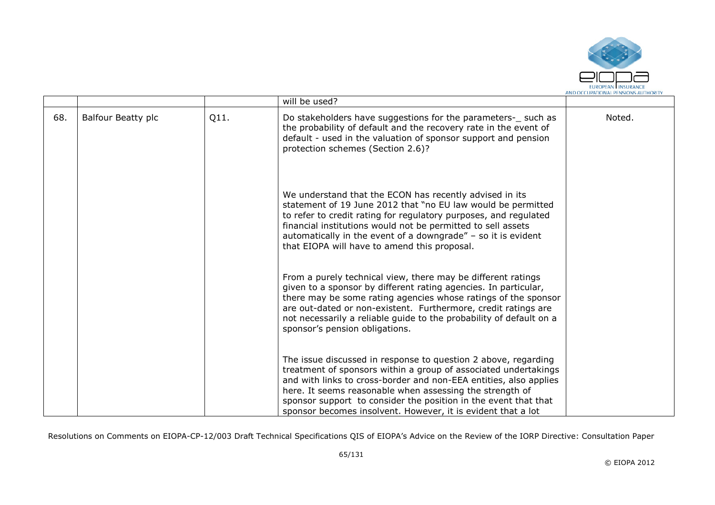

|     |                    |      | will be used?                                                                                                                                                                                                                                                                                                                                                                                         |        |
|-----|--------------------|------|-------------------------------------------------------------------------------------------------------------------------------------------------------------------------------------------------------------------------------------------------------------------------------------------------------------------------------------------------------------------------------------------------------|--------|
| 68. | Balfour Beatty plc | Q11. | Do stakeholders have suggestions for the parameters- such as<br>the probability of default and the recovery rate in the event of<br>default - used in the valuation of sponsor support and pension<br>protection schemes (Section 2.6)?                                                                                                                                                               | Noted. |
|     |                    |      | We understand that the ECON has recently advised in its<br>statement of 19 June 2012 that "no EU law would be permitted<br>to refer to credit rating for regulatory purposes, and regulated<br>financial institutions would not be permitted to sell assets<br>automatically in the event of a downgrade" $-$ so it is evident<br>that EIOPA will have to amend this proposal.                        |        |
|     |                    |      | From a purely technical view, there may be different ratings<br>given to a sponsor by different rating agencies. In particular,<br>there may be some rating agencies whose ratings of the sponsor<br>are out-dated or non-existent. Furthermore, credit ratings are<br>not necessarily a reliable guide to the probability of default on a<br>sponsor's pension obligations.                          |        |
|     |                    |      | The issue discussed in response to question 2 above, regarding<br>treatment of sponsors within a group of associated undertakings<br>and with links to cross-border and non-EEA entities, also applies<br>here. It seems reasonable when assessing the strength of<br>sponsor support to consider the position in the event that that<br>sponsor becomes insolvent. However, it is evident that a lot |        |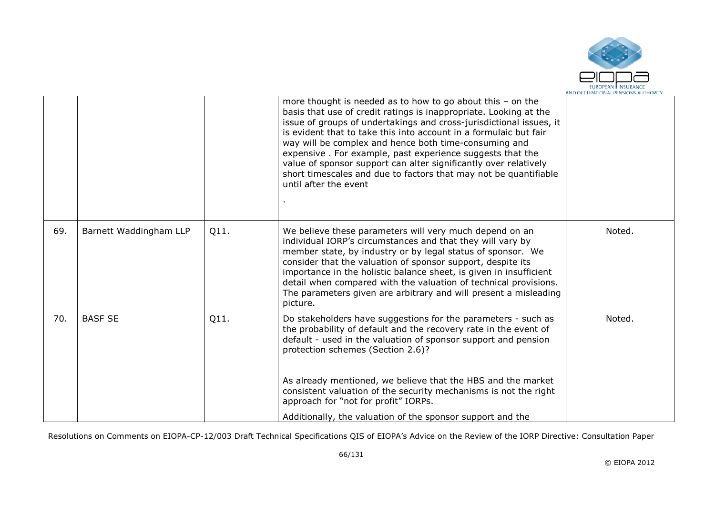

|     |                        |      | more thought is needed as to how to go about this $-$ on the<br>basis that use of credit ratings is inappropriate. Looking at the<br>issue of groups of undertakings and cross-jurisdictional issues, it<br>is evident that to take this into account in a formulaic but fair<br>way will be complex and hence both time-consuming and<br>expensive. For example, past experience suggests that the<br>value of sponsor support can alter significantly over relatively<br>short timescales and due to factors that may not be quantifiable<br>until after the event |        |
|-----|------------------------|------|----------------------------------------------------------------------------------------------------------------------------------------------------------------------------------------------------------------------------------------------------------------------------------------------------------------------------------------------------------------------------------------------------------------------------------------------------------------------------------------------------------------------------------------------------------------------|--------|
| 69. | Barnett Waddingham LLP | Q11. | We believe these parameters will very much depend on an<br>individual IORP's circumstances and that they will vary by<br>member state, by industry or by legal status of sponsor. We<br>consider that the valuation of sponsor support, despite its<br>importance in the holistic balance sheet, is given in insufficient<br>detail when compared with the valuation of technical provisions.<br>The parameters given are arbitrary and will present a misleading<br>picture.                                                                                        | Noted. |
| 70. | <b>BASF SE</b>         | Q11. | Do stakeholders have suggestions for the parameters - such as<br>the probability of default and the recovery rate in the event of<br>default - used in the valuation of sponsor support and pension<br>protection schemes (Section 2.6)?<br>As already mentioned, we believe that the HBS and the market                                                                                                                                                                                                                                                             | Noted. |
|     |                        |      | consistent valuation of the security mechanisms is not the right<br>approach for "not for profit" IORPs.<br>Additionally, the valuation of the sponsor support and the                                                                                                                                                                                                                                                                                                                                                                                               |        |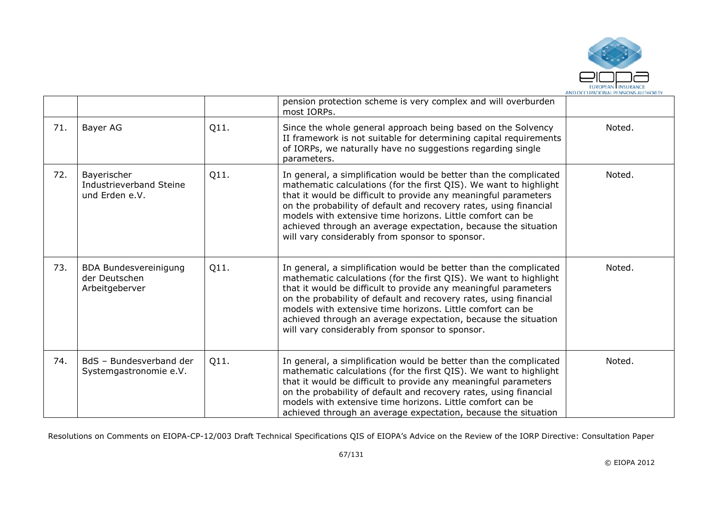

|     |                                                                 |      | pension protection scheme is very complex and will overburden<br>most IORPs.                                                                                                                                                                                                                                                                                                                                                                                      |        |
|-----|-----------------------------------------------------------------|------|-------------------------------------------------------------------------------------------------------------------------------------------------------------------------------------------------------------------------------------------------------------------------------------------------------------------------------------------------------------------------------------------------------------------------------------------------------------------|--------|
| 71. | Bayer AG                                                        | Q11. | Since the whole general approach being based on the Solvency<br>II framework is not suitable for determining capital requirements<br>of IORPs, we naturally have no suggestions regarding single<br>parameters.                                                                                                                                                                                                                                                   | Noted. |
| 72. | Bayerischer<br>Industrieverband Steine<br>und Erden e.V.        | Q11. | In general, a simplification would be better than the complicated<br>mathematic calculations (for the first QIS). We want to highlight<br>that it would be difficult to provide any meaningful parameters<br>on the probability of default and recovery rates, using financial<br>models with extensive time horizons. Little comfort can be<br>achieved through an average expectation, because the situation<br>will vary considerably from sponsor to sponsor. | Noted. |
| 73. | <b>BDA Bundesvereinigung</b><br>der Deutschen<br>Arbeitgeberver | Q11. | In general, a simplification would be better than the complicated<br>mathematic calculations (for the first QIS). We want to highlight<br>that it would be difficult to provide any meaningful parameters<br>on the probability of default and recovery rates, using financial<br>models with extensive time horizons. Little comfort can be<br>achieved through an average expectation, because the situation<br>will vary considerably from sponsor to sponsor. | Noted. |
| 74. | BdS - Bundesverband der<br>Systemgastronomie e.V.               | Q11. | In general, a simplification would be better than the complicated<br>mathematic calculations (for the first QIS). We want to highlight<br>that it would be difficult to provide any meaningful parameters<br>on the probability of default and recovery rates, using financial<br>models with extensive time horizons. Little comfort can be<br>achieved through an average expectation, because the situation                                                    | Noted. |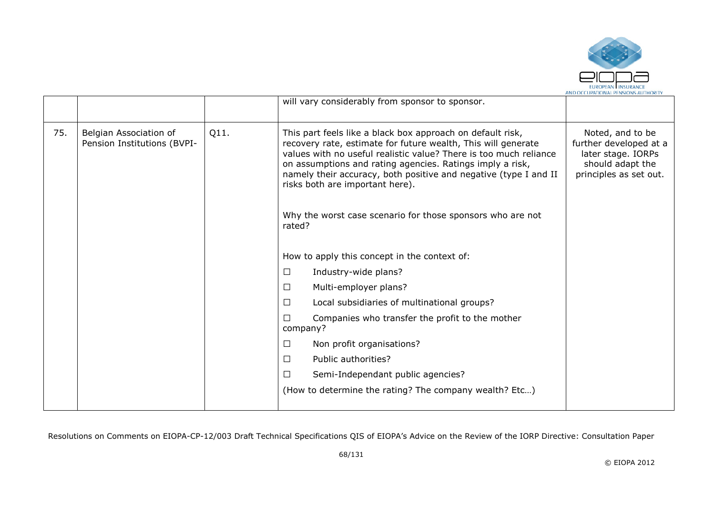

|     |                                                       |      | will vary considerably from sponsor to sponsor.                                                                                                                                                                                                                                                                                                                                                                                              |                                                                                                                |
|-----|-------------------------------------------------------|------|----------------------------------------------------------------------------------------------------------------------------------------------------------------------------------------------------------------------------------------------------------------------------------------------------------------------------------------------------------------------------------------------------------------------------------------------|----------------------------------------------------------------------------------------------------------------|
| 75. | Belgian Association of<br>Pension Institutions (BVPI- | Q11. | This part feels like a black box approach on default risk,<br>recovery rate, estimate for future wealth, This will generate<br>values with no useful realistic value? There is too much reliance<br>on assumptions and rating agencies. Ratings imply a risk,<br>namely their accuracy, both positive and negative (type I and II<br>risks both are important here).<br>Why the worst case scenario for those sponsors who are not<br>rated? | Noted, and to be<br>further developed at a<br>later stage. IORPs<br>should adapt the<br>principles as set out. |
|     |                                                       |      | How to apply this concept in the context of:                                                                                                                                                                                                                                                                                                                                                                                                 |                                                                                                                |
|     |                                                       |      | $\Box$<br>Industry-wide plans?                                                                                                                                                                                                                                                                                                                                                                                                               |                                                                                                                |
|     |                                                       |      | Multi-employer plans?<br>$\Box$                                                                                                                                                                                                                                                                                                                                                                                                              |                                                                                                                |
|     |                                                       |      | Local subsidiaries of multinational groups?<br>□                                                                                                                                                                                                                                                                                                                                                                                             |                                                                                                                |
|     |                                                       |      | Companies who transfer the profit to the mother<br>□<br>company?                                                                                                                                                                                                                                                                                                                                                                             |                                                                                                                |
|     |                                                       |      | $\Box$<br>Non profit organisations?                                                                                                                                                                                                                                                                                                                                                                                                          |                                                                                                                |
|     |                                                       |      | $\Box$<br>Public authorities?                                                                                                                                                                                                                                                                                                                                                                                                                |                                                                                                                |
|     |                                                       |      | □<br>Semi-Independant public agencies?                                                                                                                                                                                                                                                                                                                                                                                                       |                                                                                                                |
|     |                                                       |      | (How to determine the rating? The company wealth? Etc)                                                                                                                                                                                                                                                                                                                                                                                       |                                                                                                                |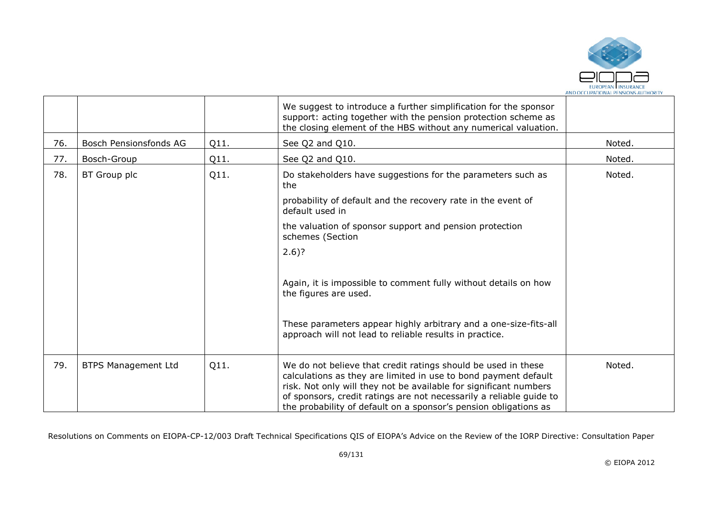

|     |                            |      | We suggest to introduce a further simplification for the sponsor<br>support: acting together with the pension protection scheme as<br>the closing element of the HBS without any numerical valuation.                                                                                                                                            |        |
|-----|----------------------------|------|--------------------------------------------------------------------------------------------------------------------------------------------------------------------------------------------------------------------------------------------------------------------------------------------------------------------------------------------------|--------|
| 76. | Bosch Pensionsfonds AG     | Q11. | See Q2 and Q10.                                                                                                                                                                                                                                                                                                                                  | Noted. |
| 77. | Bosch-Group                | Q11. | See Q2 and Q10.                                                                                                                                                                                                                                                                                                                                  | Noted. |
| 78. | BT Group plc               | Q11. | Do stakeholders have suggestions for the parameters such as<br>the                                                                                                                                                                                                                                                                               | Noted. |
|     |                            |      | probability of default and the recovery rate in the event of<br>default used in                                                                                                                                                                                                                                                                  |        |
|     |                            |      | the valuation of sponsor support and pension protection<br>schemes (Section                                                                                                                                                                                                                                                                      |        |
|     |                            |      | $2.6$ ?                                                                                                                                                                                                                                                                                                                                          |        |
|     |                            |      | Again, it is impossible to comment fully without details on how<br>the figures are used.                                                                                                                                                                                                                                                         |        |
|     |                            |      | These parameters appear highly arbitrary and a one-size-fits-all<br>approach will not lead to reliable results in practice.                                                                                                                                                                                                                      |        |
| 79. | <b>BTPS Management Ltd</b> | Q11. | We do not believe that credit ratings should be used in these<br>calculations as they are limited in use to bond payment default<br>risk. Not only will they not be available for significant numbers<br>of sponsors, credit ratings are not necessarily a reliable guide to<br>the probability of default on a sponsor's pension obligations as | Noted. |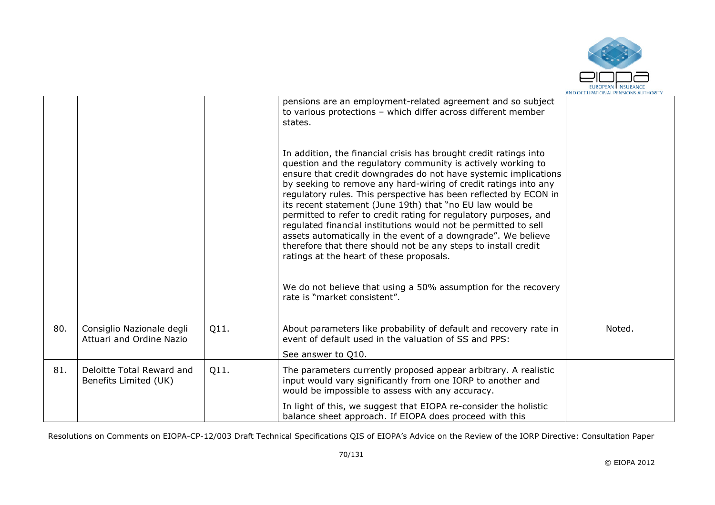

|     |                                                       |      | pensions are an employment-related agreement and so subject<br>to various protections - which differ across different member<br>states.<br>In addition, the financial crisis has brought credit ratings into<br>question and the regulatory community is actively working to<br>ensure that credit downgrades do not have systemic implications<br>by seeking to remove any hard-wiring of credit ratings into any<br>regulatory rules. This perspective has been reflected by ECON in<br>its recent statement (June 19th) that "no EU law would be<br>permitted to refer to credit rating for regulatory purposes, and<br>regulated financial institutions would not be permitted to sell<br>assets automatically in the event of a downgrade". We believe<br>therefore that there should not be any steps to install credit<br>ratings at the heart of these proposals.<br>We do not believe that using a 50% assumption for the recovery<br>rate is "market consistent". |        |
|-----|-------------------------------------------------------|------|-----------------------------------------------------------------------------------------------------------------------------------------------------------------------------------------------------------------------------------------------------------------------------------------------------------------------------------------------------------------------------------------------------------------------------------------------------------------------------------------------------------------------------------------------------------------------------------------------------------------------------------------------------------------------------------------------------------------------------------------------------------------------------------------------------------------------------------------------------------------------------------------------------------------------------------------------------------------------------|--------|
| 80. | Consiglio Nazionale degli<br>Attuari and Ordine Nazio | Q11. | About parameters like probability of default and recovery rate in<br>event of default used in the valuation of SS and PPS:<br>See answer to Q10.                                                                                                                                                                                                                                                                                                                                                                                                                                                                                                                                                                                                                                                                                                                                                                                                                            | Noted. |
| 81. | Deloitte Total Reward and<br>Benefits Limited (UK)    | Q11. | The parameters currently proposed appear arbitrary. A realistic<br>input would vary significantly from one IORP to another and<br>would be impossible to assess with any accuracy.                                                                                                                                                                                                                                                                                                                                                                                                                                                                                                                                                                                                                                                                                                                                                                                          |        |
|     |                                                       |      | In light of this, we suggest that EIOPA re-consider the holistic<br>balance sheet approach. If EIOPA does proceed with this                                                                                                                                                                                                                                                                                                                                                                                                                                                                                                                                                                                                                                                                                                                                                                                                                                                 |        |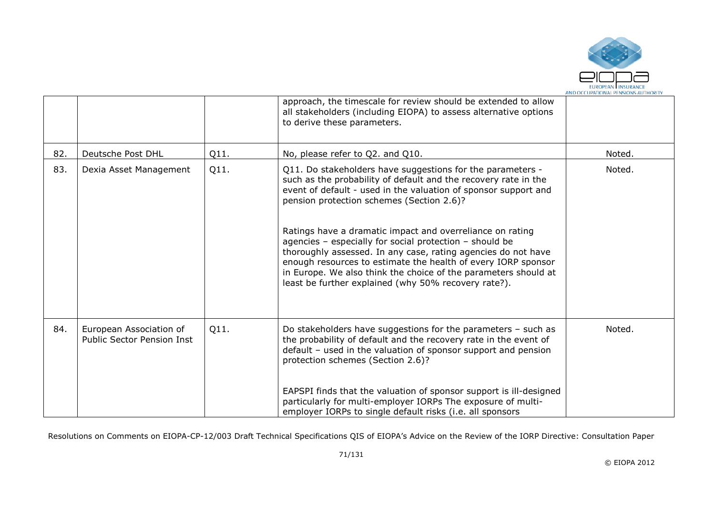

|     |                                                              |      | approach, the timescale for review should be extended to allow<br>all stakeholders (including EIOPA) to assess alternative options<br>to derive these parameters.                                                                                                                                                                                                                                                                                                                                                                                                                                                                  |        |
|-----|--------------------------------------------------------------|------|------------------------------------------------------------------------------------------------------------------------------------------------------------------------------------------------------------------------------------------------------------------------------------------------------------------------------------------------------------------------------------------------------------------------------------------------------------------------------------------------------------------------------------------------------------------------------------------------------------------------------------|--------|
| 82. | Deutsche Post DHL                                            | Q11. | No, please refer to Q2. and Q10.                                                                                                                                                                                                                                                                                                                                                                                                                                                                                                                                                                                                   | Noted. |
| 83. | Dexia Asset Management                                       | Q11. | Q11. Do stakeholders have suggestions for the parameters -<br>such as the probability of default and the recovery rate in the<br>event of default - used in the valuation of sponsor support and<br>pension protection schemes (Section 2.6)?<br>Ratings have a dramatic impact and overreliance on rating<br>agencies - especially for social protection - should be<br>thoroughly assessed. In any case, rating agencies do not have<br>enough resources to estimate the health of every IORP sponsor<br>in Europe. We also think the choice of the parameters should at<br>least be further explained (why 50% recovery rate?). | Noted. |
| 84. | European Association of<br><b>Public Sector Pension Inst</b> | Q11. | Do stakeholders have suggestions for the parameters - such as<br>the probability of default and the recovery rate in the event of<br>default - used in the valuation of sponsor support and pension<br>protection schemes (Section 2.6)?<br>EAPSPI finds that the valuation of sponsor support is ill-designed<br>particularly for multi-employer IORPs The exposure of multi-<br>employer IORPs to single default risks (i.e. all sponsors                                                                                                                                                                                        | Noted. |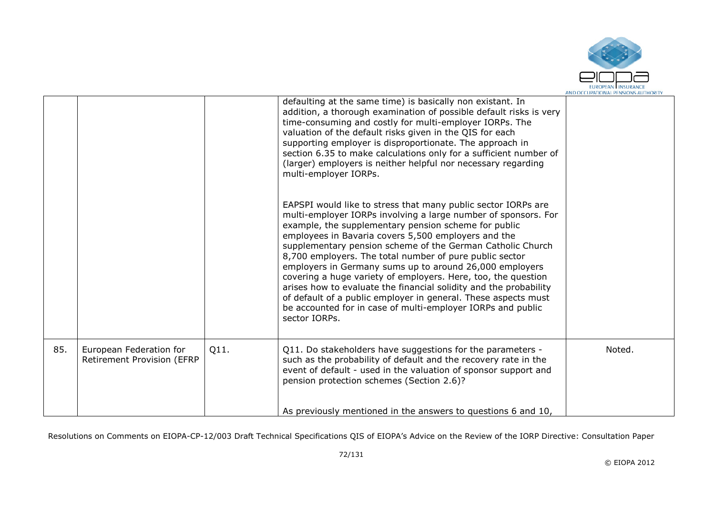

|     |                                                              |      | defaulting at the same time) is basically non existant. In<br>addition, a thorough examination of possible default risks is very<br>time-consuming and costly for multi-employer IORPs. The<br>valuation of the default risks given in the QIS for each<br>supporting employer is disproportionate. The approach in<br>section 6.35 to make calculations only for a sufficient number of<br>(larger) employers is neither helpful nor necessary regarding<br>multi-employer IORPs.                                                                                                                                                                                                                                         |        |
|-----|--------------------------------------------------------------|------|----------------------------------------------------------------------------------------------------------------------------------------------------------------------------------------------------------------------------------------------------------------------------------------------------------------------------------------------------------------------------------------------------------------------------------------------------------------------------------------------------------------------------------------------------------------------------------------------------------------------------------------------------------------------------------------------------------------------------|--------|
|     |                                                              |      | EAPSPI would like to stress that many public sector IORPs are<br>multi-employer IORPs involving a large number of sponsors. For<br>example, the supplementary pension scheme for public<br>employees in Bavaria covers 5,500 employers and the<br>supplementary pension scheme of the German Catholic Church<br>8,700 employers. The total number of pure public sector<br>employers in Germany sums up to around 26,000 employers<br>covering a huge variety of employers. Here, too, the question<br>arises how to evaluate the financial solidity and the probability<br>of default of a public employer in general. These aspects must<br>be accounted for in case of multi-employer IORPs and public<br>sector IORPs. |        |
| 85. | European Federation for<br><b>Retirement Provision (EFRP</b> | Q11. | Q11. Do stakeholders have suggestions for the parameters -<br>such as the probability of default and the recovery rate in the<br>event of default - used in the valuation of sponsor support and<br>pension protection schemes (Section 2.6)?                                                                                                                                                                                                                                                                                                                                                                                                                                                                              | Noted. |
|     |                                                              |      | As previously mentioned in the answers to questions 6 and 10,                                                                                                                                                                                                                                                                                                                                                                                                                                                                                                                                                                                                                                                              |        |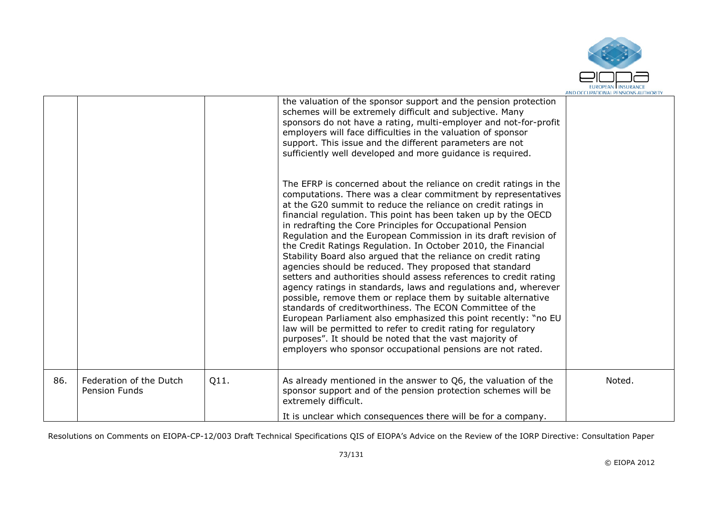

|     |                                                 |      | the valuation of the sponsor support and the pension protection<br>schemes will be extremely difficult and subjective. Many<br>sponsors do not have a rating, multi-employer and not-for-profit<br>employers will face difficulties in the valuation of sponsor<br>support. This issue and the different parameters are not<br>sufficiently well developed and more guidance is required.<br>The EFRP is concerned about the reliance on credit ratings in the<br>computations. There was a clear commitment by representatives<br>at the G20 summit to reduce the reliance on credit ratings in<br>financial regulation. This point has been taken up by the OECD<br>in redrafting the Core Principles for Occupational Pension<br>Regulation and the European Commission in its draft revision of<br>the Credit Ratings Regulation. In October 2010, the Financial<br>Stability Board also argued that the reliance on credit rating<br>agencies should be reduced. They proposed that standard<br>setters and authorities should assess references to credit rating<br>agency ratings in standards, laws and regulations and, wherever<br>possible, remove them or replace them by suitable alternative<br>standards of creditworthiness. The ECON Committee of the<br>European Parliament also emphasized this point recently: "no EU<br>law will be permitted to refer to credit rating for regulatory<br>purposes". It should be noted that the vast majority of<br>employers who sponsor occupational pensions are not rated. |        |
|-----|-------------------------------------------------|------|--------------------------------------------------------------------------------------------------------------------------------------------------------------------------------------------------------------------------------------------------------------------------------------------------------------------------------------------------------------------------------------------------------------------------------------------------------------------------------------------------------------------------------------------------------------------------------------------------------------------------------------------------------------------------------------------------------------------------------------------------------------------------------------------------------------------------------------------------------------------------------------------------------------------------------------------------------------------------------------------------------------------------------------------------------------------------------------------------------------------------------------------------------------------------------------------------------------------------------------------------------------------------------------------------------------------------------------------------------------------------------------------------------------------------------------------------------------------------------------------------------------------------------------|--------|
| 86. | Federation of the Dutch<br><b>Pension Funds</b> | Q11. | As already mentioned in the answer to Q6, the valuation of the<br>sponsor support and of the pension protection schemes will be<br>extremely difficult.<br>It is unclear which consequences there will be for a company.                                                                                                                                                                                                                                                                                                                                                                                                                                                                                                                                                                                                                                                                                                                                                                                                                                                                                                                                                                                                                                                                                                                                                                                                                                                                                                             | Noted. |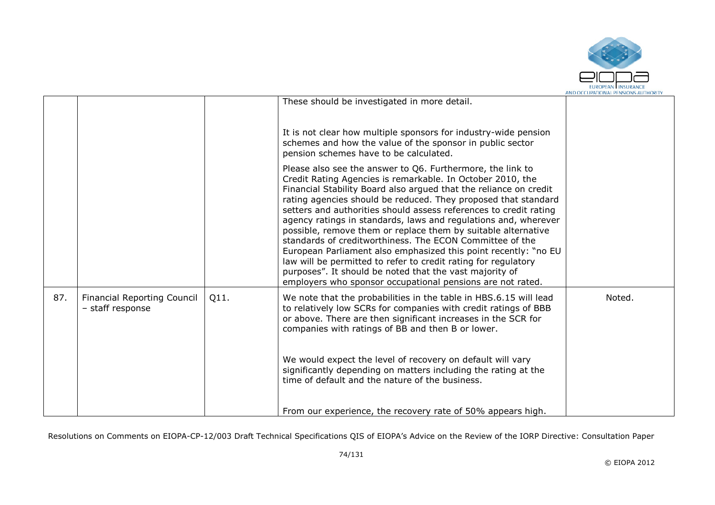

|     |                                                        |      |                                                                                                                                                                                                                                                                                                                                                                                                                                                                                                                                                                                                                                                                                                                                                                                                    | AND OCCUPATIONAL PENSIONS AUTHORITY |
|-----|--------------------------------------------------------|------|----------------------------------------------------------------------------------------------------------------------------------------------------------------------------------------------------------------------------------------------------------------------------------------------------------------------------------------------------------------------------------------------------------------------------------------------------------------------------------------------------------------------------------------------------------------------------------------------------------------------------------------------------------------------------------------------------------------------------------------------------------------------------------------------------|-------------------------------------|
|     |                                                        |      | These should be investigated in more detail.                                                                                                                                                                                                                                                                                                                                                                                                                                                                                                                                                                                                                                                                                                                                                       |                                     |
|     |                                                        |      | It is not clear how multiple sponsors for industry-wide pension<br>schemes and how the value of the sponsor in public sector<br>pension schemes have to be calculated.                                                                                                                                                                                                                                                                                                                                                                                                                                                                                                                                                                                                                             |                                     |
|     |                                                        |      | Please also see the answer to Q6. Furthermore, the link to<br>Credit Rating Agencies is remarkable. In October 2010, the<br>Financial Stability Board also argued that the reliance on credit<br>rating agencies should be reduced. They proposed that standard<br>setters and authorities should assess references to credit rating<br>agency ratings in standards, laws and regulations and, wherever<br>possible, remove them or replace them by suitable alternative<br>standards of creditworthiness. The ECON Committee of the<br>European Parliament also emphasized this point recently: "no EU<br>law will be permitted to refer to credit rating for regulatory<br>purposes". It should be noted that the vast majority of<br>employers who sponsor occupational pensions are not rated. |                                     |
| 87. | <b>Financial Reporting Council</b><br>- staff response | Q11. | We note that the probabilities in the table in HBS.6.15 will lead<br>to relatively low SCRs for companies with credit ratings of BBB<br>or above. There are then significant increases in the SCR for<br>companies with ratings of BB and then B or lower.                                                                                                                                                                                                                                                                                                                                                                                                                                                                                                                                         | Noted.                              |
|     |                                                        |      | We would expect the level of recovery on default will vary<br>significantly depending on matters including the rating at the<br>time of default and the nature of the business.                                                                                                                                                                                                                                                                                                                                                                                                                                                                                                                                                                                                                    |                                     |
|     |                                                        |      | From our experience, the recovery rate of 50% appears high.                                                                                                                                                                                                                                                                                                                                                                                                                                                                                                                                                                                                                                                                                                                                        |                                     |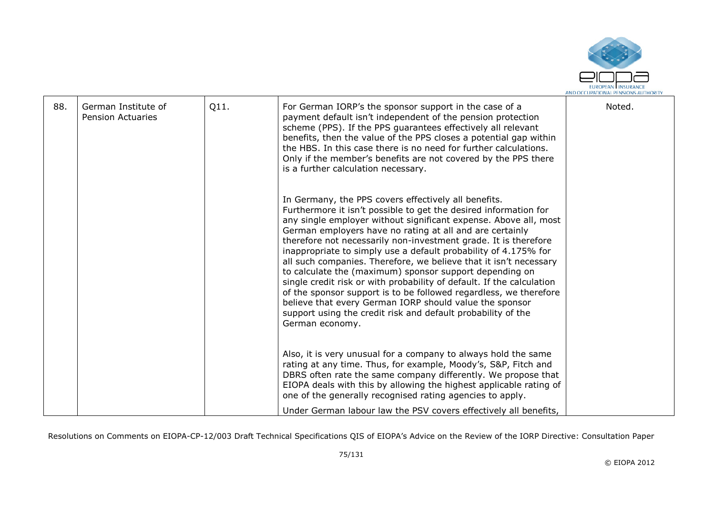

| 88. | German Institute of<br><b>Pension Actuaries</b> | Q11. | For German IORP's the sponsor support in the case of a<br>payment default isn't independent of the pension protection<br>scheme (PPS). If the PPS guarantees effectively all relevant<br>benefits, then the value of the PPS closes a potential gap within<br>the HBS. In this case there is no need for further calculations.<br>Only if the member's benefits are not covered by the PPS there<br>is a further calculation necessary.                                                                                                                                                                                                                                                                                                                                                                                    | Noted. |
|-----|-------------------------------------------------|------|----------------------------------------------------------------------------------------------------------------------------------------------------------------------------------------------------------------------------------------------------------------------------------------------------------------------------------------------------------------------------------------------------------------------------------------------------------------------------------------------------------------------------------------------------------------------------------------------------------------------------------------------------------------------------------------------------------------------------------------------------------------------------------------------------------------------------|--------|
|     |                                                 |      | In Germany, the PPS covers effectively all benefits.<br>Furthermore it isn't possible to get the desired information for<br>any single employer without significant expense. Above all, most<br>German employers have no rating at all and are certainly<br>therefore not necessarily non-investment grade. It is therefore<br>inappropriate to simply use a default probability of 4.175% for<br>all such companies. Therefore, we believe that it isn't necessary<br>to calculate the (maximum) sponsor support depending on<br>single credit risk or with probability of default. If the calculation<br>of the sponsor support is to be followed regardless, we therefore<br>believe that every German IORP should value the sponsor<br>support using the credit risk and default probability of the<br>German economy. |        |
|     |                                                 |      | Also, it is very unusual for a company to always hold the same<br>rating at any time. Thus, for example, Moody's, S&P, Fitch and<br>DBRS often rate the same company differently. We propose that<br>EIOPA deals with this by allowing the highest applicable rating of<br>one of the generally recognised rating agencies to apply.                                                                                                                                                                                                                                                                                                                                                                                                                                                                                       |        |
|     |                                                 |      | Under German labour law the PSV covers effectively all benefits,                                                                                                                                                                                                                                                                                                                                                                                                                                                                                                                                                                                                                                                                                                                                                           |        |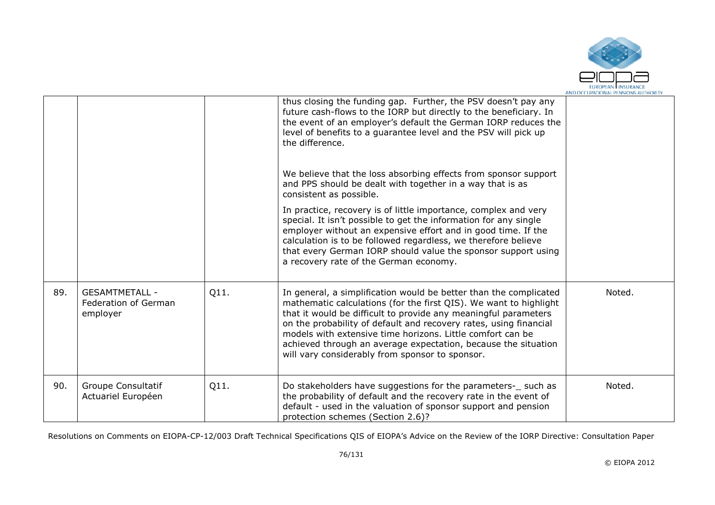

|     |                                                           |      | thus closing the funding gap. Further, the PSV doesn't pay any<br>future cash-flows to the IORP but directly to the beneficiary. In<br>the event of an employer's default the German IORP reduces the<br>level of benefits to a guarantee level and the PSV will pick up<br>the difference.                                                                                                                                                                       |        |
|-----|-----------------------------------------------------------|------|-------------------------------------------------------------------------------------------------------------------------------------------------------------------------------------------------------------------------------------------------------------------------------------------------------------------------------------------------------------------------------------------------------------------------------------------------------------------|--------|
|     |                                                           |      | We believe that the loss absorbing effects from sponsor support<br>and PPS should be dealt with together in a way that is as<br>consistent as possible.                                                                                                                                                                                                                                                                                                           |        |
|     |                                                           |      | In practice, recovery is of little importance, complex and very<br>special. It isn't possible to get the information for any single<br>employer without an expensive effort and in good time. If the<br>calculation is to be followed regardless, we therefore believe<br>that every German IORP should value the sponsor support using<br>a recovery rate of the German economy.                                                                                 |        |
| 89. | <b>GESAMTMETALL -</b><br>Federation of German<br>employer | Q11. | In general, a simplification would be better than the complicated<br>mathematic calculations (for the first QIS). We want to highlight<br>that it would be difficult to provide any meaningful parameters<br>on the probability of default and recovery rates, using financial<br>models with extensive time horizons. Little comfort can be<br>achieved through an average expectation, because the situation<br>will vary considerably from sponsor to sponsor. | Noted. |
| 90. | Groupe Consultatif<br>Actuariel Européen                  | Q11. | Do stakeholders have suggestions for the parameters-_ such as<br>the probability of default and the recovery rate in the event of<br>default - used in the valuation of sponsor support and pension<br>protection schemes (Section 2.6)?                                                                                                                                                                                                                          | Noted. |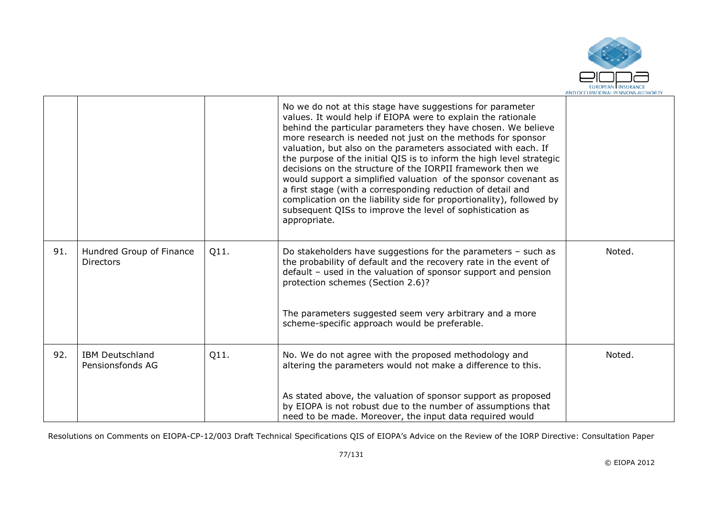

|     |                                              |      | No we do not at this stage have suggestions for parameter<br>values. It would help if EIOPA were to explain the rationale<br>behind the particular parameters they have chosen. We believe<br>more research is needed not just on the methods for sponsor<br>valuation, but also on the parameters associated with each. If<br>the purpose of the initial QIS is to inform the high level strategic<br>decisions on the structure of the IORPII framework then we<br>would support a simplified valuation of the sponsor covenant as<br>a first stage (with a corresponding reduction of detail and<br>complication on the liability side for proportionality), followed by<br>subsequent QISs to improve the level of sophistication as<br>appropriate. |        |
|-----|----------------------------------------------|------|----------------------------------------------------------------------------------------------------------------------------------------------------------------------------------------------------------------------------------------------------------------------------------------------------------------------------------------------------------------------------------------------------------------------------------------------------------------------------------------------------------------------------------------------------------------------------------------------------------------------------------------------------------------------------------------------------------------------------------------------------------|--------|
| 91. | Hundred Group of Finance<br><b>Directors</b> | Q11. | Do stakeholders have suggestions for the parameters $-$ such as<br>the probability of default and the recovery rate in the event of<br>default - used in the valuation of sponsor support and pension<br>protection schemes (Section 2.6)?                                                                                                                                                                                                                                                                                                                                                                                                                                                                                                               | Noted. |
|     |                                              |      | The parameters suggested seem very arbitrary and a more<br>scheme-specific approach would be preferable.                                                                                                                                                                                                                                                                                                                                                                                                                                                                                                                                                                                                                                                 |        |
| 92. | <b>IBM Deutschland</b><br>Pensionsfonds AG   | Q11. | No. We do not agree with the proposed methodology and<br>altering the parameters would not make a difference to this.                                                                                                                                                                                                                                                                                                                                                                                                                                                                                                                                                                                                                                    | Noted. |
|     |                                              |      | As stated above, the valuation of sponsor support as proposed<br>by EIOPA is not robust due to the number of assumptions that<br>need to be made. Moreover, the input data required would                                                                                                                                                                                                                                                                                                                                                                                                                                                                                                                                                                |        |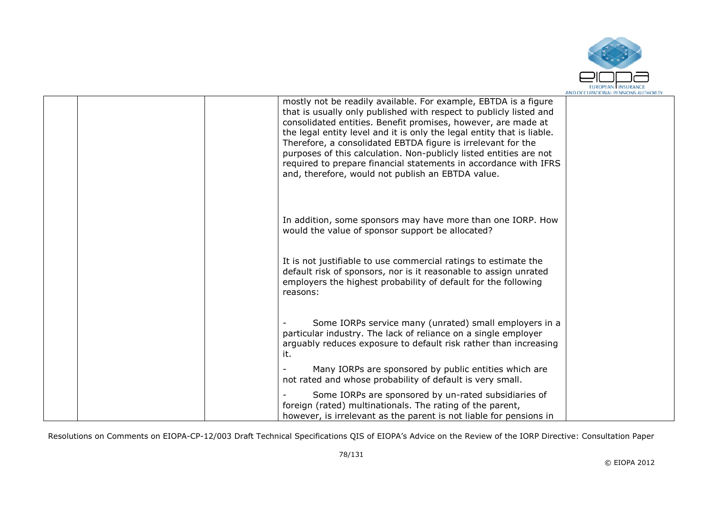

|  | mostly not be readily available. For example, EBTDA is a figure<br>that is usually only published with respect to publicly listed and<br>consolidated entities. Benefit promises, however, are made at<br>the legal entity level and it is only the legal entity that is liable.<br>Therefore, a consolidated EBTDA figure is irrelevant for the<br>purposes of this calculation. Non-publicly listed entities are not<br>required to prepare financial statements in accordance with IFRS<br>and, therefore, would not publish an EBTDA value. |  |
|--|-------------------------------------------------------------------------------------------------------------------------------------------------------------------------------------------------------------------------------------------------------------------------------------------------------------------------------------------------------------------------------------------------------------------------------------------------------------------------------------------------------------------------------------------------|--|
|  | In addition, some sponsors may have more than one IORP. How<br>would the value of sponsor support be allocated?                                                                                                                                                                                                                                                                                                                                                                                                                                 |  |
|  | It is not justifiable to use commercial ratings to estimate the<br>default risk of sponsors, nor is it reasonable to assign unrated<br>employers the highest probability of default for the following<br>reasons:                                                                                                                                                                                                                                                                                                                               |  |
|  | Some IORPs service many (unrated) small employers in a<br>particular industry. The lack of reliance on a single employer<br>arguably reduces exposure to default risk rather than increasing<br>it.                                                                                                                                                                                                                                                                                                                                             |  |
|  | Many IORPs are sponsored by public entities which are<br>not rated and whose probability of default is very small.                                                                                                                                                                                                                                                                                                                                                                                                                              |  |
|  | Some IORPs are sponsored by un-rated subsidiaries of<br>foreign (rated) multinationals. The rating of the parent,<br>however, is irrelevant as the parent is not liable for pensions in                                                                                                                                                                                                                                                                                                                                                         |  |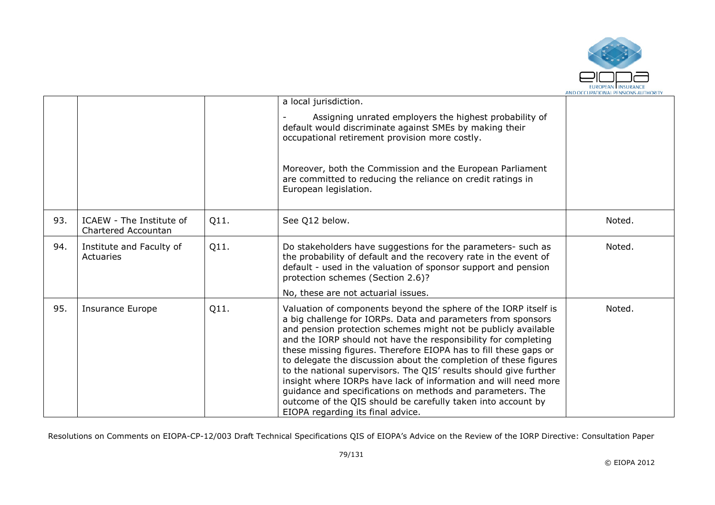

|     |                                                 |      | a local jurisdiction.                                                                                                                                                                                                                                                                                                                                                                                                                                                                                                                                                                                                                                                                                                  |        |
|-----|-------------------------------------------------|------|------------------------------------------------------------------------------------------------------------------------------------------------------------------------------------------------------------------------------------------------------------------------------------------------------------------------------------------------------------------------------------------------------------------------------------------------------------------------------------------------------------------------------------------------------------------------------------------------------------------------------------------------------------------------------------------------------------------------|--------|
|     |                                                 |      | Assigning unrated employers the highest probability of<br>default would discriminate against SMEs by making their<br>occupational retirement provision more costly.                                                                                                                                                                                                                                                                                                                                                                                                                                                                                                                                                    |        |
|     |                                                 |      | Moreover, both the Commission and the European Parliament<br>are committed to reducing the reliance on credit ratings in<br>European legislation.                                                                                                                                                                                                                                                                                                                                                                                                                                                                                                                                                                      |        |
| 93. | ICAEW - The Institute of<br>Chartered Accountan | Q11. | See Q12 below.                                                                                                                                                                                                                                                                                                                                                                                                                                                                                                                                                                                                                                                                                                         | Noted. |
| 94. | Institute and Faculty of<br>Actuaries           | Q11. | Do stakeholders have suggestions for the parameters- such as<br>the probability of default and the recovery rate in the event of<br>default - used in the valuation of sponsor support and pension<br>protection schemes (Section 2.6)?                                                                                                                                                                                                                                                                                                                                                                                                                                                                                | Noted. |
|     |                                                 |      | No, these are not actuarial issues.                                                                                                                                                                                                                                                                                                                                                                                                                                                                                                                                                                                                                                                                                    |        |
| 95. | <b>Insurance Europe</b>                         | Q11. | Valuation of components beyond the sphere of the IORP itself is<br>a big challenge for IORPs. Data and parameters from sponsors<br>and pension protection schemes might not be publicly available<br>and the IORP should not have the responsibility for completing<br>these missing figures. Therefore EIOPA has to fill these gaps or<br>to delegate the discussion about the completion of these figures<br>to the national supervisors. The QIS' results should give further<br>insight where IORPs have lack of information and will need more<br>guidance and specifications on methods and parameters. The<br>outcome of the QIS should be carefully taken into account by<br>EIOPA regarding its final advice. | Noted. |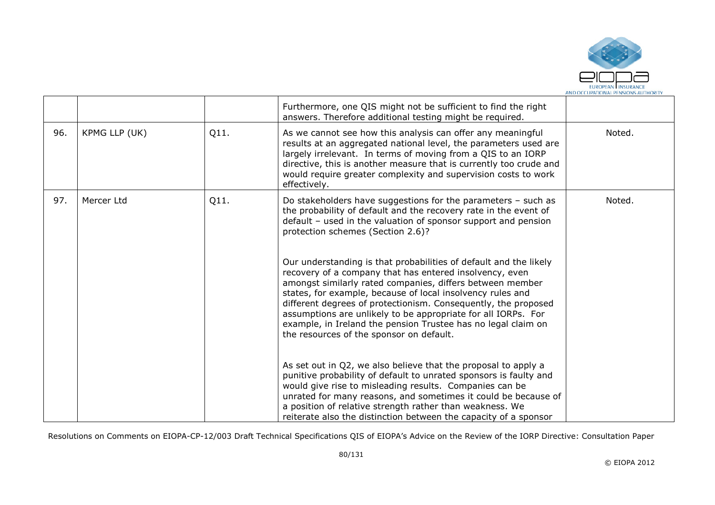

|     |               |      | Furthermore, one QIS might not be sufficient to find the right<br>answers. Therefore additional testing might be required.                                                                                                                                                                                                                                                                                                                                                                              |        |
|-----|---------------|------|---------------------------------------------------------------------------------------------------------------------------------------------------------------------------------------------------------------------------------------------------------------------------------------------------------------------------------------------------------------------------------------------------------------------------------------------------------------------------------------------------------|--------|
| 96. | KPMG LLP (UK) | Q11. | As we cannot see how this analysis can offer any meaningful<br>results at an aggregated national level, the parameters used are<br>largely irrelevant. In terms of moving from a QIS to an IORP<br>directive, this is another measure that is currently too crude and<br>would require greater complexity and supervision costs to work<br>effectively.                                                                                                                                                 | Noted. |
| 97. | Mercer Ltd    | Q11. | Do stakeholders have suggestions for the parameters $-$ such as<br>the probability of default and the recovery rate in the event of<br>default - used in the valuation of sponsor support and pension<br>protection schemes (Section 2.6)?                                                                                                                                                                                                                                                              | Noted. |
|     |               |      | Our understanding is that probabilities of default and the likely<br>recovery of a company that has entered insolvency, even<br>amongst similarly rated companies, differs between member<br>states, for example, because of local insolvency rules and<br>different degrees of protectionism. Consequently, the proposed<br>assumptions are unlikely to be appropriate for all IORPs. For<br>example, in Ireland the pension Trustee has no legal claim on<br>the resources of the sponsor on default. |        |
|     |               |      | As set out in Q2, we also believe that the proposal to apply a<br>punitive probability of default to unrated sponsors is faulty and<br>would give rise to misleading results. Companies can be<br>unrated for many reasons, and sometimes it could be because of<br>a position of relative strength rather than weakness. We<br>reiterate also the distinction between the capacity of a sponsor                                                                                                        |        |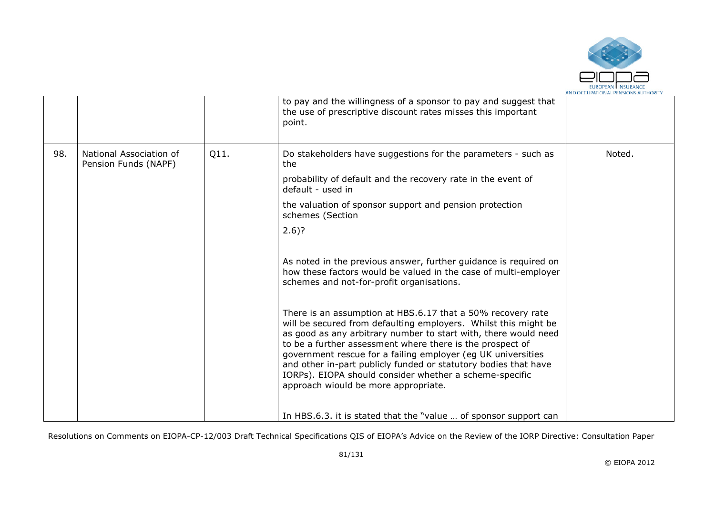

|     |                                                 |      | to pay and the willingness of a sponsor to pay and suggest that<br>the use of prescriptive discount rates misses this important<br>point.                                                                                                                                                                                                                                                                                                                                                            |        |
|-----|-------------------------------------------------|------|------------------------------------------------------------------------------------------------------------------------------------------------------------------------------------------------------------------------------------------------------------------------------------------------------------------------------------------------------------------------------------------------------------------------------------------------------------------------------------------------------|--------|
| 98. | National Association of<br>Pension Funds (NAPF) | Q11. | Do stakeholders have suggestions for the parameters - such as<br>the.                                                                                                                                                                                                                                                                                                                                                                                                                                | Noted. |
|     |                                                 |      | probability of default and the recovery rate in the event of<br>default - used in                                                                                                                                                                                                                                                                                                                                                                                                                    |        |
|     |                                                 |      | the valuation of sponsor support and pension protection<br>schemes (Section                                                                                                                                                                                                                                                                                                                                                                                                                          |        |
|     |                                                 |      | $2.6$ ?                                                                                                                                                                                                                                                                                                                                                                                                                                                                                              |        |
|     |                                                 |      | As noted in the previous answer, further guidance is required on<br>how these factors would be valued in the case of multi-employer<br>schemes and not-for-profit organisations.                                                                                                                                                                                                                                                                                                                     |        |
|     |                                                 |      | There is an assumption at HBS.6.17 that a 50% recovery rate<br>will be secured from defaulting employers. Whilst this might be<br>as good as any arbitrary number to start with, there would need<br>to be a further assessment where there is the prospect of<br>government rescue for a failing employer (eg UK universities<br>and other in-part publicly funded or statutory bodies that have<br>IORPs). EIOPA should consider whether a scheme-specific<br>approach wiould be more appropriate. |        |
|     |                                                 |      | In HBS.6.3. it is stated that the "value  of sponsor support can                                                                                                                                                                                                                                                                                                                                                                                                                                     |        |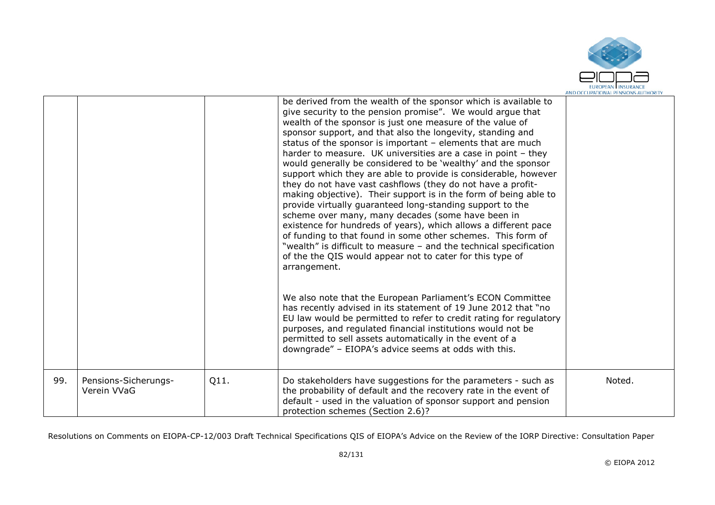

|     |                                     |      | be derived from the wealth of the sponsor which is available to<br>give security to the pension promise". We would argue that<br>wealth of the sponsor is just one measure of the value of<br>sponsor support, and that also the longevity, standing and<br>status of the sponsor is important $-$ elements that are much<br>harder to measure. UK universities are a case in point - they<br>would generally be considered to be 'wealthy' and the sponsor<br>support which they are able to provide is considerable, however<br>they do not have vast cashflows (they do not have a profit-<br>making objective). Their support is in the form of being able to<br>provide virtually guaranteed long-standing support to the<br>scheme over many, many decades (some have been in<br>existence for hundreds of years), which allows a different pace<br>of funding to that found in some other schemes. This form of<br>"wealth" is difficult to measure - and the technical specification<br>of the the QIS would appear not to cater for this type of<br>arrangement.<br>We also note that the European Parliament's ECON Committee<br>has recently advised in its statement of 19 June 2012 that "no<br>EU law would be permitted to refer to credit rating for regulatory<br>purposes, and regulated financial institutions would not be<br>permitted to sell assets automatically in the event of a<br>downgrade" - EIOPA's advice seems at odds with this. |        |
|-----|-------------------------------------|------|--------------------------------------------------------------------------------------------------------------------------------------------------------------------------------------------------------------------------------------------------------------------------------------------------------------------------------------------------------------------------------------------------------------------------------------------------------------------------------------------------------------------------------------------------------------------------------------------------------------------------------------------------------------------------------------------------------------------------------------------------------------------------------------------------------------------------------------------------------------------------------------------------------------------------------------------------------------------------------------------------------------------------------------------------------------------------------------------------------------------------------------------------------------------------------------------------------------------------------------------------------------------------------------------------------------------------------------------------------------------------------------------------------------------------------------------------------------------|--------|
| 99. | Pensions-Sicherungs-<br>Verein VVaG | Q11. | Do stakeholders have suggestions for the parameters - such as<br>the probability of default and the recovery rate in the event of<br>default - used in the valuation of sponsor support and pension<br>protection schemes (Section 2.6)?                                                                                                                                                                                                                                                                                                                                                                                                                                                                                                                                                                                                                                                                                                                                                                                                                                                                                                                                                                                                                                                                                                                                                                                                                           | Noted. |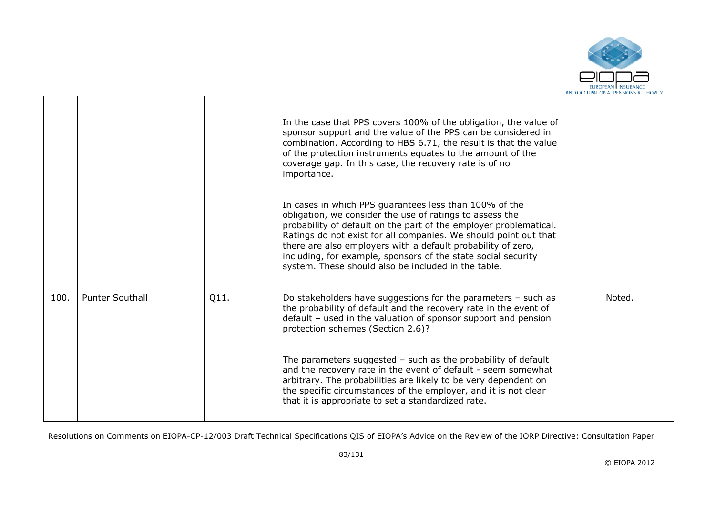

|      |                        |      | In the case that PPS covers 100% of the obligation, the value of<br>sponsor support and the value of the PPS can be considered in<br>combination. According to HBS 6.71, the result is that the value<br>of the protection instruments equates to the amount of the<br>coverage gap. In this case, the recovery rate is of no<br>importance.<br>In cases in which PPS guarantees less than 100% of the<br>obligation, we consider the use of ratings to assess the |        |
|------|------------------------|------|--------------------------------------------------------------------------------------------------------------------------------------------------------------------------------------------------------------------------------------------------------------------------------------------------------------------------------------------------------------------------------------------------------------------------------------------------------------------|--------|
|      |                        |      | probability of default on the part of the employer problematical.<br>Ratings do not exist for all companies. We should point out that<br>there are also employers with a default probability of zero,<br>including, for example, sponsors of the state social security<br>system. These should also be included in the table.                                                                                                                                      |        |
| 100. | <b>Punter Southall</b> | Q11. | Do stakeholders have suggestions for the parameters $-$ such as<br>the probability of default and the recovery rate in the event of<br>default - used in the valuation of sponsor support and pension<br>protection schemes (Section 2.6)?                                                                                                                                                                                                                         | Noted. |
|      |                        |      | The parameters suggested $-$ such as the probability of default<br>and the recovery rate in the event of default - seem somewhat<br>arbitrary. The probabilities are likely to be very dependent on<br>the specific circumstances of the employer, and it is not clear<br>that it is appropriate to set a standardized rate.                                                                                                                                       |        |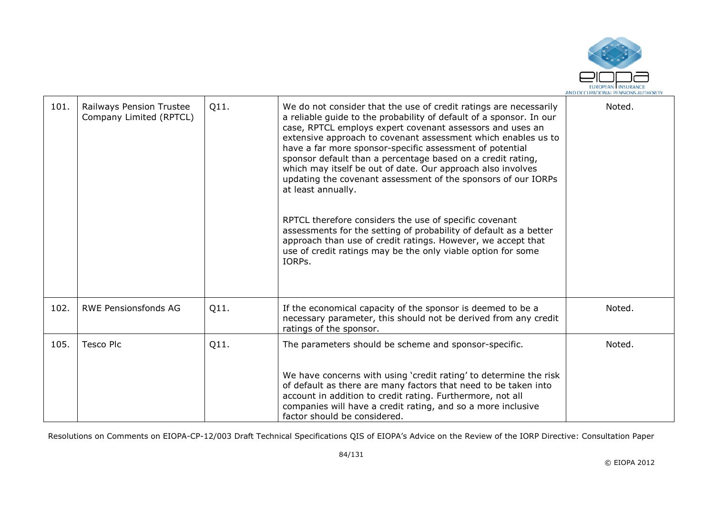

| 101. | Railways Pension Trustee<br>Company Limited (RPTCL) | Q11. | We do not consider that the use of credit ratings are necessarily<br>a reliable guide to the probability of default of a sponsor. In our<br>case, RPTCL employs expert covenant assessors and uses an<br>extensive approach to covenant assessment which enables us to<br>have a far more sponsor-specific assessment of potential<br>sponsor default than a percentage based on a credit rating,<br>which may itself be out of date. Our approach also involves<br>updating the covenant assessment of the sponsors of our IORPs<br>at least annually.<br>RPTCL therefore considers the use of specific covenant<br>assessments for the setting of probability of default as a better<br>approach than use of credit ratings. However, we accept that<br>use of credit ratings may be the only viable option for some<br>IORPs. | Noted. |
|------|-----------------------------------------------------|------|----------------------------------------------------------------------------------------------------------------------------------------------------------------------------------------------------------------------------------------------------------------------------------------------------------------------------------------------------------------------------------------------------------------------------------------------------------------------------------------------------------------------------------------------------------------------------------------------------------------------------------------------------------------------------------------------------------------------------------------------------------------------------------------------------------------------------------|--------|
| 102. | <b>RWE Pensionsfonds AG</b>                         | Q11. | If the economical capacity of the sponsor is deemed to be a<br>necessary parameter, this should not be derived from any credit<br>ratings of the sponsor.                                                                                                                                                                                                                                                                                                                                                                                                                                                                                                                                                                                                                                                                        | Noted. |
| 105. | Tesco Plc                                           | Q11. | The parameters should be scheme and sponsor-specific.                                                                                                                                                                                                                                                                                                                                                                                                                                                                                                                                                                                                                                                                                                                                                                            | Noted. |
|      |                                                     |      | We have concerns with using 'credit rating' to determine the risk<br>of default as there are many factors that need to be taken into<br>account in addition to credit rating. Furthermore, not all<br>companies will have a credit rating, and so a more inclusive<br>factor should be considered.                                                                                                                                                                                                                                                                                                                                                                                                                                                                                                                               |        |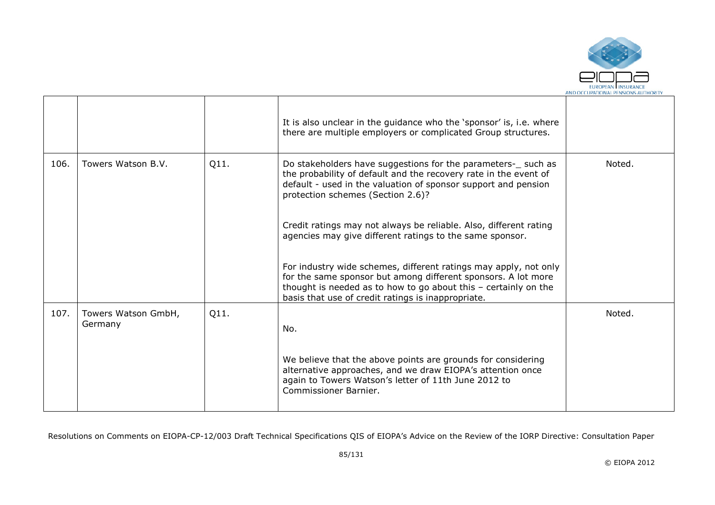

|      |                                |      | It is also unclear in the guidance who the 'sponsor' is, i.e. where<br>there are multiple employers or complicated Group structures.                                                                                                                         |        |
|------|--------------------------------|------|--------------------------------------------------------------------------------------------------------------------------------------------------------------------------------------------------------------------------------------------------------------|--------|
| 106. | Towers Watson B.V.             | Q11. | Do stakeholders have suggestions for the parameters- such as<br>the probability of default and the recovery rate in the event of<br>default - used in the valuation of sponsor support and pension<br>protection schemes (Section 2.6)?                      | Noted. |
|      |                                |      | Credit ratings may not always be reliable. Also, different rating<br>agencies may give different ratings to the same sponsor.                                                                                                                                |        |
|      |                                |      | For industry wide schemes, different ratings may apply, not only<br>for the same sponsor but among different sponsors. A lot more<br>thought is needed as to how to go about this $-$ certainly on the<br>basis that use of credit ratings is inappropriate. |        |
| 107. | Towers Watson GmbH,<br>Germany | Q11. | No.                                                                                                                                                                                                                                                          | Noted. |
|      |                                |      | We believe that the above points are grounds for considering<br>alternative approaches, and we draw EIOPA's attention once<br>again to Towers Watson's letter of 11th June 2012 to<br>Commissioner Barnier.                                                  |        |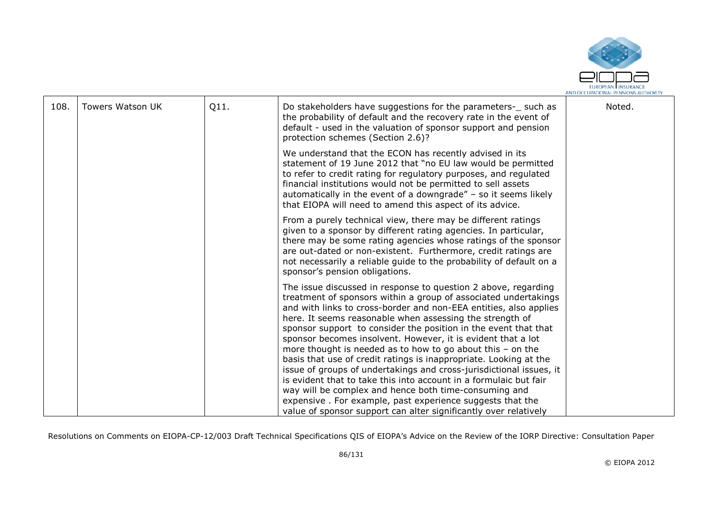

| 108. | Towers Watson UK | Q11. | Do stakeholders have suggestions for the parameters- such as<br>the probability of default and the recovery rate in the event of<br>default - used in the valuation of sponsor support and pension<br>protection schemes (Section 2.6)?                                                                                                                                                                                                                                                                                                                                                                                                                                                                                                                                                                      | Noted. |
|------|------------------|------|--------------------------------------------------------------------------------------------------------------------------------------------------------------------------------------------------------------------------------------------------------------------------------------------------------------------------------------------------------------------------------------------------------------------------------------------------------------------------------------------------------------------------------------------------------------------------------------------------------------------------------------------------------------------------------------------------------------------------------------------------------------------------------------------------------------|--------|
|      |                  |      | We understand that the ECON has recently advised in its<br>statement of 19 June 2012 that "no EU law would be permitted<br>to refer to credit rating for regulatory purposes, and regulated<br>financial institutions would not be permitted to sell assets<br>automatically in the event of a downgrade" $-$ so it seems likely<br>that EIOPA will need to amend this aspect of its advice.                                                                                                                                                                                                                                                                                                                                                                                                                 |        |
|      |                  |      | From a purely technical view, there may be different ratings<br>given to a sponsor by different rating agencies. In particular,<br>there may be some rating agencies whose ratings of the sponsor<br>are out-dated or non-existent. Furthermore, credit ratings are<br>not necessarily a reliable guide to the probability of default on a<br>sponsor's pension obligations.                                                                                                                                                                                                                                                                                                                                                                                                                                 |        |
|      |                  |      | The issue discussed in response to question 2 above, regarding<br>treatment of sponsors within a group of associated undertakings<br>and with links to cross-border and non-EEA entities, also applies<br>here. It seems reasonable when assessing the strength of<br>sponsor support to consider the position in the event that that<br>sponsor becomes insolvent. However, it is evident that a lot<br>more thought is needed as to how to go about this $-$ on the<br>basis that use of credit ratings is inappropriate. Looking at the<br>issue of groups of undertakings and cross-jurisdictional issues, it<br>is evident that to take this into account in a formulaic but fair<br>way will be complex and hence both time-consuming and<br>expensive. For example, past experience suggests that the |        |
|      |                  |      | value of sponsor support can alter significantly over relatively                                                                                                                                                                                                                                                                                                                                                                                                                                                                                                                                                                                                                                                                                                                                             |        |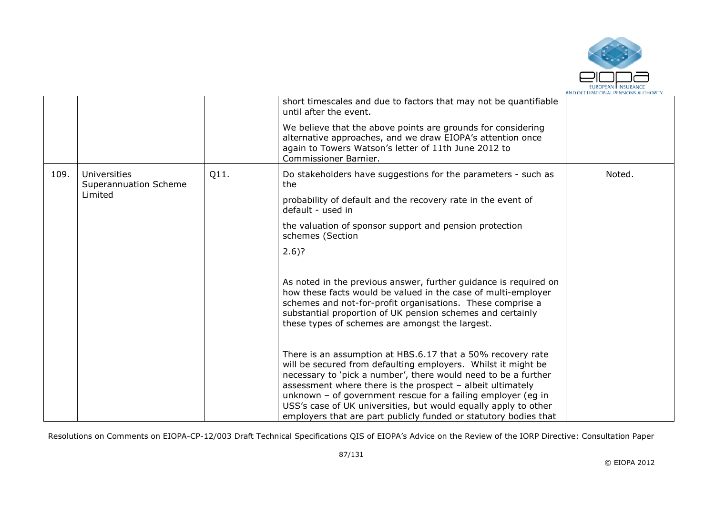

|      |                                       |      | short timescales and due to factors that may not be quantifiable<br>until after the event.                                                                                                                                                                                                                                                                                                                                                                            |        |
|------|---------------------------------------|------|-----------------------------------------------------------------------------------------------------------------------------------------------------------------------------------------------------------------------------------------------------------------------------------------------------------------------------------------------------------------------------------------------------------------------------------------------------------------------|--------|
|      |                                       |      | We believe that the above points are grounds for considering<br>alternative approaches, and we draw EIOPA's attention once<br>again to Towers Watson's letter of 11th June 2012 to<br>Commissioner Barnier.                                                                                                                                                                                                                                                           |        |
| 109. | Universities<br>Superannuation Scheme | Q11. | Do stakeholders have suggestions for the parameters - such as<br>the                                                                                                                                                                                                                                                                                                                                                                                                  | Noted. |
|      | Limited                               |      | probability of default and the recovery rate in the event of<br>default - used in                                                                                                                                                                                                                                                                                                                                                                                     |        |
|      |                                       |      | the valuation of sponsor support and pension protection<br>schemes (Section                                                                                                                                                                                                                                                                                                                                                                                           |        |
|      |                                       |      | $2.6$ ?                                                                                                                                                                                                                                                                                                                                                                                                                                                               |        |
|      |                                       |      | As noted in the previous answer, further guidance is required on<br>how these facts would be valued in the case of multi-employer<br>schemes and not-for-profit organisations. These comprise a<br>substantial proportion of UK pension schemes and certainly<br>these types of schemes are amongst the largest.                                                                                                                                                      |        |
|      |                                       |      | There is an assumption at HBS.6.17 that a 50% recovery rate<br>will be secured from defaulting employers. Whilst it might be<br>necessary to 'pick a number', there would need to be a further<br>assessment where there is the prospect - albeit ultimately<br>unknown $-$ of government rescue for a failing employer (eq in<br>USS's case of UK universities, but would equally apply to other<br>employers that are part publicly funded or statutory bodies that |        |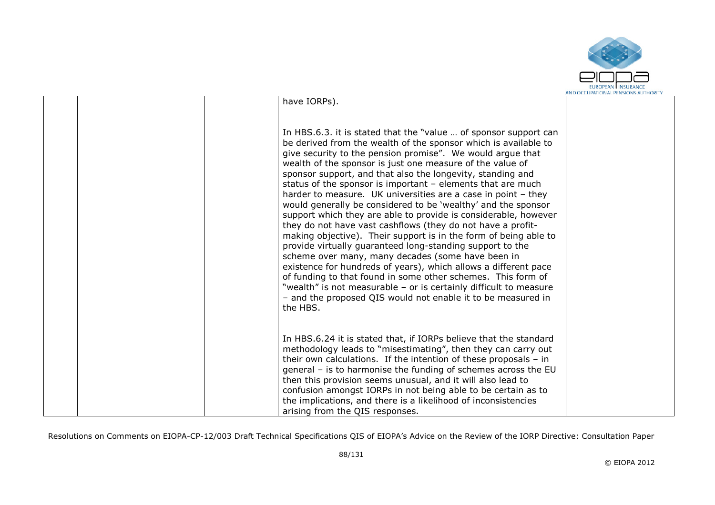

|  | have IORPs).                                                                                                                                                                                                                                                                                                                                                                                                                                                                                                                                                                                                                                                                                                                                                                                                                                                                                                                                                                                                                                                                                                                                |  |
|--|---------------------------------------------------------------------------------------------------------------------------------------------------------------------------------------------------------------------------------------------------------------------------------------------------------------------------------------------------------------------------------------------------------------------------------------------------------------------------------------------------------------------------------------------------------------------------------------------------------------------------------------------------------------------------------------------------------------------------------------------------------------------------------------------------------------------------------------------------------------------------------------------------------------------------------------------------------------------------------------------------------------------------------------------------------------------------------------------------------------------------------------------|--|
|  |                                                                                                                                                                                                                                                                                                                                                                                                                                                                                                                                                                                                                                                                                                                                                                                                                                                                                                                                                                                                                                                                                                                                             |  |
|  | In HBS.6.3. it is stated that the "value  of sponsor support can<br>be derived from the wealth of the sponsor which is available to<br>give security to the pension promise". We would argue that<br>wealth of the sponsor is just one measure of the value of<br>sponsor support, and that also the longevity, standing and<br>status of the sponsor is important $-$ elements that are much<br>harder to measure. UK universities are a case in point - they<br>would generally be considered to be 'wealthy' and the sponsor<br>support which they are able to provide is considerable, however<br>they do not have vast cashflows (they do not have a profit-<br>making objective). Their support is in the form of being able to<br>provide virtually guaranteed long-standing support to the<br>scheme over many, many decades (some have been in<br>existence for hundreds of years), which allows a different pace<br>of funding to that found in some other schemes. This form of<br>"wealth" is not measurable - or is certainly difficult to measure<br>- and the proposed QIS would not enable it to be measured in<br>the HBS. |  |
|  | In HBS.6.24 it is stated that, if IORPs believe that the standard<br>methodology leads to "misestimating", then they can carry out<br>their own calculations. If the intention of these proposals $-$ in<br>general - is to harmonise the funding of schemes across the EU<br>then this provision seems unusual, and it will also lead to<br>confusion amongst IORPs in not being able to be certain as to<br>the implications, and there is a likelihood of inconsistencies<br>arising from the QIS responses.                                                                                                                                                                                                                                                                                                                                                                                                                                                                                                                                                                                                                             |  |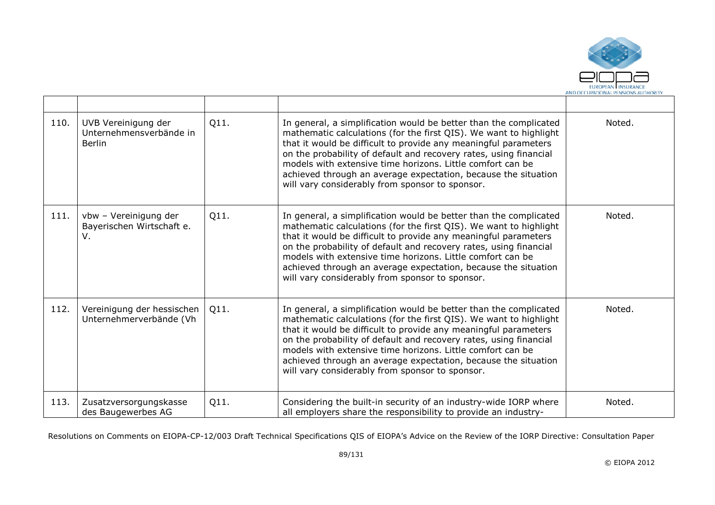

| 110. | UVB Vereinigung der<br>Unternehmensverbände in<br><b>Berlin</b> | Q11. | In general, a simplification would be better than the complicated<br>mathematic calculations (for the first QIS). We want to highlight<br>that it would be difficult to provide any meaningful parameters<br>on the probability of default and recovery rates, using financial<br>models with extensive time horizons. Little comfort can be<br>achieved through an average expectation, because the situation<br>will vary considerably from sponsor to sponsor. | Noted. |
|------|-----------------------------------------------------------------|------|-------------------------------------------------------------------------------------------------------------------------------------------------------------------------------------------------------------------------------------------------------------------------------------------------------------------------------------------------------------------------------------------------------------------------------------------------------------------|--------|
| 111. | vbw - Vereinigung der<br>Bayerischen Wirtschaft e.<br>V.        | Q11. | In general, a simplification would be better than the complicated<br>mathematic calculations (for the first QIS). We want to highlight<br>that it would be difficult to provide any meaningful parameters<br>on the probability of default and recovery rates, using financial<br>models with extensive time horizons. Little comfort can be<br>achieved through an average expectation, because the situation<br>will vary considerably from sponsor to sponsor. | Noted. |
| 112. | Vereinigung der hessischen<br>Unternehmerverbände (Vh           | Q11. | In general, a simplification would be better than the complicated<br>mathematic calculations (for the first QIS). We want to highlight<br>that it would be difficult to provide any meaningful parameters<br>on the probability of default and recovery rates, using financial<br>models with extensive time horizons. Little comfort can be<br>achieved through an average expectation, because the situation<br>will vary considerably from sponsor to sponsor. | Noted. |
| 113. | Zusatzversorgungskasse<br>des Baugewerbes AG                    | Q11. | Considering the built-in security of an industry-wide IORP where<br>all employers share the responsibility to provide an industry-                                                                                                                                                                                                                                                                                                                                | Noted. |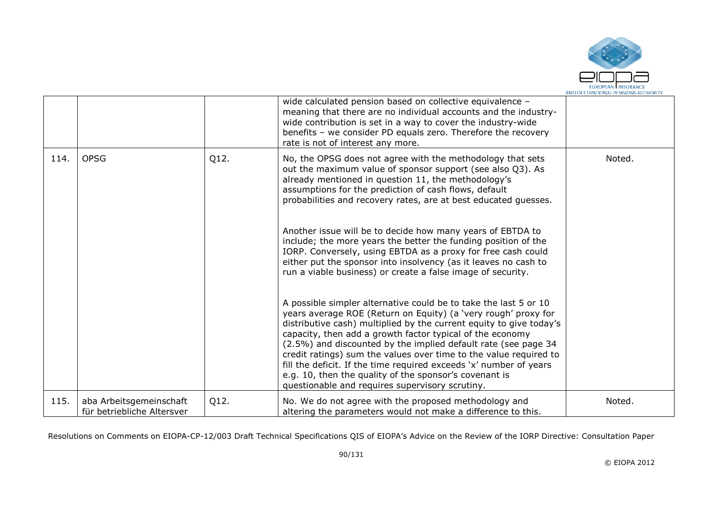

|      |                                                       |      | wide calculated pension based on collective equivalence -<br>meaning that there are no individual accounts and the industry-<br>wide contribution is set in a way to cover the industry-wide<br>benefits - we consider PD equals zero. Therefore the recovery<br>rate is not of interest any more.                                                                                                                                                                                                                                                                                                                                            |        |
|------|-------------------------------------------------------|------|-----------------------------------------------------------------------------------------------------------------------------------------------------------------------------------------------------------------------------------------------------------------------------------------------------------------------------------------------------------------------------------------------------------------------------------------------------------------------------------------------------------------------------------------------------------------------------------------------------------------------------------------------|--------|
| 114. | <b>OPSG</b>                                           | Q12. | No, the OPSG does not agree with the methodology that sets<br>out the maximum value of sponsor support (see also Q3). As<br>already mentioned in question 11, the methodology's<br>assumptions for the prediction of cash flows, default<br>probabilities and recovery rates, are at best educated quesses.<br>Another issue will be to decide how many years of EBTDA to<br>include; the more years the better the funding position of the<br>IORP. Conversely, using EBTDA as a proxy for free cash could<br>either put the sponsor into insolvency (as it leaves no cash to<br>run a viable business) or create a false image of security. | Noted. |
|      |                                                       |      | A possible simpler alternative could be to take the last 5 or 10<br>years average ROE (Return on Equity) (a 'very rough' proxy for<br>distributive cash) multiplied by the current equity to give today's<br>capacity, then add a growth factor typical of the economy<br>(2.5%) and discounted by the implied default rate (see page 34<br>credit ratings) sum the values over time to the value required to<br>fill the deficit. If the time required exceeds 'x' number of years<br>e.g. 10, then the quality of the sponsor's covenant is<br>questionable and requires supervisory scrutiny.                                              |        |
| 115. | aba Arbeitsgemeinschaft<br>für betriebliche Altersver | Q12. | No. We do not agree with the proposed methodology and<br>altering the parameters would not make a difference to this.                                                                                                                                                                                                                                                                                                                                                                                                                                                                                                                         | Noted. |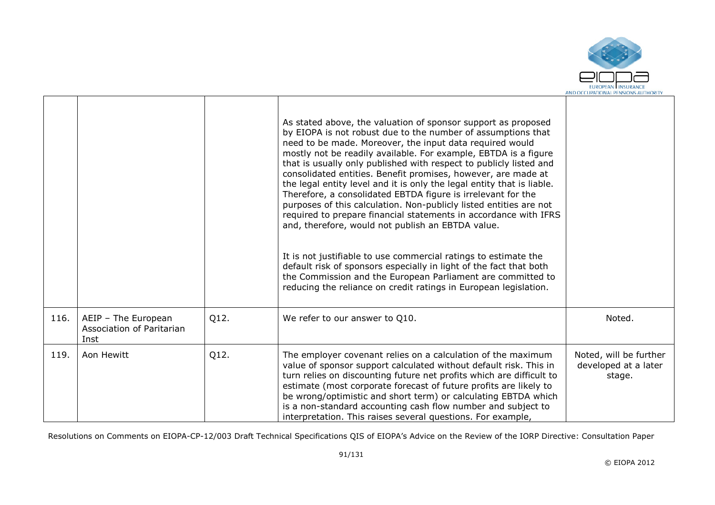

|      |                                                          |      | As stated above, the valuation of sponsor support as proposed<br>by EIOPA is not robust due to the number of assumptions that<br>need to be made. Moreover, the input data required would<br>mostly not be readily available. For example, EBTDA is a figure<br>that is usually only published with respect to publicly listed and<br>consolidated entities. Benefit promises, however, are made at<br>the legal entity level and it is only the legal entity that is liable.<br>Therefore, a consolidated EBTDA figure is irrelevant for the<br>purposes of this calculation. Non-publicly listed entities are not<br>required to prepare financial statements in accordance with IFRS<br>and, therefore, would not publish an EBTDA value.<br>It is not justifiable to use commercial ratings to estimate the<br>default risk of sponsors especially in light of the fact that both<br>the Commission and the European Parliament are committed to<br>reducing the reliance on credit ratings in European legislation. |                                                          |
|------|----------------------------------------------------------|------|--------------------------------------------------------------------------------------------------------------------------------------------------------------------------------------------------------------------------------------------------------------------------------------------------------------------------------------------------------------------------------------------------------------------------------------------------------------------------------------------------------------------------------------------------------------------------------------------------------------------------------------------------------------------------------------------------------------------------------------------------------------------------------------------------------------------------------------------------------------------------------------------------------------------------------------------------------------------------------------------------------------------------|----------------------------------------------------------|
| 116. | AEIP - The European<br>Association of Paritarian<br>Inst | Q12. | We refer to our answer to Q10.                                                                                                                                                                                                                                                                                                                                                                                                                                                                                                                                                                                                                                                                                                                                                                                                                                                                                                                                                                                           | Noted.                                                   |
| 119. | Aon Hewitt                                               | Q12. | The employer covenant relies on a calculation of the maximum<br>value of sponsor support calculated without default risk. This in<br>turn relies on discounting future net profits which are difficult to<br>estimate (most corporate forecast of future profits are likely to<br>be wrong/optimistic and short term) or calculating EBTDA which<br>is a non-standard accounting cash flow number and subject to<br>interpretation. This raises several questions. For example,                                                                                                                                                                                                                                                                                                                                                                                                                                                                                                                                          | Noted, will be further<br>developed at a later<br>stage. |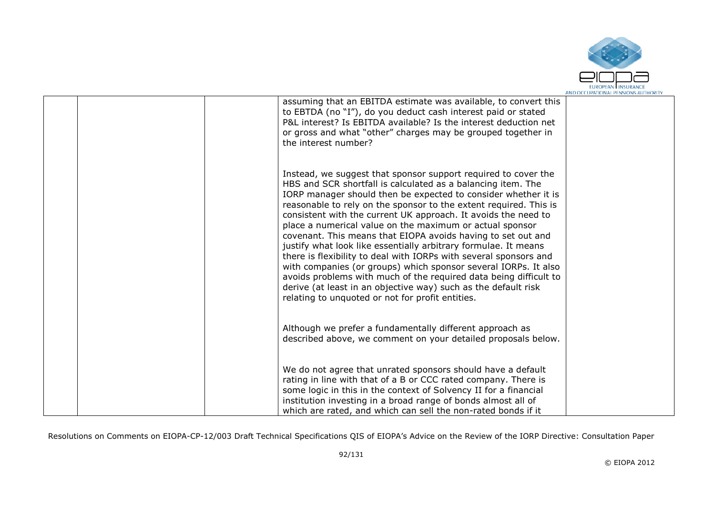

|  | assuming that an EBITDA estimate was available, to convert this<br>to EBTDA (no "I"), do you deduct cash interest paid or stated<br>P&L interest? Is EBITDA available? Is the interest deduction net<br>or gross and what "other" charges may be grouped together in<br>the interest number?                                                                                                                                                                                                                                                                                                                                                                                                                                                                                                                                                                              |  |
|--|---------------------------------------------------------------------------------------------------------------------------------------------------------------------------------------------------------------------------------------------------------------------------------------------------------------------------------------------------------------------------------------------------------------------------------------------------------------------------------------------------------------------------------------------------------------------------------------------------------------------------------------------------------------------------------------------------------------------------------------------------------------------------------------------------------------------------------------------------------------------------|--|
|  | Instead, we suggest that sponsor support required to cover the<br>HBS and SCR shortfall is calculated as a balancing item. The<br>IORP manager should then be expected to consider whether it is<br>reasonable to rely on the sponsor to the extent required. This is<br>consistent with the current UK approach. It avoids the need to<br>place a numerical value on the maximum or actual sponsor<br>covenant. This means that EIOPA avoids having to set out and<br>justify what look like essentially arbitrary formulae. It means<br>there is flexibility to deal with IORPs with several sponsors and<br>with companies (or groups) which sponsor several IORPs. It also<br>avoids problems with much of the required data being difficult to<br>derive (at least in an objective way) such as the default risk<br>relating to unquoted or not for profit entities. |  |
|  | Although we prefer a fundamentally different approach as<br>described above, we comment on your detailed proposals below.                                                                                                                                                                                                                                                                                                                                                                                                                                                                                                                                                                                                                                                                                                                                                 |  |
|  | We do not agree that unrated sponsors should have a default<br>rating in line with that of a B or CCC rated company. There is<br>some logic in this in the context of Solvency II for a financial<br>institution investing in a broad range of bonds almost all of<br>which are rated, and which can sell the non-rated bonds if it                                                                                                                                                                                                                                                                                                                                                                                                                                                                                                                                       |  |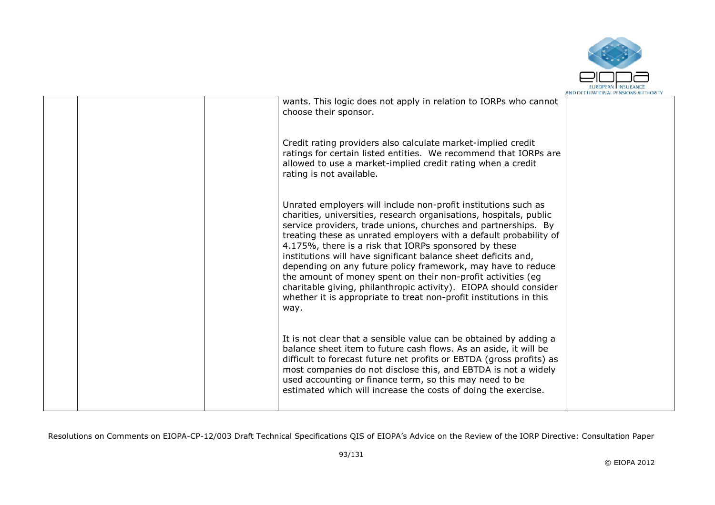

|  |                                                                                                                                                                                                                                                                                                                                                                                                                                                                                                                                                                                                                                                                                           | AIVO OCCUPATIONAL FEIVJIOIVJAO HUIDON |
|--|-------------------------------------------------------------------------------------------------------------------------------------------------------------------------------------------------------------------------------------------------------------------------------------------------------------------------------------------------------------------------------------------------------------------------------------------------------------------------------------------------------------------------------------------------------------------------------------------------------------------------------------------------------------------------------------------|---------------------------------------|
|  | wants. This logic does not apply in relation to IORPs who cannot<br>choose their sponsor.                                                                                                                                                                                                                                                                                                                                                                                                                                                                                                                                                                                                 |                                       |
|  | Credit rating providers also calculate market-implied credit<br>ratings for certain listed entities. We recommend that IORPs are<br>allowed to use a market-implied credit rating when a credit<br>rating is not available.                                                                                                                                                                                                                                                                                                                                                                                                                                                               |                                       |
|  | Unrated employers will include non-profit institutions such as<br>charities, universities, research organisations, hospitals, public<br>service providers, trade unions, churches and partnerships. By<br>treating these as unrated employers with a default probability of<br>4.175%, there is a risk that IORPs sponsored by these<br>institutions will have significant balance sheet deficits and,<br>depending on any future policy framework, may have to reduce<br>the amount of money spent on their non-profit activities (eg<br>charitable giving, philanthropic activity). EIOPA should consider<br>whether it is appropriate to treat non-profit institutions in this<br>way. |                                       |
|  | It is not clear that a sensible value can be obtained by adding a<br>balance sheet item to future cash flows. As an aside, it will be<br>difficult to forecast future net profits or EBTDA (gross profits) as<br>most companies do not disclose this, and EBTDA is not a widely<br>used accounting or finance term, so this may need to be<br>estimated which will increase the costs of doing the exercise.                                                                                                                                                                                                                                                                              |                                       |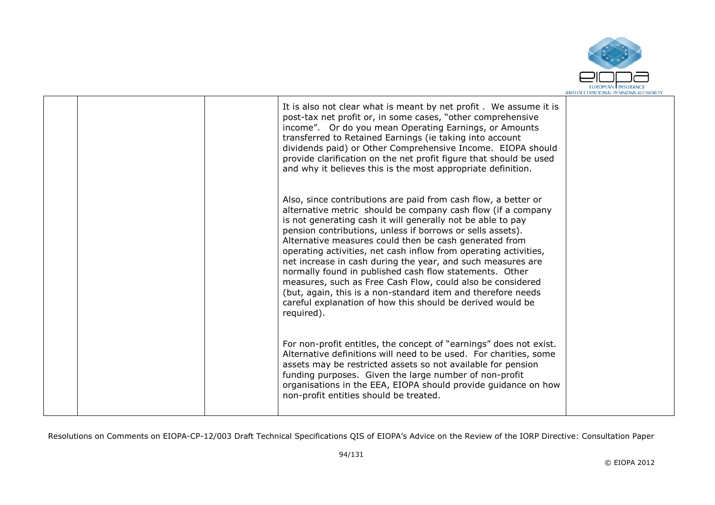

|  | It is also not clear what is meant by net profit. We assume it is<br>post-tax net profit or, in some cases, "other comprehensive<br>income". Or do you mean Operating Earnings, or Amounts<br>transferred to Retained Earnings (ie taking into account<br>dividends paid) or Other Comprehensive Income. EIOPA should<br>provide clarification on the net profit figure that should be used<br>and why it believes this is the most appropriate definition.                                                                                                                                                                                                                                                                   |  |
|--|-------------------------------------------------------------------------------------------------------------------------------------------------------------------------------------------------------------------------------------------------------------------------------------------------------------------------------------------------------------------------------------------------------------------------------------------------------------------------------------------------------------------------------------------------------------------------------------------------------------------------------------------------------------------------------------------------------------------------------|--|
|  | Also, since contributions are paid from cash flow, a better or<br>alternative metric should be company cash flow (if a company<br>is not generating cash it will generally not be able to pay<br>pension contributions, unless if borrows or sells assets).<br>Alternative measures could then be cash generated from<br>operating activities, net cash inflow from operating activities,<br>net increase in cash during the year, and such measures are<br>normally found in published cash flow statements. Other<br>measures, such as Free Cash Flow, could also be considered<br>(but, again, this is a non-standard item and therefore needs<br>careful explanation of how this should be derived would be<br>required). |  |
|  | For non-profit entitles, the concept of "earnings" does not exist.<br>Alternative definitions will need to be used. For charities, some<br>assets may be restricted assets so not available for pension<br>funding purposes. Given the large number of non-profit<br>organisations in the EEA, EIOPA should provide guidance on how<br>non-profit entities should be treated.                                                                                                                                                                                                                                                                                                                                                 |  |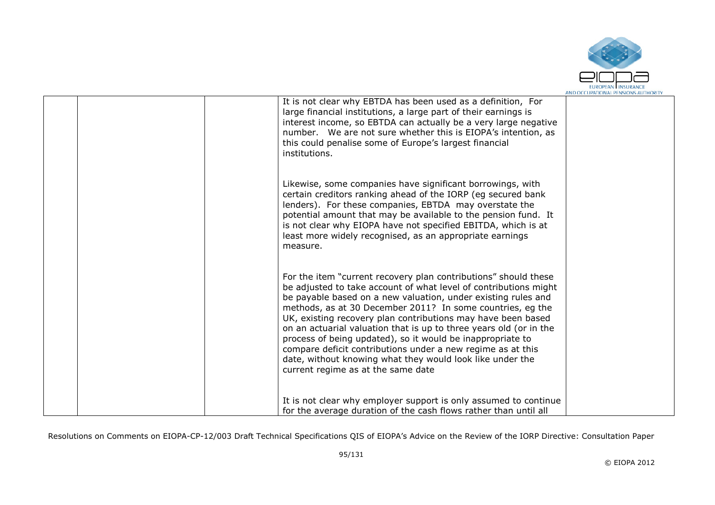

| It is not clear why EBTDA has been used as a definition, For<br>large financial institutions, a large part of their earnings is<br>interest income, so EBTDA can actually be a very large negative<br>number. We are not sure whether this is EIOPA's intention, as<br>this could penalise some of Europe's largest financial<br>institutions.                                                                                                                                                                                                                                                                                           |  |
|------------------------------------------------------------------------------------------------------------------------------------------------------------------------------------------------------------------------------------------------------------------------------------------------------------------------------------------------------------------------------------------------------------------------------------------------------------------------------------------------------------------------------------------------------------------------------------------------------------------------------------------|--|
| Likewise, some companies have significant borrowings, with<br>certain creditors ranking ahead of the IORP (eg secured bank<br>lenders). For these companies, EBTDA may overstate the<br>potential amount that may be available to the pension fund. It<br>is not clear why EIOPA have not specified EBITDA, which is at<br>least more widely recognised, as an appropriate earnings<br>measure.                                                                                                                                                                                                                                          |  |
| For the item "current recovery plan contributions" should these<br>be adjusted to take account of what level of contributions might<br>be payable based on a new valuation, under existing rules and<br>methods, as at 30 December 2011? In some countries, eq the<br>UK, existing recovery plan contributions may have been based<br>on an actuarial valuation that is up to three years old (or in the<br>process of being updated), so it would be inappropriate to<br>compare deficit contributions under a new regime as at this<br>date, without knowing what they would look like under the<br>current regime as at the same date |  |
| It is not clear why employer support is only assumed to continue<br>for the average duration of the cash flows rather than until all                                                                                                                                                                                                                                                                                                                                                                                                                                                                                                     |  |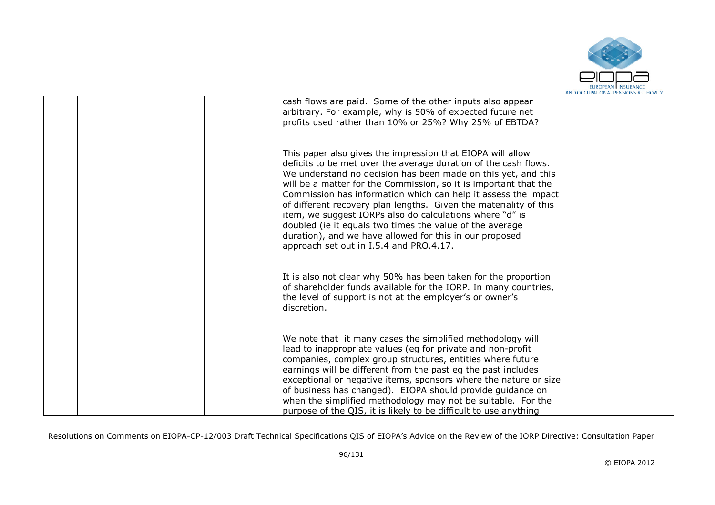

|  | cash flows are paid. Some of the other inputs also appear<br>arbitrary. For example, why is 50% of expected future net<br>profits used rather than 10% or 25%? Why 25% of EBTDA?                                                                                                                                                                                                                                                                                                                                                                                                                                                        |  |
|--|-----------------------------------------------------------------------------------------------------------------------------------------------------------------------------------------------------------------------------------------------------------------------------------------------------------------------------------------------------------------------------------------------------------------------------------------------------------------------------------------------------------------------------------------------------------------------------------------------------------------------------------------|--|
|  | This paper also gives the impression that EIOPA will allow<br>deficits to be met over the average duration of the cash flows.<br>We understand no decision has been made on this yet, and this<br>will be a matter for the Commission, so it is important that the<br>Commission has information which can help it assess the impact<br>of different recovery plan lengths. Given the materiality of this<br>item, we suggest IORPs also do calculations where "d" is<br>doubled (ie it equals two times the value of the average<br>duration), and we have allowed for this in our proposed<br>approach set out in I.5.4 and PRO.4.17. |  |
|  | It is also not clear why 50% has been taken for the proportion<br>of shareholder funds available for the IORP. In many countries,<br>the level of support is not at the employer's or owner's<br>discretion.                                                                                                                                                                                                                                                                                                                                                                                                                            |  |
|  | We note that it many cases the simplified methodology will<br>lead to inappropriate values (eg for private and non-profit<br>companies, complex group structures, entities where future<br>earnings will be different from the past eg the past includes<br>exceptional or negative items, sponsors where the nature or size<br>of business has changed). EIOPA should provide guidance on<br>when the simplified methodology may not be suitable. For the<br>purpose of the QIS, it is likely to be difficult to use anything                                                                                                          |  |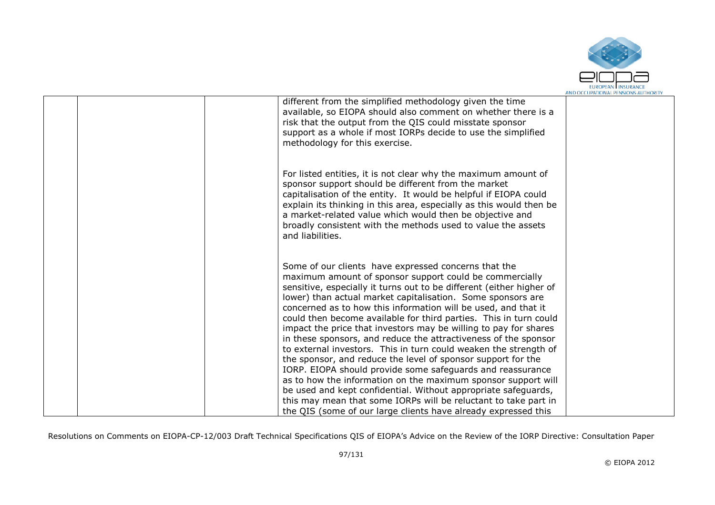

| different from the simplified methodology given the time<br>available, so EIOPA should also comment on whether there is a<br>risk that the output from the QIS could misstate sponsor<br>support as a whole if most IORPs decide to use the simplified<br>methodology for this exercise.                                                                                                                                                                                                                                                                                                                                                                                                                                                                                                                                                                                                                                                                                                                       |  |
|----------------------------------------------------------------------------------------------------------------------------------------------------------------------------------------------------------------------------------------------------------------------------------------------------------------------------------------------------------------------------------------------------------------------------------------------------------------------------------------------------------------------------------------------------------------------------------------------------------------------------------------------------------------------------------------------------------------------------------------------------------------------------------------------------------------------------------------------------------------------------------------------------------------------------------------------------------------------------------------------------------------|--|
| For listed entities, it is not clear why the maximum amount of<br>sponsor support should be different from the market<br>capitalisation of the entity. It would be helpful if EIOPA could<br>explain its thinking in this area, especially as this would then be<br>a market-related value which would then be objective and<br>broadly consistent with the methods used to value the assets<br>and liabilities.                                                                                                                                                                                                                                                                                                                                                                                                                                                                                                                                                                                               |  |
| Some of our clients have expressed concerns that the<br>maximum amount of sponsor support could be commercially<br>sensitive, especially it turns out to be different (either higher of<br>lower) than actual market capitalisation. Some sponsors are<br>concerned as to how this information will be used, and that it<br>could then become available for third parties. This in turn could<br>impact the price that investors may be willing to pay for shares<br>in these sponsors, and reduce the attractiveness of the sponsor<br>to external investors. This in turn could weaken the strength of<br>the sponsor, and reduce the level of sponsor support for the<br>IORP. EIOPA should provide some safeguards and reassurance<br>as to how the information on the maximum sponsor support will<br>be used and kept confidential. Without appropriate safeguards,<br>this may mean that some IORPs will be reluctant to take part in<br>the QIS (some of our large clients have already expressed this |  |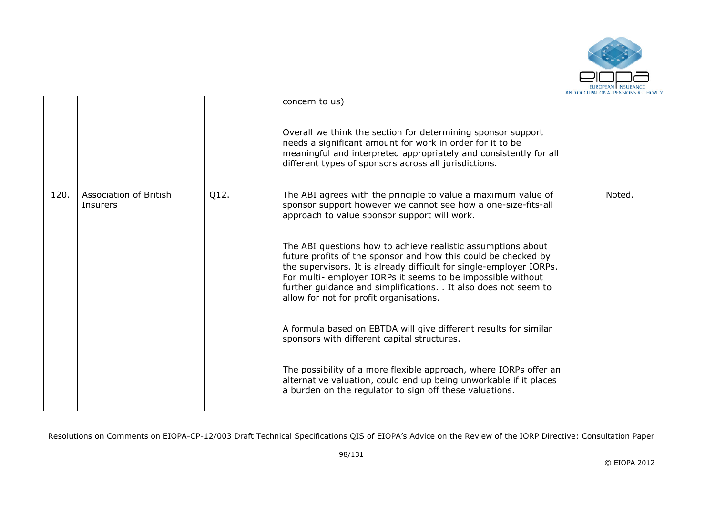

|      |                                           |      | concern to us)<br>Overall we think the section for determining sponsor support<br>needs a significant amount for work in order for it to be<br>meaningful and interpreted appropriately and consistently for all<br>different types of sponsors across all jurisdictions.                                                                                                           |        |
|------|-------------------------------------------|------|-------------------------------------------------------------------------------------------------------------------------------------------------------------------------------------------------------------------------------------------------------------------------------------------------------------------------------------------------------------------------------------|--------|
| 120. | Association of British<br><b>Insurers</b> | Q12. | The ABI agrees with the principle to value a maximum value of<br>sponsor support however we cannot see how a one-size-fits-all<br>approach to value sponsor support will work.                                                                                                                                                                                                      | Noted. |
|      |                                           |      | The ABI questions how to achieve realistic assumptions about<br>future profits of the sponsor and how this could be checked by<br>the supervisors. It is already difficult for single-employer IORPs.<br>For multi- employer IORPs it seems to be impossible without<br>further guidance and simplifications. . It also does not seem to<br>allow for not for profit organisations. |        |
|      |                                           |      | A formula based on EBTDA will give different results for similar<br>sponsors with different capital structures.                                                                                                                                                                                                                                                                     |        |
|      |                                           |      | The possibility of a more flexible approach, where IORPs offer an<br>alternative valuation, could end up being unworkable if it places<br>a burden on the regulator to sign off these valuations.                                                                                                                                                                                   |        |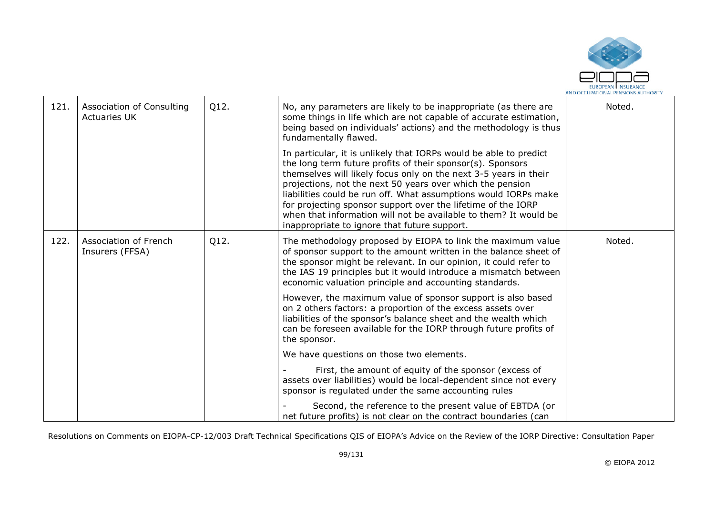

| 121. | Association of Consulting<br><b>Actuaries UK</b> | Q12. | No, any parameters are likely to be inappropriate (as there are<br>some things in life which are not capable of accurate estimation,<br>being based on individuals' actions) and the methodology is thus<br>fundamentally flawed.                                                                                                                                                                                                                                                                                       | Noted. |
|------|--------------------------------------------------|------|-------------------------------------------------------------------------------------------------------------------------------------------------------------------------------------------------------------------------------------------------------------------------------------------------------------------------------------------------------------------------------------------------------------------------------------------------------------------------------------------------------------------------|--------|
|      |                                                  |      | In particular, it is unlikely that IORPs would be able to predict<br>the long term future profits of their sponsor(s). Sponsors<br>themselves will likely focus only on the next 3-5 years in their<br>projections, not the next 50 years over which the pension<br>liabilities could be run off. What assumptions would IORPs make<br>for projecting sponsor support over the lifetime of the IORP<br>when that information will not be available to them? It would be<br>inappropriate to ignore that future support. |        |
| 122. | Association of French<br>Insurers (FFSA)         | Q12. | The methodology proposed by EIOPA to link the maximum value<br>of sponsor support to the amount written in the balance sheet of<br>the sponsor might be relevant. In our opinion, it could refer to<br>the IAS 19 principles but it would introduce a mismatch between<br>economic valuation principle and accounting standards.                                                                                                                                                                                        | Noted. |
|      |                                                  |      | However, the maximum value of sponsor support is also based<br>on 2 others factors: a proportion of the excess assets over<br>liabilities of the sponsor's balance sheet and the wealth which<br>can be foreseen available for the IORP through future profits of<br>the sponsor.                                                                                                                                                                                                                                       |        |
|      |                                                  |      | We have questions on those two elements.                                                                                                                                                                                                                                                                                                                                                                                                                                                                                |        |
|      |                                                  |      | First, the amount of equity of the sponsor (excess of<br>assets over liabilities) would be local-dependent since not every<br>sponsor is regulated under the same accounting rules                                                                                                                                                                                                                                                                                                                                      |        |
|      |                                                  |      | Second, the reference to the present value of EBTDA (or<br>net future profits) is not clear on the contract boundaries (can                                                                                                                                                                                                                                                                                                                                                                                             |        |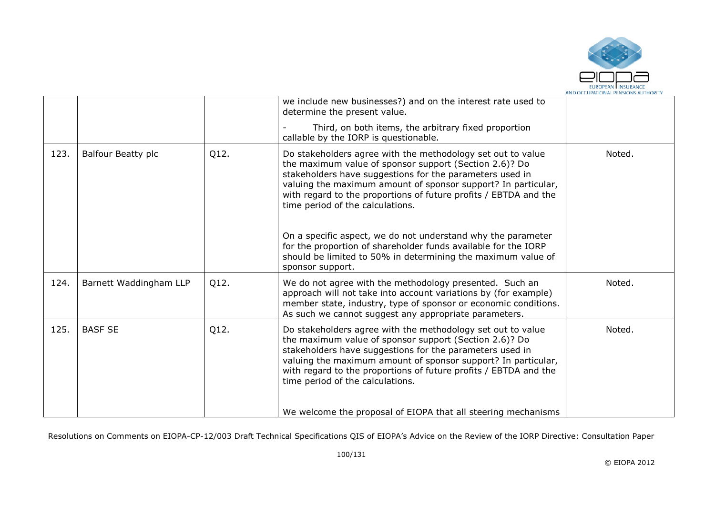

|      |                        |      | we include new businesses?) and on the interest rate used to<br>determine the present value.                                                                                                                                                                                                                                                                                                                               |        |
|------|------------------------|------|----------------------------------------------------------------------------------------------------------------------------------------------------------------------------------------------------------------------------------------------------------------------------------------------------------------------------------------------------------------------------------------------------------------------------|--------|
|      |                        |      | Third, on both items, the arbitrary fixed proportion<br>callable by the IORP is questionable.                                                                                                                                                                                                                                                                                                                              |        |
| 123. | Balfour Beatty plc     | Q12. | Do stakeholders agree with the methodology set out to value<br>the maximum value of sponsor support (Section 2.6)? Do<br>stakeholders have suggestions for the parameters used in<br>valuing the maximum amount of sponsor support? In particular,<br>with regard to the proportions of future profits / EBTDA and the<br>time period of the calculations.<br>On a specific aspect, we do not understand why the parameter | Noted. |
|      |                        |      | for the proportion of shareholder funds available for the IORP<br>should be limited to 50% in determining the maximum value of<br>sponsor support.                                                                                                                                                                                                                                                                         |        |
| 124. | Barnett Waddingham LLP | Q12. | We do not agree with the methodology presented. Such an<br>approach will not take into account variations by (for example)<br>member state, industry, type of sponsor or economic conditions.<br>As such we cannot suggest any appropriate parameters.                                                                                                                                                                     | Noted. |
| 125. | <b>BASF SE</b>         | Q12. | Do stakeholders agree with the methodology set out to value<br>the maximum value of sponsor support (Section 2.6)? Do<br>stakeholders have suggestions for the parameters used in<br>valuing the maximum amount of sponsor support? In particular,<br>with regard to the proportions of future profits / EBTDA and the<br>time period of the calculations.                                                                 | Noted. |
|      |                        |      | We welcome the proposal of EIOPA that all steering mechanisms                                                                                                                                                                                                                                                                                                                                                              |        |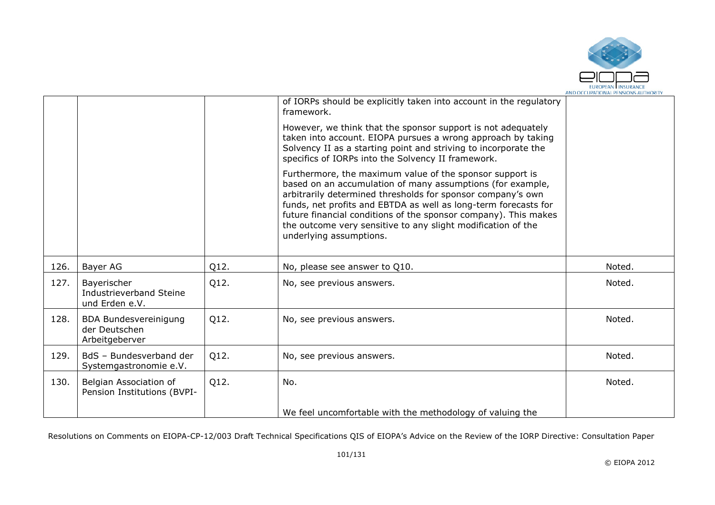

|      |                                                                 |      | of IORPs should be explicitly taken into account in the regulatory<br>framework.                                                                                                                                                                                                                                                                                                                                       |        |
|------|-----------------------------------------------------------------|------|------------------------------------------------------------------------------------------------------------------------------------------------------------------------------------------------------------------------------------------------------------------------------------------------------------------------------------------------------------------------------------------------------------------------|--------|
|      |                                                                 |      | However, we think that the sponsor support is not adequately<br>taken into account. EIOPA pursues a wrong approach by taking<br>Solvency II as a starting point and striving to incorporate the<br>specifics of IORPs into the Solvency II framework.                                                                                                                                                                  |        |
|      |                                                                 |      | Furthermore, the maximum value of the sponsor support is<br>based on an accumulation of many assumptions (for example,<br>arbitrarily determined thresholds for sponsor company's own<br>funds, net profits and EBTDA as well as long-term forecasts for<br>future financial conditions of the sponsor company). This makes<br>the outcome very sensitive to any slight modification of the<br>underlying assumptions. |        |
| 126. | Bayer AG                                                        | Q12. | No, please see answer to Q10.                                                                                                                                                                                                                                                                                                                                                                                          | Noted. |
| 127. | Bayerischer<br>Industrieverband Steine<br>und Erden e.V.        | Q12. | No, see previous answers.                                                                                                                                                                                                                                                                                                                                                                                              | Noted. |
| 128. | <b>BDA Bundesvereinigung</b><br>der Deutschen<br>Arbeitgeberver | Q12. | No, see previous answers.                                                                                                                                                                                                                                                                                                                                                                                              | Noted. |
| 129. | BdS - Bundesverband der<br>Systemgastronomie e.V.               | Q12. | No, see previous answers.                                                                                                                                                                                                                                                                                                                                                                                              | Noted. |
| 130. | Belgian Association of<br>Pension Institutions (BVPI-           | Q12. | No.                                                                                                                                                                                                                                                                                                                                                                                                                    | Noted. |
|      |                                                                 |      | We feel uncomfortable with the methodology of valuing the                                                                                                                                                                                                                                                                                                                                                              |        |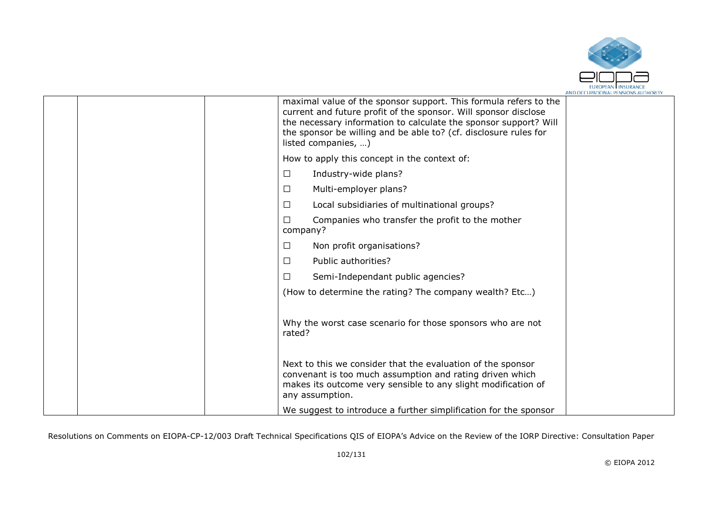

|  | maximal value of the sponsor support. This formula refers to the<br>current and future profit of the sponsor. Will sponsor disclose<br>the necessary information to calculate the sponsor support? Will<br>the sponsor be willing and be able to? (cf. disclosure rules for<br>listed companies, ) |  |
|--|----------------------------------------------------------------------------------------------------------------------------------------------------------------------------------------------------------------------------------------------------------------------------------------------------|--|
|  | How to apply this concept in the context of:                                                                                                                                                                                                                                                       |  |
|  | Industry-wide plans?<br>□                                                                                                                                                                                                                                                                          |  |
|  | Multi-employer plans?<br>□                                                                                                                                                                                                                                                                         |  |
|  | Local subsidiaries of multinational groups?<br>□                                                                                                                                                                                                                                                   |  |
|  | Companies who transfer the profit to the mother<br>П<br>company?                                                                                                                                                                                                                                   |  |
|  | Non profit organisations?<br>□                                                                                                                                                                                                                                                                     |  |
|  | Public authorities?<br>$\Box$                                                                                                                                                                                                                                                                      |  |
|  | □<br>Semi-Independant public agencies?                                                                                                                                                                                                                                                             |  |
|  | (How to determine the rating? The company wealth? Etc)                                                                                                                                                                                                                                             |  |
|  | Why the worst case scenario for those sponsors who are not<br>rated?                                                                                                                                                                                                                               |  |
|  | Next to this we consider that the evaluation of the sponsor<br>convenant is too much assumption and rating driven which<br>makes its outcome very sensible to any slight modification of<br>any assumption.                                                                                        |  |
|  | We suggest to introduce a further simplification for the sponsor                                                                                                                                                                                                                                   |  |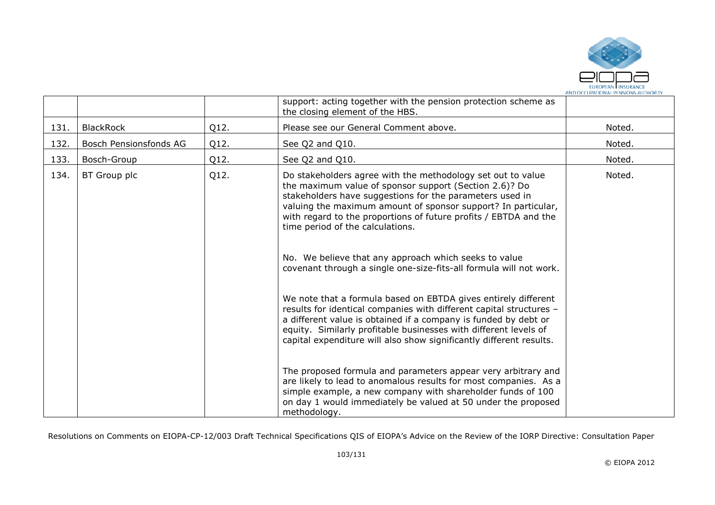

|      |                        |      | support: acting together with the pension protection scheme as<br>the closing element of the HBS.                                                                                                                                                                                                                                                                                                                                                                                                                                                                                                                                                                                                                                                                                                                                                                                                                                                                                     |        |
|------|------------------------|------|---------------------------------------------------------------------------------------------------------------------------------------------------------------------------------------------------------------------------------------------------------------------------------------------------------------------------------------------------------------------------------------------------------------------------------------------------------------------------------------------------------------------------------------------------------------------------------------------------------------------------------------------------------------------------------------------------------------------------------------------------------------------------------------------------------------------------------------------------------------------------------------------------------------------------------------------------------------------------------------|--------|
| 131. | <b>BlackRock</b>       | Q12. | Please see our General Comment above.                                                                                                                                                                                                                                                                                                                                                                                                                                                                                                                                                                                                                                                                                                                                                                                                                                                                                                                                                 | Noted. |
| 132. | Bosch Pensionsfonds AG | Q12. | See Q2 and Q10.                                                                                                                                                                                                                                                                                                                                                                                                                                                                                                                                                                                                                                                                                                                                                                                                                                                                                                                                                                       | Noted. |
| 133. | Bosch-Group            | Q12. | See Q2 and Q10.                                                                                                                                                                                                                                                                                                                                                                                                                                                                                                                                                                                                                                                                                                                                                                                                                                                                                                                                                                       | Noted. |
| 134. | BT Group plc           | Q12. | Do stakeholders agree with the methodology set out to value<br>the maximum value of sponsor support (Section 2.6)? Do<br>stakeholders have suggestions for the parameters used in<br>valuing the maximum amount of sponsor support? In particular,<br>with regard to the proportions of future profits / EBTDA and the<br>time period of the calculations.<br>No. We believe that any approach which seeks to value<br>covenant through a single one-size-fits-all formula will not work.<br>We note that a formula based on EBTDA gives entirely different<br>results for identical companies with different capital structures -<br>a different value is obtained if a company is funded by debt or<br>equity. Similarly profitable businesses with different levels of<br>capital expenditure will also show significantly different results.<br>The proposed formula and parameters appear very arbitrary and<br>are likely to lead to anomalous results for most companies. As a | Noted. |
|      |                        |      | simple example, a new company with shareholder funds of 100<br>on day 1 would immediately be valued at 50 under the proposed<br>methodology.                                                                                                                                                                                                                                                                                                                                                                                                                                                                                                                                                                                                                                                                                                                                                                                                                                          |        |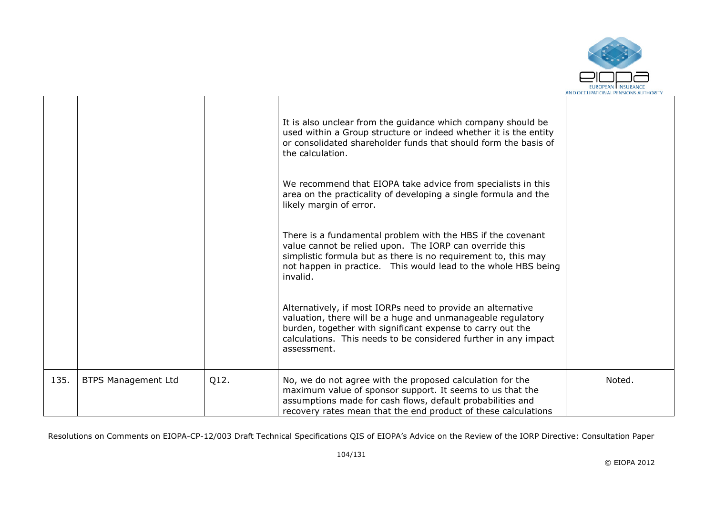

|      |                            |      | It is also unclear from the guidance which company should be<br>used within a Group structure or indeed whether it is the entity<br>or consolidated shareholder funds that should form the basis of<br>the calculation.<br>We recommend that EIOPA take advice from specialists in this<br>area on the practicality of developing a single formula and the<br>likely margin of error.<br>There is a fundamental problem with the HBS if the covenant<br>value cannot be relied upon. The IORP can override this<br>simplistic formula but as there is no requirement to, this may<br>not happen in practice. This would lead to the whole HBS being<br>invalid.<br>Alternatively, if most IORPs need to provide an alternative<br>valuation, there will be a huge and unmanageable regulatory<br>burden, together with significant expense to carry out the<br>calculations. This needs to be considered further in any impact<br>assessment. |        |
|------|----------------------------|------|-----------------------------------------------------------------------------------------------------------------------------------------------------------------------------------------------------------------------------------------------------------------------------------------------------------------------------------------------------------------------------------------------------------------------------------------------------------------------------------------------------------------------------------------------------------------------------------------------------------------------------------------------------------------------------------------------------------------------------------------------------------------------------------------------------------------------------------------------------------------------------------------------------------------------------------------------|--------|
| 135. | <b>BTPS Management Ltd</b> | Q12. | No, we do not agree with the proposed calculation for the<br>maximum value of sponsor support. It seems to us that the<br>assumptions made for cash flows, default probabilities and<br>recovery rates mean that the end product of these calculations                                                                                                                                                                                                                                                                                                                                                                                                                                                                                                                                                                                                                                                                                        | Noted. |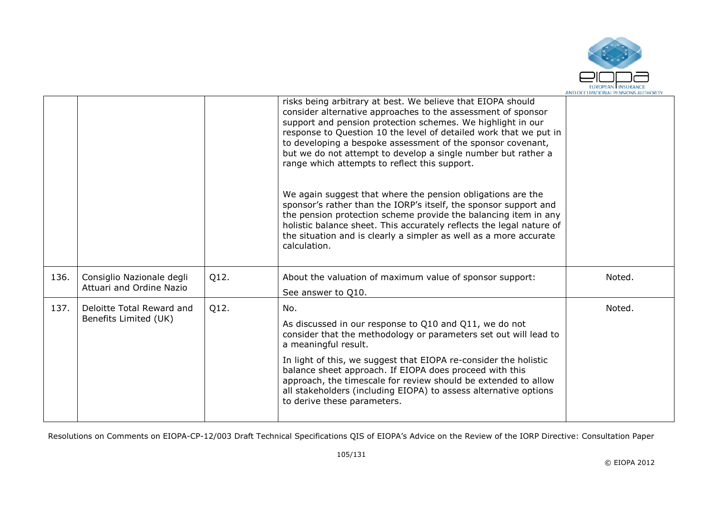

|      |                                                       |      | risks being arbitrary at best. We believe that EIOPA should<br>consider alternative approaches to the assessment of sponsor<br>support and pension protection schemes. We highlight in our<br>response to Question 10 the level of detailed work that we put in<br>to developing a bespoke assessment of the sponsor covenant,<br>but we do not attempt to develop a single number but rather a<br>range which attempts to reflect this support.<br>We again suggest that where the pension obligations are the<br>sponsor's rather than the IORP's itself, the sponsor support and<br>the pension protection scheme provide the balancing item in any<br>holistic balance sheet. This accurately reflects the legal nature of<br>the situation and is clearly a simpler as well as a more accurate<br>calculation. |        |
|------|-------------------------------------------------------|------|---------------------------------------------------------------------------------------------------------------------------------------------------------------------------------------------------------------------------------------------------------------------------------------------------------------------------------------------------------------------------------------------------------------------------------------------------------------------------------------------------------------------------------------------------------------------------------------------------------------------------------------------------------------------------------------------------------------------------------------------------------------------------------------------------------------------|--------|
| 136. | Consiglio Nazionale degli<br>Attuari and Ordine Nazio | Q12. | About the valuation of maximum value of sponsor support:<br>See answer to Q10.                                                                                                                                                                                                                                                                                                                                                                                                                                                                                                                                                                                                                                                                                                                                      | Noted. |
| 137. | Deloitte Total Reward and<br>Benefits Limited (UK)    | Q12. | No.<br>As discussed in our response to Q10 and Q11, we do not<br>consider that the methodology or parameters set out will lead to<br>a meaningful result.<br>In light of this, we suggest that EIOPA re-consider the holistic<br>balance sheet approach. If EIOPA does proceed with this<br>approach, the timescale for review should be extended to allow<br>all stakeholders (including EIOPA) to assess alternative options<br>to derive these parameters.                                                                                                                                                                                                                                                                                                                                                       | Noted. |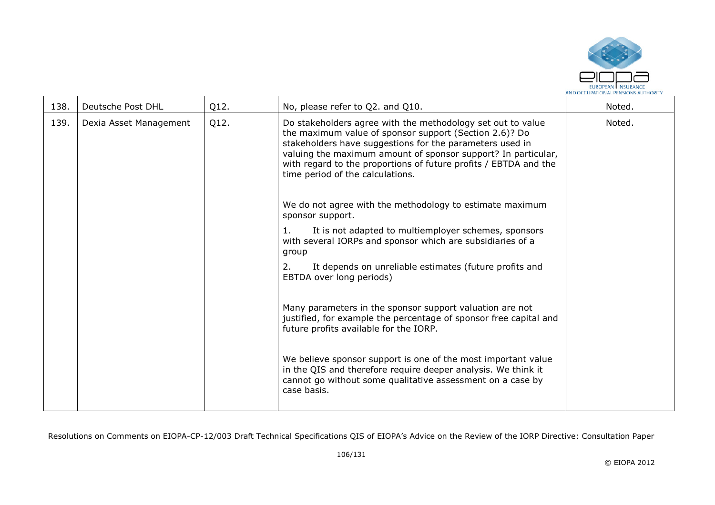

| 138. | Deutsche Post DHL      | Q12. | No, please refer to Q2. and Q10.                                                                                                                                                                                                                                                                                                                           | Noted. |
|------|------------------------|------|------------------------------------------------------------------------------------------------------------------------------------------------------------------------------------------------------------------------------------------------------------------------------------------------------------------------------------------------------------|--------|
| 139. | Dexia Asset Management | Q12. | Do stakeholders agree with the methodology set out to value<br>the maximum value of sponsor support (Section 2.6)? Do<br>stakeholders have suggestions for the parameters used in<br>valuing the maximum amount of sponsor support? In particular,<br>with regard to the proportions of future profits / EBTDA and the<br>time period of the calculations. | Noted. |
|      |                        |      | We do not agree with the methodology to estimate maximum<br>sponsor support.                                                                                                                                                                                                                                                                               |        |
|      |                        |      | It is not adapted to multiemployer schemes, sponsors<br>1.<br>with several IORPs and sponsor which are subsidiaries of a<br>group                                                                                                                                                                                                                          |        |
|      |                        |      | It depends on unreliable estimates (future profits and<br>2.<br>EBTDA over long periods)                                                                                                                                                                                                                                                                   |        |
|      |                        |      | Many parameters in the sponsor support valuation are not<br>justified, for example the percentage of sponsor free capital and<br>future profits available for the IORP.                                                                                                                                                                                    |        |
|      |                        |      | We believe sponsor support is one of the most important value<br>in the QIS and therefore require deeper analysis. We think it<br>cannot go without some qualitative assessment on a case by<br>case basis.                                                                                                                                                |        |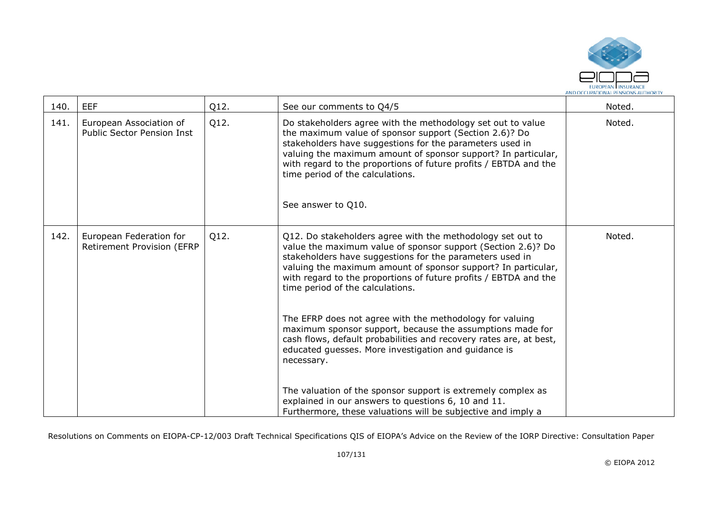

| 140. | <b>EEF</b>                                                   | Q12. | See our comments to Q4/5                                                                                                                                                                                                                                                                                                                                                         | Noted. |
|------|--------------------------------------------------------------|------|----------------------------------------------------------------------------------------------------------------------------------------------------------------------------------------------------------------------------------------------------------------------------------------------------------------------------------------------------------------------------------|--------|
| 141. | European Association of<br><b>Public Sector Pension Inst</b> | Q12. | Do stakeholders agree with the methodology set out to value<br>the maximum value of sponsor support (Section 2.6)? Do<br>stakeholders have suggestions for the parameters used in<br>valuing the maximum amount of sponsor support? In particular,<br>with regard to the proportions of future profits / EBTDA and the<br>time period of the calculations.<br>See answer to Q10. | Noted. |
| 142. | European Federation for<br><b>Retirement Provision (EFRP</b> | Q12. | Q12. Do stakeholders agree with the methodology set out to<br>value the maximum value of sponsor support (Section 2.6)? Do<br>stakeholders have suggestions for the parameters used in<br>valuing the maximum amount of sponsor support? In particular,<br>with regard to the proportions of future profits / EBTDA and the<br>time period of the calculations.                  | Noted. |
|      |                                                              |      | The EFRP does not agree with the methodology for valuing<br>maximum sponsor support, because the assumptions made for<br>cash flows, default probabilities and recovery rates are, at best,<br>educated guesses. More investigation and guidance is<br>necessary.                                                                                                                |        |
|      |                                                              |      | The valuation of the sponsor support is extremely complex as<br>explained in our answers to questions 6, 10 and 11.<br>Furthermore, these valuations will be subjective and imply a                                                                                                                                                                                              |        |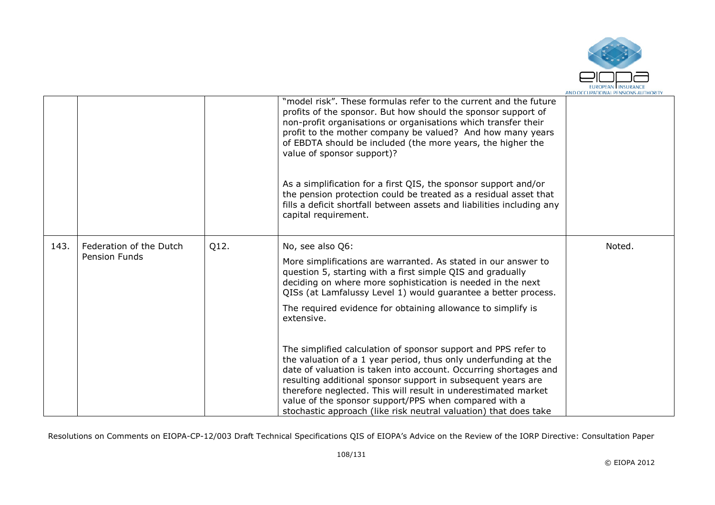

|      |                         |      | "model risk". These formulas refer to the current and the future<br>profits of the sponsor. But how should the sponsor support of<br>non-profit organisations or organisations which transfer their<br>profit to the mother company be valued? And how many years<br>of EBDTA should be included (the more years, the higher the<br>value of sponsor support)?<br>As a simplification for a first QIS, the sponsor support and/or<br>the pension protection could be treated as a residual asset that<br>fills a deficit shortfall between assets and liabilities including any<br>capital requirement. |        |
|------|-------------------------|------|---------------------------------------------------------------------------------------------------------------------------------------------------------------------------------------------------------------------------------------------------------------------------------------------------------------------------------------------------------------------------------------------------------------------------------------------------------------------------------------------------------------------------------------------------------------------------------------------------------|--------|
| 143. | Federation of the Dutch | Q12. | No, see also Q6:                                                                                                                                                                                                                                                                                                                                                                                                                                                                                                                                                                                        | Noted. |
|      | Pension Funds           |      | More simplifications are warranted. As stated in our answer to<br>question 5, starting with a first simple QIS and gradually<br>deciding on where more sophistication is needed in the next<br>QISs (at Lamfalussy Level 1) would quarantee a better process.                                                                                                                                                                                                                                                                                                                                           |        |
|      |                         |      | The required evidence for obtaining allowance to simplify is<br>extensive.                                                                                                                                                                                                                                                                                                                                                                                                                                                                                                                              |        |
|      |                         |      | The simplified calculation of sponsor support and PPS refer to<br>the valuation of a 1 year period, thus only underfunding at the<br>date of valuation is taken into account. Occurring shortages and<br>resulting additional sponsor support in subsequent years are<br>therefore neglected. This will result in underestimated market<br>value of the sponsor support/PPS when compared with a<br>stochastic approach (like risk neutral valuation) that does take                                                                                                                                    |        |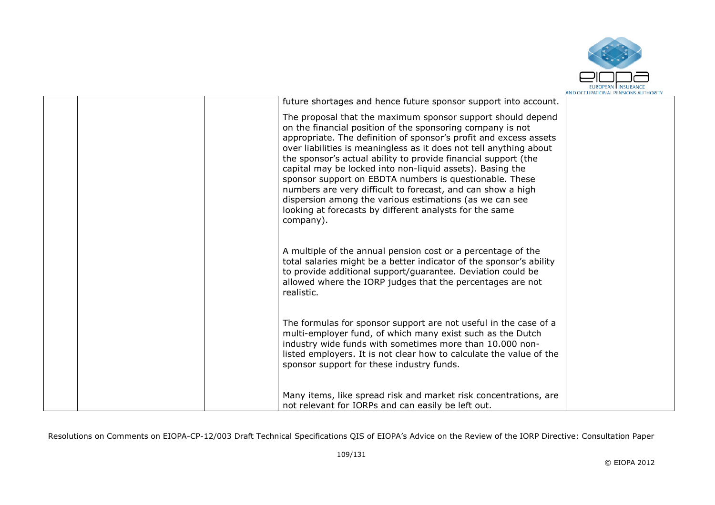

| future shortages and hence future sponsor support into account.<br>The proposal that the maximum sponsor support should depend<br>on the financial position of the sponsoring company is not<br>appropriate. The definition of sponsor's profit and excess assets<br>over liabilities is meaningless as it does not tell anything about<br>the sponsor's actual ability to provide financial support (the<br>capital may be locked into non-liquid assets). Basing the<br>sponsor support on EBDTA numbers is questionable. These<br>numbers are very difficult to forecast, and can show a high<br>dispersion among the various estimations (as we can see<br>looking at forecasts by different analysts for the same<br>company).<br>A multiple of the annual pension cost or a percentage of the<br>total salaries might be a better indicator of the sponsor's ability<br>to provide additional support/guarantee. Deviation could be<br>allowed where the IORP judges that the percentages are not<br>realistic.<br>The formulas for sponsor support are not useful in the case of a<br>multi-employer fund, of which many exist such as the Dutch<br>industry wide funds with sometimes more than 10.000 non-<br>listed employers. It is not clear how to calculate the value of the<br>sponsor support for these industry funds.<br>Many items, like spread risk and market risk concentrations, are<br>not relevant for IORPs and can easily be left out. |  |  |
|-------------------------------------------------------------------------------------------------------------------------------------------------------------------------------------------------------------------------------------------------------------------------------------------------------------------------------------------------------------------------------------------------------------------------------------------------------------------------------------------------------------------------------------------------------------------------------------------------------------------------------------------------------------------------------------------------------------------------------------------------------------------------------------------------------------------------------------------------------------------------------------------------------------------------------------------------------------------------------------------------------------------------------------------------------------------------------------------------------------------------------------------------------------------------------------------------------------------------------------------------------------------------------------------------------------------------------------------------------------------------------------------------------------------------------------------------------------------|--|--|
|                                                                                                                                                                                                                                                                                                                                                                                                                                                                                                                                                                                                                                                                                                                                                                                                                                                                                                                                                                                                                                                                                                                                                                                                                                                                                                                                                                                                                                                                   |  |  |
|                                                                                                                                                                                                                                                                                                                                                                                                                                                                                                                                                                                                                                                                                                                                                                                                                                                                                                                                                                                                                                                                                                                                                                                                                                                                                                                                                                                                                                                                   |  |  |
|                                                                                                                                                                                                                                                                                                                                                                                                                                                                                                                                                                                                                                                                                                                                                                                                                                                                                                                                                                                                                                                                                                                                                                                                                                                                                                                                                                                                                                                                   |  |  |
|                                                                                                                                                                                                                                                                                                                                                                                                                                                                                                                                                                                                                                                                                                                                                                                                                                                                                                                                                                                                                                                                                                                                                                                                                                                                                                                                                                                                                                                                   |  |  |
|                                                                                                                                                                                                                                                                                                                                                                                                                                                                                                                                                                                                                                                                                                                                                                                                                                                                                                                                                                                                                                                                                                                                                                                                                                                                                                                                                                                                                                                                   |  |  |
|                                                                                                                                                                                                                                                                                                                                                                                                                                                                                                                                                                                                                                                                                                                                                                                                                                                                                                                                                                                                                                                                                                                                                                                                                                                                                                                                                                                                                                                                   |  |  |
|                                                                                                                                                                                                                                                                                                                                                                                                                                                                                                                                                                                                                                                                                                                                                                                                                                                                                                                                                                                                                                                                                                                                                                                                                                                                                                                                                                                                                                                                   |  |  |
|                                                                                                                                                                                                                                                                                                                                                                                                                                                                                                                                                                                                                                                                                                                                                                                                                                                                                                                                                                                                                                                                                                                                                                                                                                                                                                                                                                                                                                                                   |  |  |
|                                                                                                                                                                                                                                                                                                                                                                                                                                                                                                                                                                                                                                                                                                                                                                                                                                                                                                                                                                                                                                                                                                                                                                                                                                                                                                                                                                                                                                                                   |  |  |
|                                                                                                                                                                                                                                                                                                                                                                                                                                                                                                                                                                                                                                                                                                                                                                                                                                                                                                                                                                                                                                                                                                                                                                                                                                                                                                                                                                                                                                                                   |  |  |
|                                                                                                                                                                                                                                                                                                                                                                                                                                                                                                                                                                                                                                                                                                                                                                                                                                                                                                                                                                                                                                                                                                                                                                                                                                                                                                                                                                                                                                                                   |  |  |
|                                                                                                                                                                                                                                                                                                                                                                                                                                                                                                                                                                                                                                                                                                                                                                                                                                                                                                                                                                                                                                                                                                                                                                                                                                                                                                                                                                                                                                                                   |  |  |
|                                                                                                                                                                                                                                                                                                                                                                                                                                                                                                                                                                                                                                                                                                                                                                                                                                                                                                                                                                                                                                                                                                                                                                                                                                                                                                                                                                                                                                                                   |  |  |
|                                                                                                                                                                                                                                                                                                                                                                                                                                                                                                                                                                                                                                                                                                                                                                                                                                                                                                                                                                                                                                                                                                                                                                                                                                                                                                                                                                                                                                                                   |  |  |
|                                                                                                                                                                                                                                                                                                                                                                                                                                                                                                                                                                                                                                                                                                                                                                                                                                                                                                                                                                                                                                                                                                                                                                                                                                                                                                                                                                                                                                                                   |  |  |
|                                                                                                                                                                                                                                                                                                                                                                                                                                                                                                                                                                                                                                                                                                                                                                                                                                                                                                                                                                                                                                                                                                                                                                                                                                                                                                                                                                                                                                                                   |  |  |
|                                                                                                                                                                                                                                                                                                                                                                                                                                                                                                                                                                                                                                                                                                                                                                                                                                                                                                                                                                                                                                                                                                                                                                                                                                                                                                                                                                                                                                                                   |  |  |
|                                                                                                                                                                                                                                                                                                                                                                                                                                                                                                                                                                                                                                                                                                                                                                                                                                                                                                                                                                                                                                                                                                                                                                                                                                                                                                                                                                                                                                                                   |  |  |
|                                                                                                                                                                                                                                                                                                                                                                                                                                                                                                                                                                                                                                                                                                                                                                                                                                                                                                                                                                                                                                                                                                                                                                                                                                                                                                                                                                                                                                                                   |  |  |
|                                                                                                                                                                                                                                                                                                                                                                                                                                                                                                                                                                                                                                                                                                                                                                                                                                                                                                                                                                                                                                                                                                                                                                                                                                                                                                                                                                                                                                                                   |  |  |
|                                                                                                                                                                                                                                                                                                                                                                                                                                                                                                                                                                                                                                                                                                                                                                                                                                                                                                                                                                                                                                                                                                                                                                                                                                                                                                                                                                                                                                                                   |  |  |
|                                                                                                                                                                                                                                                                                                                                                                                                                                                                                                                                                                                                                                                                                                                                                                                                                                                                                                                                                                                                                                                                                                                                                                                                                                                                                                                                                                                                                                                                   |  |  |
|                                                                                                                                                                                                                                                                                                                                                                                                                                                                                                                                                                                                                                                                                                                                                                                                                                                                                                                                                                                                                                                                                                                                                                                                                                                                                                                                                                                                                                                                   |  |  |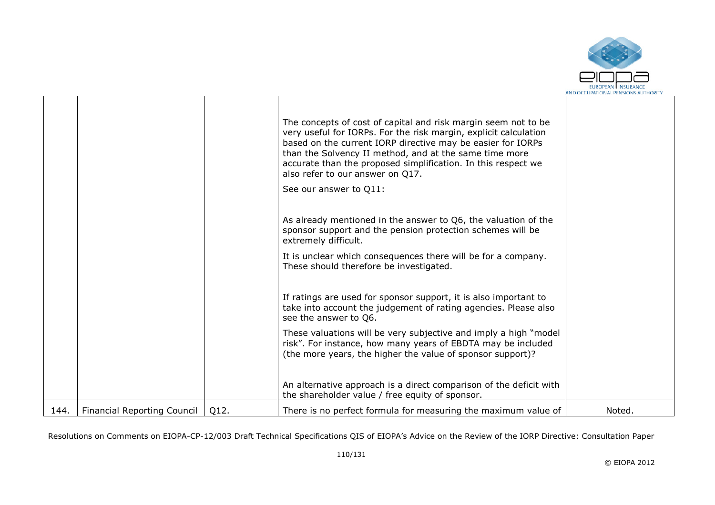

|      |                                    |      | The concepts of cost of capital and risk margin seem not to be<br>very useful for IORPs. For the risk margin, explicit calculation<br>based on the current IORP directive may be easier for IORPs<br>than the Solvency II method, and at the same time more<br>accurate than the proposed simplification. In this respect we<br>also refer to our answer on Q17.<br>See our answer to Q11: |        |
|------|------------------------------------|------|--------------------------------------------------------------------------------------------------------------------------------------------------------------------------------------------------------------------------------------------------------------------------------------------------------------------------------------------------------------------------------------------|--------|
|      |                                    |      | As already mentioned in the answer to Q6, the valuation of the<br>sponsor support and the pension protection schemes will be<br>extremely difficult.                                                                                                                                                                                                                                       |        |
|      |                                    |      | It is unclear which consequences there will be for a company.<br>These should therefore be investigated.                                                                                                                                                                                                                                                                                   |        |
|      |                                    |      | If ratings are used for sponsor support, it is also important to<br>take into account the judgement of rating agencies. Please also<br>see the answer to Q6.                                                                                                                                                                                                                               |        |
|      |                                    |      | These valuations will be very subjective and imply a high "model"<br>risk". For instance, how many years of EBDTA may be included<br>(the more years, the higher the value of sponsor support)?                                                                                                                                                                                            |        |
|      |                                    |      | An alternative approach is a direct comparison of the deficit with<br>the shareholder value / free equity of sponsor.                                                                                                                                                                                                                                                                      |        |
| 144. | <b>Financial Reporting Council</b> | Q12. | There is no perfect formula for measuring the maximum value of                                                                                                                                                                                                                                                                                                                             | Noted. |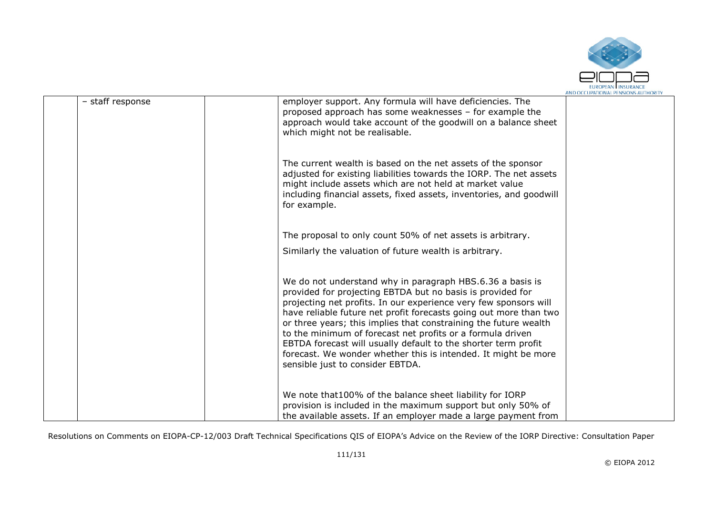

| - staff response | employer support. Any formula will have deficiencies. The<br>proposed approach has some weaknesses - for example the<br>approach would take account of the goodwill on a balance sheet<br>which might not be realisable.                                                                                                                                                                                                                                                                                                                                                   |  |
|------------------|----------------------------------------------------------------------------------------------------------------------------------------------------------------------------------------------------------------------------------------------------------------------------------------------------------------------------------------------------------------------------------------------------------------------------------------------------------------------------------------------------------------------------------------------------------------------------|--|
|                  | The current wealth is based on the net assets of the sponsor<br>adjusted for existing liabilities towards the IORP. The net assets<br>might include assets which are not held at market value<br>including financial assets, fixed assets, inventories, and goodwill<br>for example.                                                                                                                                                                                                                                                                                       |  |
|                  | The proposal to only count 50% of net assets is arbitrary.                                                                                                                                                                                                                                                                                                                                                                                                                                                                                                                 |  |
|                  | Similarly the valuation of future wealth is arbitrary.                                                                                                                                                                                                                                                                                                                                                                                                                                                                                                                     |  |
|                  | We do not understand why in paragraph HBS.6.36 a basis is<br>provided for projecting EBTDA but no basis is provided for<br>projecting net profits. In our experience very few sponsors will<br>have reliable future net profit forecasts going out more than two<br>or three years; this implies that constraining the future wealth<br>to the minimum of forecast net profits or a formula driven<br>EBTDA forecast will usually default to the shorter term profit<br>forecast. We wonder whether this is intended. It might be more<br>sensible just to consider EBTDA. |  |
|                  | We note that 100% of the balance sheet liability for IORP<br>provision is included in the maximum support but only 50% of<br>the available assets. If an employer made a large payment from                                                                                                                                                                                                                                                                                                                                                                                |  |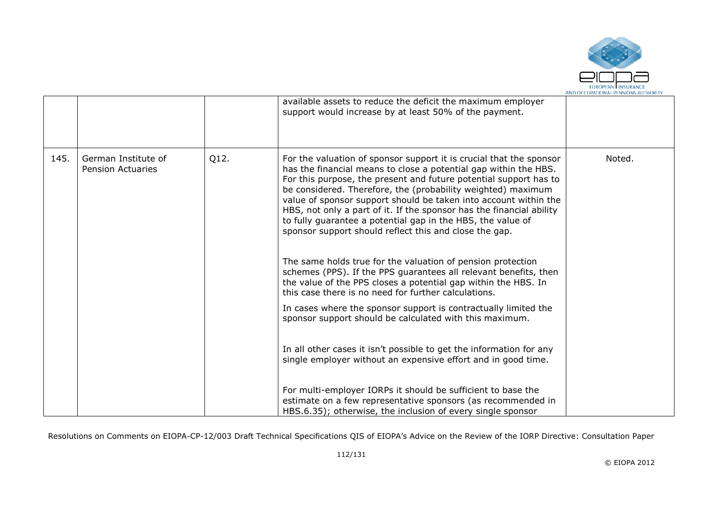

|      |                                                 |      | available assets to reduce the deficit the maximum employer<br>support would increase by at least 50% of the payment.                                                                                                                                                                                                                                                                                                                                                                                                                                                                                                                                                                                                                                                                                                                                                                                                                                                                                                                                                                |        |
|------|-------------------------------------------------|------|--------------------------------------------------------------------------------------------------------------------------------------------------------------------------------------------------------------------------------------------------------------------------------------------------------------------------------------------------------------------------------------------------------------------------------------------------------------------------------------------------------------------------------------------------------------------------------------------------------------------------------------------------------------------------------------------------------------------------------------------------------------------------------------------------------------------------------------------------------------------------------------------------------------------------------------------------------------------------------------------------------------------------------------------------------------------------------------|--------|
| 145. | German Institute of<br><b>Pension Actuaries</b> | Q12. | For the valuation of sponsor support it is crucial that the sponsor<br>has the financial means to close a potential gap within the HBS.<br>For this purpose, the present and future potential support has to<br>be considered. Therefore, the (probability weighted) maximum<br>value of sponsor support should be taken into account within the<br>HBS, not only a part of it. If the sponsor has the financial ability<br>to fully guarantee a potential gap in the HBS, the value of<br>sponsor support should reflect this and close the gap.<br>The same holds true for the valuation of pension protection<br>schemes (PPS). If the PPS guarantees all relevant benefits, then<br>the value of the PPS closes a potential gap within the HBS. In<br>this case there is no need for further calculations.<br>In cases where the sponsor support is contractually limited the<br>sponsor support should be calculated with this maximum.<br>In all other cases it isn't possible to get the information for any<br>single employer without an expensive effort and in good time. | Noted. |
|      |                                                 |      | For multi-employer IORPs it should be sufficient to base the<br>estimate on a few representative sponsors (as recommended in<br>HBS.6.35); otherwise, the inclusion of every single sponsor                                                                                                                                                                                                                                                                                                                                                                                                                                                                                                                                                                                                                                                                                                                                                                                                                                                                                          |        |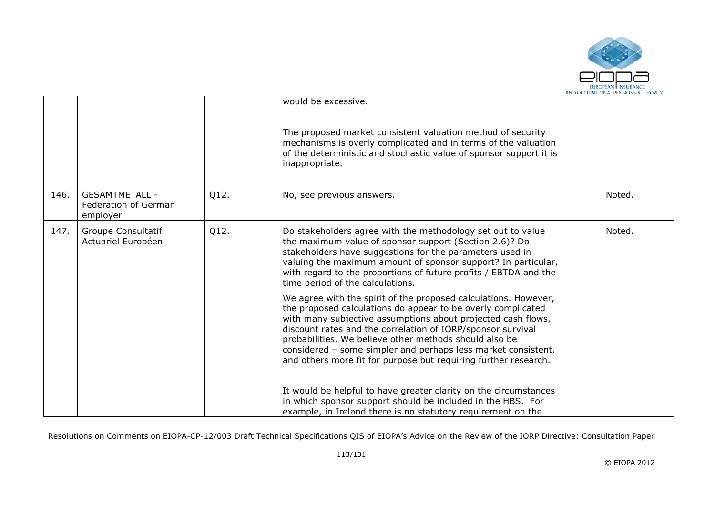

|      |                                                           |      | would be excessive.<br>The proposed market consistent valuation method of security<br>mechanisms is overly complicated and in terms of the valuation<br>of the deterministic and stochastic value of sponsor support it is<br>inappropriate.                                                                                                                                                                                                                 |        |
|------|-----------------------------------------------------------|------|--------------------------------------------------------------------------------------------------------------------------------------------------------------------------------------------------------------------------------------------------------------------------------------------------------------------------------------------------------------------------------------------------------------------------------------------------------------|--------|
| 146. | <b>GESAMTMETALL -</b><br>Federation of German<br>employer | Q12. | No, see previous answers.                                                                                                                                                                                                                                                                                                                                                                                                                                    | Noted. |
| 147. | Groupe Consultatif<br>Actuariel Européen                  | Q12. | Do stakeholders agree with the methodology set out to value<br>the maximum value of sponsor support (Section 2.6)? Do<br>stakeholders have suggestions for the parameters used in<br>valuing the maximum amount of sponsor support? In particular,<br>with regard to the proportions of future profits / EBTDA and the<br>time period of the calculations.                                                                                                   | Noted. |
|      |                                                           |      | We agree with the spirit of the proposed calculations. However,<br>the proposed calculations do appear to be overly complicated<br>with many subjective assumptions about projected cash flows,<br>discount rates and the correlation of IORP/sponsor survival<br>probabilities. We believe other methods should also be<br>considered - some simpler and perhaps less market consistent,<br>and others more fit for purpose but requiring further research. |        |
|      |                                                           |      | It would be helpful to have greater clarity on the circumstances<br>in which sponsor support should be included in the HBS. For<br>example, in Ireland there is no statutory requirement on the                                                                                                                                                                                                                                                              |        |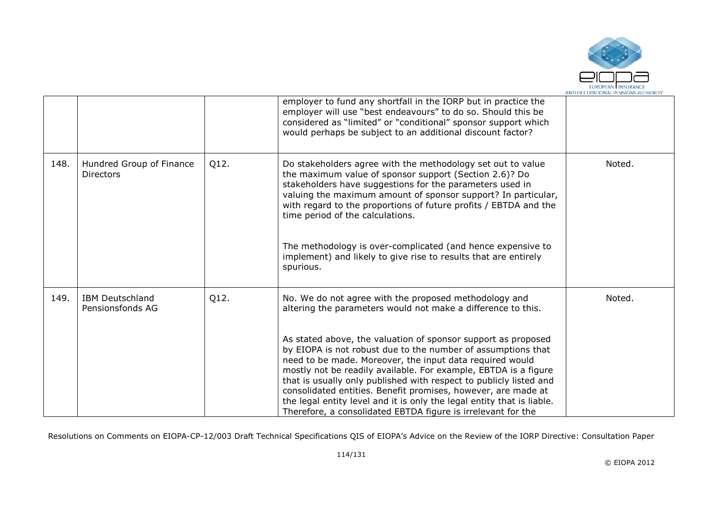

|      |                                              |      | employer to fund any shortfall in the IORP but in practice the<br>employer will use "best endeavours" to do so. Should this be<br>considered as "limited" or "conditional" sponsor support which<br>would perhaps be subject to an additional discount factor?                                                                                                                                                                                                                                                                                                                                                                                                         |        |
|------|----------------------------------------------|------|------------------------------------------------------------------------------------------------------------------------------------------------------------------------------------------------------------------------------------------------------------------------------------------------------------------------------------------------------------------------------------------------------------------------------------------------------------------------------------------------------------------------------------------------------------------------------------------------------------------------------------------------------------------------|--------|
| 148. | Hundred Group of Finance<br><b>Directors</b> | Q12. | Do stakeholders agree with the methodology set out to value<br>the maximum value of sponsor support (Section 2.6)? Do<br>stakeholders have suggestions for the parameters used in<br>valuing the maximum amount of sponsor support? In particular,<br>with regard to the proportions of future profits / EBTDA and the<br>time period of the calculations.<br>The methodology is over-complicated (and hence expensive to<br>implement) and likely to give rise to results that are entirely<br>spurious.                                                                                                                                                              | Noted. |
| 149. | <b>IBM Deutschland</b><br>Pensionsfonds AG   | Q12. | No. We do not agree with the proposed methodology and<br>altering the parameters would not make a difference to this.<br>As stated above, the valuation of sponsor support as proposed<br>by EIOPA is not robust due to the number of assumptions that<br>need to be made. Moreover, the input data required would<br>mostly not be readily available. For example, EBTDA is a figure<br>that is usually only published with respect to publicly listed and<br>consolidated entities. Benefit promises, however, are made at<br>the legal entity level and it is only the legal entity that is liable.<br>Therefore, a consolidated EBTDA figure is irrelevant for the | Noted. |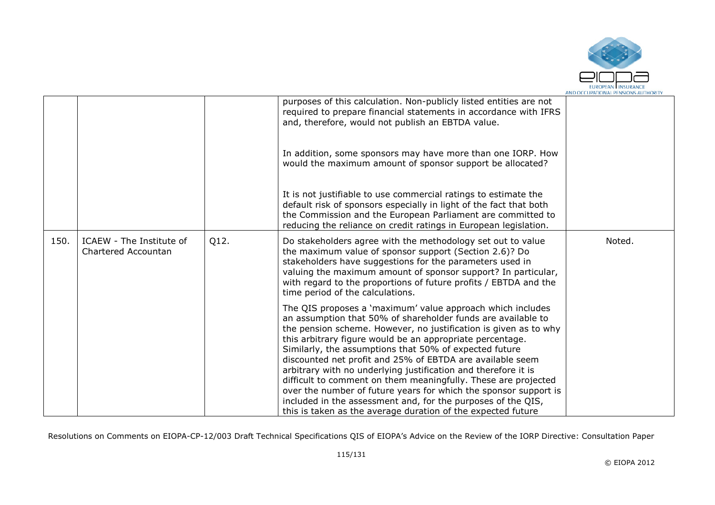

|      |                                                 |      | purposes of this calculation. Non-publicly listed entities are not<br>required to prepare financial statements in accordance with IFRS<br>and, therefore, would not publish an EBTDA value.                                                                                                                                                                                                                                                                                                                                                                                                                                                                                                                                |        |
|------|-------------------------------------------------|------|----------------------------------------------------------------------------------------------------------------------------------------------------------------------------------------------------------------------------------------------------------------------------------------------------------------------------------------------------------------------------------------------------------------------------------------------------------------------------------------------------------------------------------------------------------------------------------------------------------------------------------------------------------------------------------------------------------------------------|--------|
|      |                                                 |      | In addition, some sponsors may have more than one IORP. How<br>would the maximum amount of sponsor support be allocated?                                                                                                                                                                                                                                                                                                                                                                                                                                                                                                                                                                                                   |        |
|      |                                                 |      | It is not justifiable to use commercial ratings to estimate the<br>default risk of sponsors especially in light of the fact that both<br>the Commission and the European Parliament are committed to<br>reducing the reliance on credit ratings in European legislation.                                                                                                                                                                                                                                                                                                                                                                                                                                                   |        |
| 150. | ICAEW - The Institute of<br>Chartered Accountan | Q12. | Do stakeholders agree with the methodology set out to value<br>the maximum value of sponsor support (Section 2.6)? Do<br>stakeholders have suggestions for the parameters used in<br>valuing the maximum amount of sponsor support? In particular,<br>with regard to the proportions of future profits / EBTDA and the<br>time period of the calculations.                                                                                                                                                                                                                                                                                                                                                                 | Noted. |
|      |                                                 |      | The QIS proposes a 'maximum' value approach which includes<br>an assumption that 50% of shareholder funds are available to<br>the pension scheme. However, no justification is given as to why<br>this arbitrary figure would be an appropriate percentage.<br>Similarly, the assumptions that 50% of expected future<br>discounted net profit and 25% of EBTDA are available seem<br>arbitrary with no underlying justification and therefore it is<br>difficult to comment on them meaningfully. These are projected<br>over the number of future years for which the sponsor support is<br>included in the assessment and, for the purposes of the QIS,<br>this is taken as the average duration of the expected future |        |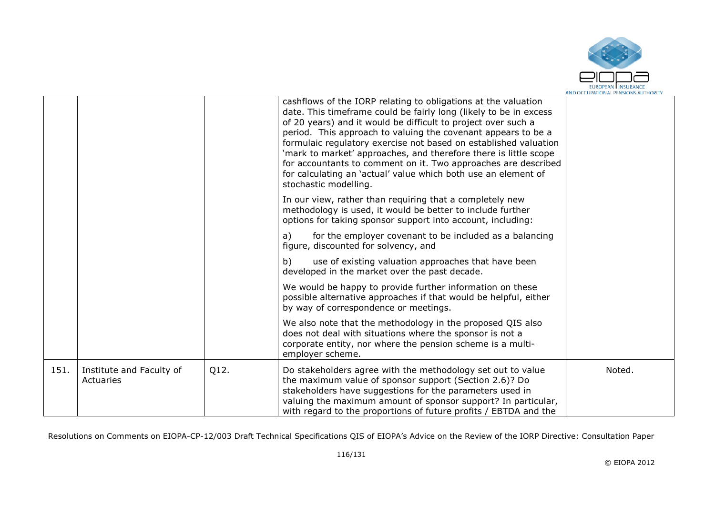

|      |                                       |      | cashflows of the IORP relating to obligations at the valuation<br>date. This timeframe could be fairly long (likely to be in excess<br>of 20 years) and it would be difficult to project over such a<br>period. This approach to valuing the covenant appears to be a<br>formulaic regulatory exercise not based on established valuation<br>'mark to market' approaches, and therefore there is little scope<br>for accountants to comment on it. Two approaches are described<br>for calculating an 'actual' value which both use an element of<br>stochastic modelling. |        |
|------|---------------------------------------|------|----------------------------------------------------------------------------------------------------------------------------------------------------------------------------------------------------------------------------------------------------------------------------------------------------------------------------------------------------------------------------------------------------------------------------------------------------------------------------------------------------------------------------------------------------------------------------|--------|
|      |                                       |      | In our view, rather than requiring that a completely new<br>methodology is used, it would be better to include further<br>options for taking sponsor support into account, including:                                                                                                                                                                                                                                                                                                                                                                                      |        |
|      |                                       |      | for the employer covenant to be included as a balancing<br>a)<br>figure, discounted for solvency, and                                                                                                                                                                                                                                                                                                                                                                                                                                                                      |        |
|      |                                       |      | b)<br>use of existing valuation approaches that have been<br>developed in the market over the past decade.                                                                                                                                                                                                                                                                                                                                                                                                                                                                 |        |
|      |                                       |      | We would be happy to provide further information on these<br>possible alternative approaches if that would be helpful, either<br>by way of correspondence or meetings.                                                                                                                                                                                                                                                                                                                                                                                                     |        |
|      |                                       |      | We also note that the methodology in the proposed QIS also<br>does not deal with situations where the sponsor is not a<br>corporate entity, nor where the pension scheme is a multi-<br>employer scheme.                                                                                                                                                                                                                                                                                                                                                                   |        |
| 151. | Institute and Faculty of<br>Actuaries | Q12. | Do stakeholders agree with the methodology set out to value<br>the maximum value of sponsor support (Section 2.6)? Do<br>stakeholders have suggestions for the parameters used in<br>valuing the maximum amount of sponsor support? In particular,<br>with regard to the proportions of future profits / EBTDA and the                                                                                                                                                                                                                                                     | Noted. |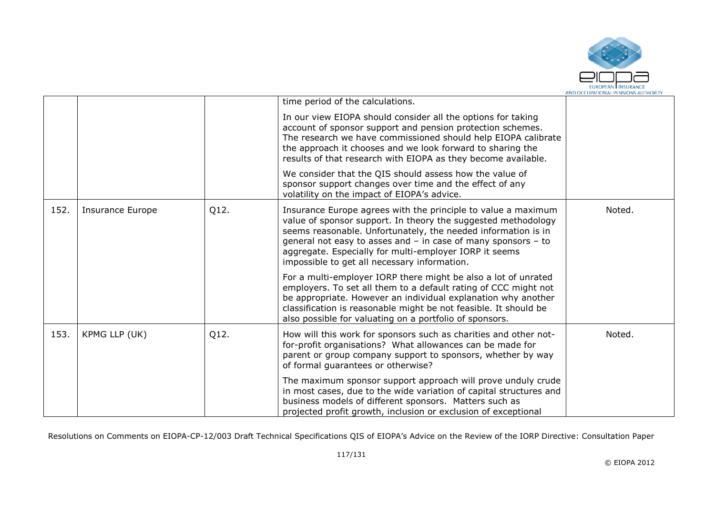

|      |                  |      | time period of the calculations.                                                                                                                                                                                                                                                                                                                                           |        |
|------|------------------|------|----------------------------------------------------------------------------------------------------------------------------------------------------------------------------------------------------------------------------------------------------------------------------------------------------------------------------------------------------------------------------|--------|
|      |                  |      | In our view EIOPA should consider all the options for taking<br>account of sponsor support and pension protection schemes.<br>The research we have commissioned should help EIOPA calibrate<br>the approach it chooses and we look forward to sharing the<br>results of that research with EIOPA as they become available.                                                 |        |
|      |                  |      | We consider that the QIS should assess how the value of<br>sponsor support changes over time and the effect of any<br>volatility on the impact of EIOPA's advice.                                                                                                                                                                                                          |        |
| 152. | Insurance Europe | Q12. | Insurance Europe agrees with the principle to value a maximum<br>value of sponsor support. In theory the suggested methodology<br>seems reasonable. Unfortunately, the needed information is in<br>general not easy to asses and - in case of many sponsors - to<br>aggregate. Especially for multi-employer IORP it seems<br>impossible to get all necessary information. | Noted. |
|      |                  |      | For a multi-employer IORP there might be also a lot of unrated<br>employers. To set all them to a default rating of CCC might not<br>be appropriate. However an individual explanation why another<br>classification is reasonable might be not feasible. It should be<br>also possible for valuating on a portfolio of sponsors.                                          |        |
| 153. | KPMG LLP (UK)    | Q12. | How will this work for sponsors such as charities and other not-<br>for-profit organisations? What allowances can be made for<br>parent or group company support to sponsors, whether by way<br>of formal guarantees or otherwise?                                                                                                                                         | Noted. |
|      |                  |      | The maximum sponsor support approach will prove unduly crude<br>in most cases, due to the wide variation of capital structures and<br>business models of different sponsors. Matters such as<br>projected profit growth, inclusion or exclusion of exceptional                                                                                                             |        |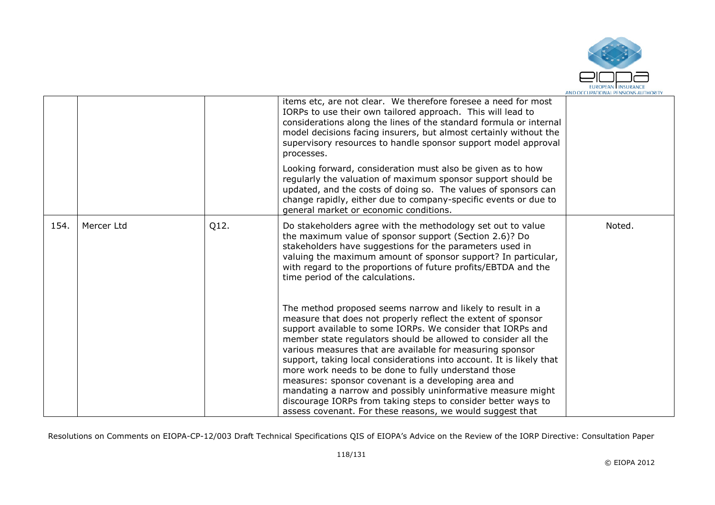

|      |            |      | items etc, are not clear. We therefore foresee a need for most<br>IORPs to use their own tailored approach. This will lead to<br>considerations along the lines of the standard formula or internal<br>model decisions facing insurers, but almost certainly without the<br>supervisory resources to handle sponsor support model approval<br>processes.<br>Looking forward, consideration must also be given as to how<br>regularly the valuation of maximum sponsor support should be<br>updated, and the costs of doing so. The values of sponsors can<br>change rapidly, either due to company-specific events or due to |        |
|------|------------|------|------------------------------------------------------------------------------------------------------------------------------------------------------------------------------------------------------------------------------------------------------------------------------------------------------------------------------------------------------------------------------------------------------------------------------------------------------------------------------------------------------------------------------------------------------------------------------------------------------------------------------|--------|
| 154. | Mercer Ltd | Q12. | general market or economic conditions.<br>Do stakeholders agree with the methodology set out to value<br>the maximum value of sponsor support (Section 2.6)? Do<br>stakeholders have suggestions for the parameters used in                                                                                                                                                                                                                                                                                                                                                                                                  | Noted. |
|      |            |      | valuing the maximum amount of sponsor support? In particular,<br>with regard to the proportions of future profits/EBTDA and the<br>time period of the calculations.                                                                                                                                                                                                                                                                                                                                                                                                                                                          |        |
|      |            |      | The method proposed seems narrow and likely to result in a<br>measure that does not properly reflect the extent of sponsor<br>support available to some IORPs. We consider that IORPs and<br>member state regulators should be allowed to consider all the<br>various measures that are available for measuring sponsor                                                                                                                                                                                                                                                                                                      |        |
|      |            |      | support, taking local considerations into account. It is likely that<br>more work needs to be done to fully understand those<br>measures: sponsor covenant is a developing area and                                                                                                                                                                                                                                                                                                                                                                                                                                          |        |
|      |            |      | mandating a narrow and possibly uninformative measure might<br>discourage IORPs from taking steps to consider better ways to                                                                                                                                                                                                                                                                                                                                                                                                                                                                                                 |        |
|      |            |      | assess covenant. For these reasons, we would suggest that                                                                                                                                                                                                                                                                                                                                                                                                                                                                                                                                                                    |        |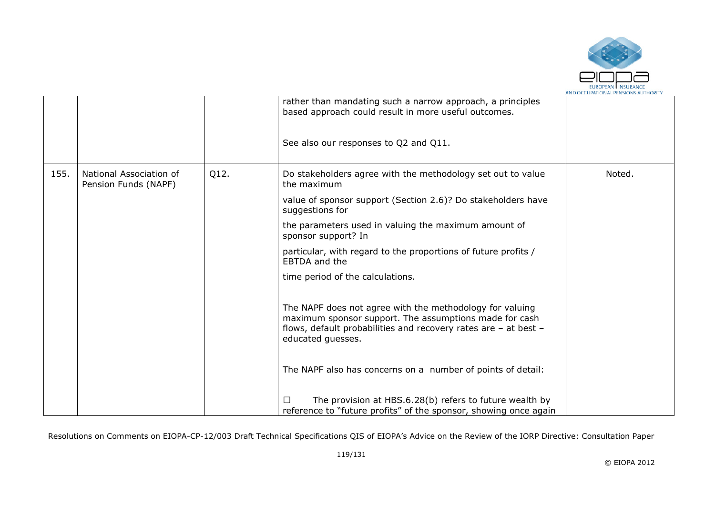

|      |                                                 |      | rather than mandating such a narrow approach, a principles<br>based approach could result in more useful outcomes.<br>See also our responses to Q2 and Q11.                                                |        |
|------|-------------------------------------------------|------|------------------------------------------------------------------------------------------------------------------------------------------------------------------------------------------------------------|--------|
| 155. | National Association of<br>Pension Funds (NAPF) | Q12. | Do stakeholders agree with the methodology set out to value<br>the maximum                                                                                                                                 | Noted. |
|      |                                                 |      | value of sponsor support (Section 2.6)? Do stakeholders have<br>suggestions for                                                                                                                            |        |
|      |                                                 |      | the parameters used in valuing the maximum amount of<br>sponsor support? In                                                                                                                                |        |
|      |                                                 |      | particular, with regard to the proportions of future profits /<br>EBTDA and the                                                                                                                            |        |
|      |                                                 |      | time period of the calculations.                                                                                                                                                                           |        |
|      |                                                 |      | The NAPF does not agree with the methodology for valuing<br>maximum sponsor support. The assumptions made for cash<br>flows, default probabilities and recovery rates are - at best -<br>educated guesses. |        |
|      |                                                 |      | The NAPF also has concerns on a number of points of detail:                                                                                                                                                |        |
|      |                                                 |      | The provision at HBS.6.28(b) refers to future wealth by<br>П<br>reference to "future profits" of the sponsor, showing once again                                                                           |        |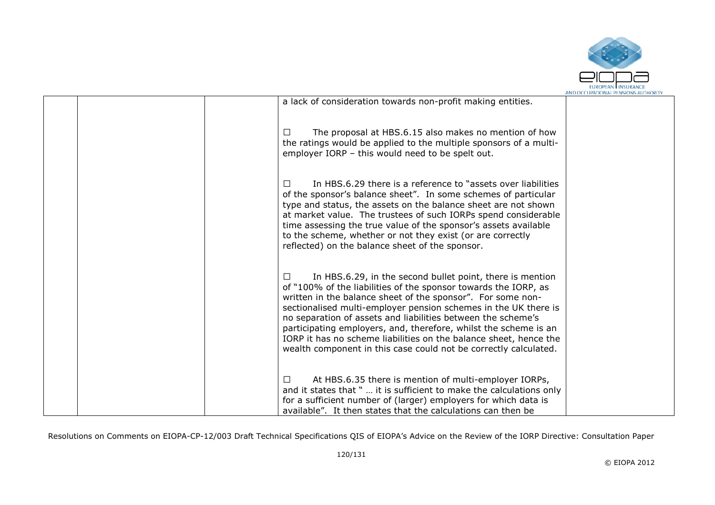

|                                                                                                                                                                                                                                                                                                                                                                                                                                                                                                                                                        | AND OCCUPATIONAL PENSIONS AUTHORII |
|--------------------------------------------------------------------------------------------------------------------------------------------------------------------------------------------------------------------------------------------------------------------------------------------------------------------------------------------------------------------------------------------------------------------------------------------------------------------------------------------------------------------------------------------------------|------------------------------------|
| a lack of consideration towards non-profit making entities.                                                                                                                                                                                                                                                                                                                                                                                                                                                                                            |                                    |
| The proposal at HBS.6.15 also makes no mention of how<br>$\perp$<br>the ratings would be applied to the multiple sponsors of a multi-<br>employer IORP - this would need to be spelt out.                                                                                                                                                                                                                                                                                                                                                              |                                    |
| In HBS.6.29 there is a reference to "assets over liabilities"<br>$\perp$<br>of the sponsor's balance sheet". In some schemes of particular<br>type and status, the assets on the balance sheet are not shown<br>at market value. The trustees of such IORPs spend considerable<br>time assessing the true value of the sponsor's assets available<br>to the scheme, whether or not they exist (or are correctly<br>reflected) on the balance sheet of the sponsor.                                                                                     |                                    |
| In HBS.6.29, in the second bullet point, there is mention<br>$\perp$<br>of "100% of the liabilities of the sponsor towards the IORP, as<br>written in the balance sheet of the sponsor". For some non-<br>sectionalised multi-employer pension schemes in the UK there is<br>no separation of assets and liabilities between the scheme's<br>participating employers, and, therefore, whilst the scheme is an<br>IORP it has no scheme liabilities on the balance sheet, hence the<br>wealth component in this case could not be correctly calculated. |                                    |
| At HBS.6.35 there is mention of multi-employer IORPs,<br>$\perp$<br>and it states that "  it is sufficient to make the calculations only<br>for a sufficient number of (larger) employers for which data is<br>available". It then states that the calculations can then be                                                                                                                                                                                                                                                                            |                                    |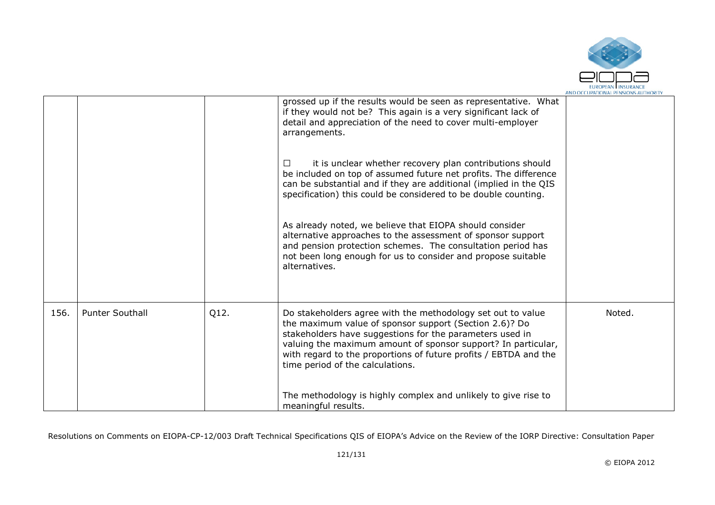

|      |                        |      | grossed up if the results would be seen as representative. What<br>if they would not be? This again is a very significant lack of<br>detail and appreciation of the need to cover multi-employer<br>arrangements.<br>it is unclear whether recovery plan contributions should<br>$\perp$<br>be included on top of assumed future net profits. The difference<br>can be substantial and if they are additional (implied in the QIS<br>specification) this could be considered to be double counting. |        |
|------|------------------------|------|-----------------------------------------------------------------------------------------------------------------------------------------------------------------------------------------------------------------------------------------------------------------------------------------------------------------------------------------------------------------------------------------------------------------------------------------------------------------------------------------------------|--------|
|      |                        |      | As already noted, we believe that EIOPA should consider<br>alternative approaches to the assessment of sponsor support<br>and pension protection schemes. The consultation period has<br>not been long enough for us to consider and propose suitable<br>alternatives.                                                                                                                                                                                                                              |        |
| 156. | <b>Punter Southall</b> | Q12. | Do stakeholders agree with the methodology set out to value<br>the maximum value of sponsor support (Section 2.6)? Do<br>stakeholders have suggestions for the parameters used in<br>valuing the maximum amount of sponsor support? In particular,<br>with regard to the proportions of future profits / EBTDA and the<br>time period of the calculations.<br>The methodology is highly complex and unlikely to give rise to<br>meaningful results.                                                 | Noted. |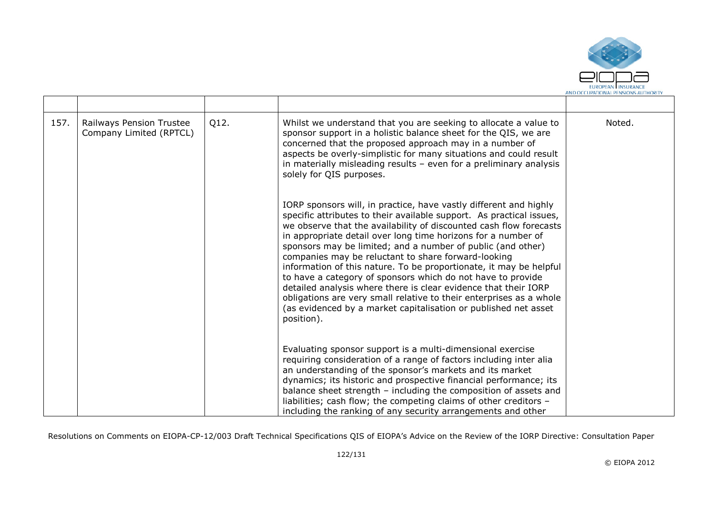

| 157. | Q12.<br>Railways Pension Trustee<br>Company Limited (RPTCL) | Whilst we understand that you are seeking to allocate a value to<br>sponsor support in a holistic balance sheet for the QIS, we are<br>concerned that the proposed approach may in a number of<br>aspects be overly-simplistic for many situations and could result<br>in materially misleading results $-$ even for a preliminary analysis<br>solely for QIS purposes.                                                                                                                                                                                                                                                                                                                                                                                                | Noted. |
|------|-------------------------------------------------------------|------------------------------------------------------------------------------------------------------------------------------------------------------------------------------------------------------------------------------------------------------------------------------------------------------------------------------------------------------------------------------------------------------------------------------------------------------------------------------------------------------------------------------------------------------------------------------------------------------------------------------------------------------------------------------------------------------------------------------------------------------------------------|--------|
|      |                                                             | IORP sponsors will, in practice, have vastly different and highly<br>specific attributes to their available support. As practical issues,<br>we observe that the availability of discounted cash flow forecasts<br>in appropriate detail over long time horizons for a number of<br>sponsors may be limited; and a number of public (and other)<br>companies may be reluctant to share forward-looking<br>information of this nature. To be proportionate, it may be helpful<br>to have a category of sponsors which do not have to provide<br>detailed analysis where there is clear evidence that their IORP<br>obligations are very small relative to their enterprises as a whole<br>(as evidenced by a market capitalisation or published net asset<br>position). |        |
|      |                                                             | Evaluating sponsor support is a multi-dimensional exercise<br>requiring consideration of a range of factors including inter alia<br>an understanding of the sponsor's markets and its market<br>dynamics; its historic and prospective financial performance; its<br>balance sheet strength - including the composition of assets and<br>liabilities; cash flow; the competing claims of other creditors -<br>including the ranking of any security arrangements and other                                                                                                                                                                                                                                                                                             |        |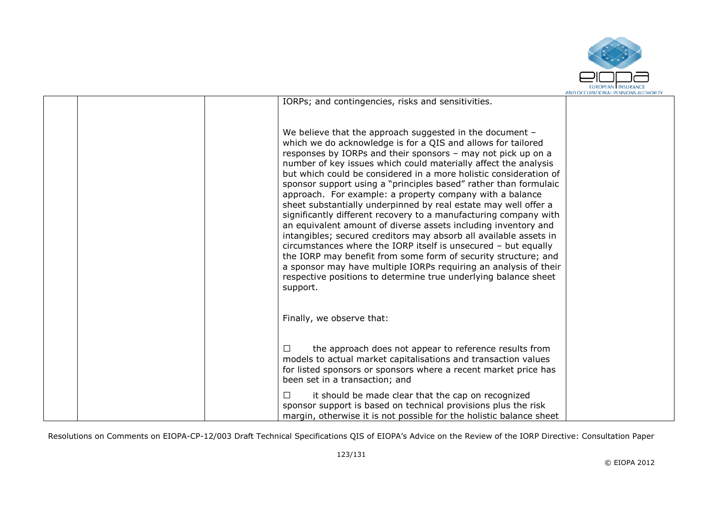

|  |                                                                                                                                                                                                                                                                                                                                                                                                                                                                                                                                                                                                                                                                                                                                                                                                                                                                                                                                                                                                                                       | MND OCCUPATIONAL FENSIONS AUTHONT |
|--|---------------------------------------------------------------------------------------------------------------------------------------------------------------------------------------------------------------------------------------------------------------------------------------------------------------------------------------------------------------------------------------------------------------------------------------------------------------------------------------------------------------------------------------------------------------------------------------------------------------------------------------------------------------------------------------------------------------------------------------------------------------------------------------------------------------------------------------------------------------------------------------------------------------------------------------------------------------------------------------------------------------------------------------|-----------------------------------|
|  | IORPs; and contingencies, risks and sensitivities.                                                                                                                                                                                                                                                                                                                                                                                                                                                                                                                                                                                                                                                                                                                                                                                                                                                                                                                                                                                    |                                   |
|  | We believe that the approach suggested in the document -<br>which we do acknowledge is for a QIS and allows for tailored<br>responses by IORPs and their sponsors - may not pick up on a<br>number of key issues which could materially affect the analysis<br>but which could be considered in a more holistic consideration of<br>sponsor support using a "principles based" rather than formulaic<br>approach. For example: a property company with a balance<br>sheet substantially underpinned by real estate may well offer a<br>significantly different recovery to a manufacturing company with<br>an equivalent amount of diverse assets including inventory and<br>intangibles; secured creditors may absorb all available assets in<br>circumstances where the IORP itself is unsecured - but equally<br>the IORP may benefit from some form of security structure; and<br>a sponsor may have multiple IORPs requiring an analysis of their<br>respective positions to determine true underlying balance sheet<br>support. |                                   |
|  | Finally, we observe that:                                                                                                                                                                                                                                                                                                                                                                                                                                                                                                                                                                                                                                                                                                                                                                                                                                                                                                                                                                                                             |                                   |
|  | the approach does not appear to reference results from<br>П<br>models to actual market capitalisations and transaction values<br>for listed sponsors or sponsors where a recent market price has<br>been set in a transaction; and                                                                                                                                                                                                                                                                                                                                                                                                                                                                                                                                                                                                                                                                                                                                                                                                    |                                   |
|  | П<br>it should be made clear that the cap on recognized<br>sponsor support is based on technical provisions plus the risk<br>margin, otherwise it is not possible for the holistic balance sheet                                                                                                                                                                                                                                                                                                                                                                                                                                                                                                                                                                                                                                                                                                                                                                                                                                      |                                   |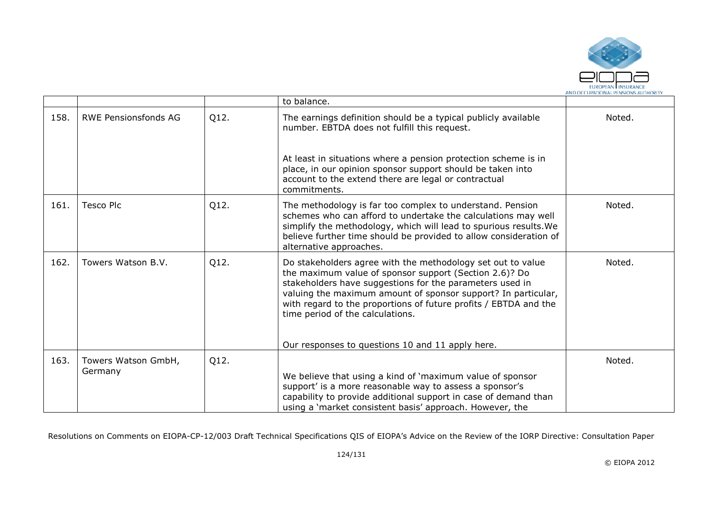

|      |                                |      | to balance.                                                                                                                                                                                                                                                                                                                                                                                                    |        |
|------|--------------------------------|------|----------------------------------------------------------------------------------------------------------------------------------------------------------------------------------------------------------------------------------------------------------------------------------------------------------------------------------------------------------------------------------------------------------------|--------|
| 158. | <b>RWE Pensionsfonds AG</b>    | Q12. | The earnings definition should be a typical publicly available<br>number. EBTDA does not fulfill this request.                                                                                                                                                                                                                                                                                                 | Noted. |
|      |                                |      | At least in situations where a pension protection scheme is in<br>place, in our opinion sponsor support should be taken into<br>account to the extend there are legal or contractual<br>commitments.                                                                                                                                                                                                           |        |
| 161. | <b>Tesco Plc</b>               | Q12. | The methodology is far too complex to understand. Pension<br>schemes who can afford to undertake the calculations may well<br>simplify the methodology, which will lead to spurious results. We<br>believe further time should be provided to allow consideration of<br>alternative approaches.                                                                                                                | Noted. |
| 162. | Towers Watson B.V.             | Q12. | Do stakeholders agree with the methodology set out to value<br>the maximum value of sponsor support (Section 2.6)? Do<br>stakeholders have suggestions for the parameters used in<br>valuing the maximum amount of sponsor support? In particular,<br>with regard to the proportions of future profits / EBTDA and the<br>time period of the calculations.<br>Our responses to questions 10 and 11 apply here. | Noted. |
| 163. | Towers Watson GmbH,<br>Germany | Q12. | We believe that using a kind of 'maximum value of sponsor<br>support' is a more reasonable way to assess a sponsor's<br>capability to provide additional support in case of demand than                                                                                                                                                                                                                        | Noted. |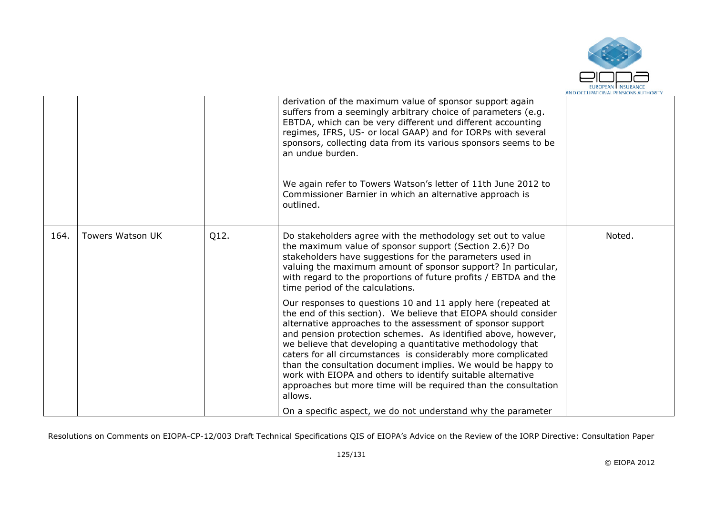

|      |                         |      | derivation of the maximum value of sponsor support again<br>suffers from a seemingly arbitrary choice of parameters (e.g.<br>EBTDA, which can be very different und different accounting<br>regimes, IFRS, US- or local GAAP) and for IORPs with several<br>sponsors, collecting data from its various sponsors seems to be<br>an undue burden.<br>We again refer to Towers Watson's letter of 11th June 2012 to<br>Commissioner Barnier in which an alternative approach is<br>outlined.                                                                                                                   |        |
|------|-------------------------|------|-------------------------------------------------------------------------------------------------------------------------------------------------------------------------------------------------------------------------------------------------------------------------------------------------------------------------------------------------------------------------------------------------------------------------------------------------------------------------------------------------------------------------------------------------------------------------------------------------------------|--------|
| 164. | <b>Towers Watson UK</b> | Q12. | Do stakeholders agree with the methodology set out to value<br>the maximum value of sponsor support (Section 2.6)? Do<br>stakeholders have suggestions for the parameters used in<br>valuing the maximum amount of sponsor support? In particular,<br>with regard to the proportions of future profits / EBTDA and the<br>time period of the calculations.                                                                                                                                                                                                                                                  | Noted. |
|      |                         |      | Our responses to questions 10 and 11 apply here (repeated at<br>the end of this section). We believe that EIOPA should consider<br>alternative approaches to the assessment of sponsor support<br>and pension protection schemes. As identified above, however,<br>we believe that developing a quantitative methodology that<br>caters for all circumstances is considerably more complicated<br>than the consultation document implies. We would be happy to<br>work with EIOPA and others to identify suitable alternative<br>approaches but more time will be required than the consultation<br>allows. |        |
|      |                         |      | On a specific aspect, we do not understand why the parameter                                                                                                                                                                                                                                                                                                                                                                                                                                                                                                                                                |        |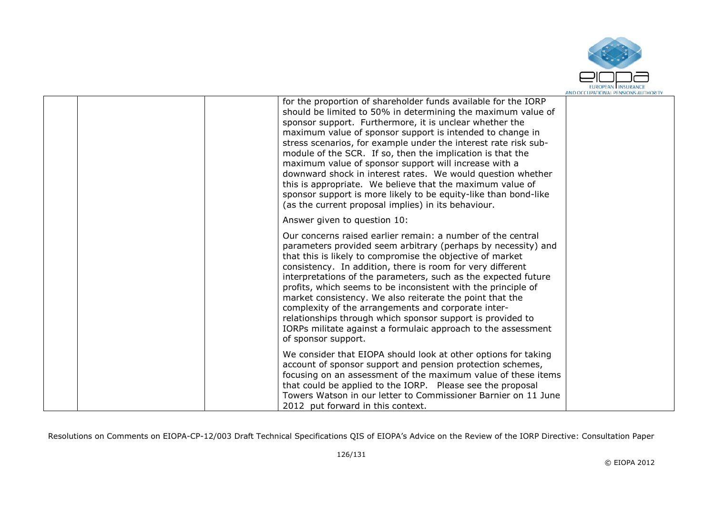

|  | for the proportion of shareholder funds available for the IORP<br>should be limited to 50% in determining the maximum value of<br>sponsor support. Furthermore, it is unclear whether the<br>maximum value of sponsor support is intended to change in<br>stress scenarios, for example under the interest rate risk sub-<br>module of the SCR. If so, then the implication is that the<br>maximum value of sponsor support will increase with a<br>downward shock in interest rates. We would question whether<br>this is appropriate. We believe that the maximum value of<br>sponsor support is more likely to be equity-like than bond-like<br>(as the current proposal implies) in its behaviour. |  |
|--|--------------------------------------------------------------------------------------------------------------------------------------------------------------------------------------------------------------------------------------------------------------------------------------------------------------------------------------------------------------------------------------------------------------------------------------------------------------------------------------------------------------------------------------------------------------------------------------------------------------------------------------------------------------------------------------------------------|--|
|  | Answer given to question 10:                                                                                                                                                                                                                                                                                                                                                                                                                                                                                                                                                                                                                                                                           |  |
|  | Our concerns raised earlier remain: a number of the central<br>parameters provided seem arbitrary (perhaps by necessity) and<br>that this is likely to compromise the objective of market<br>consistency. In addition, there is room for very different<br>interpretations of the parameters, such as the expected future<br>profits, which seems to be inconsistent with the principle of<br>market consistency. We also reiterate the point that the<br>complexity of the arrangements and corporate inter-<br>relationships through which sponsor support is provided to<br>IORPs militate against a formulaic approach to the assessment<br>of sponsor support.                                    |  |
|  | We consider that EIOPA should look at other options for taking<br>account of sponsor support and pension protection schemes,<br>focusing on an assessment of the maximum value of these items<br>that could be applied to the IORP. Please see the proposal<br>Towers Watson in our letter to Commissioner Barnier on 11 June<br>2012 put forward in this context.                                                                                                                                                                                                                                                                                                                                     |  |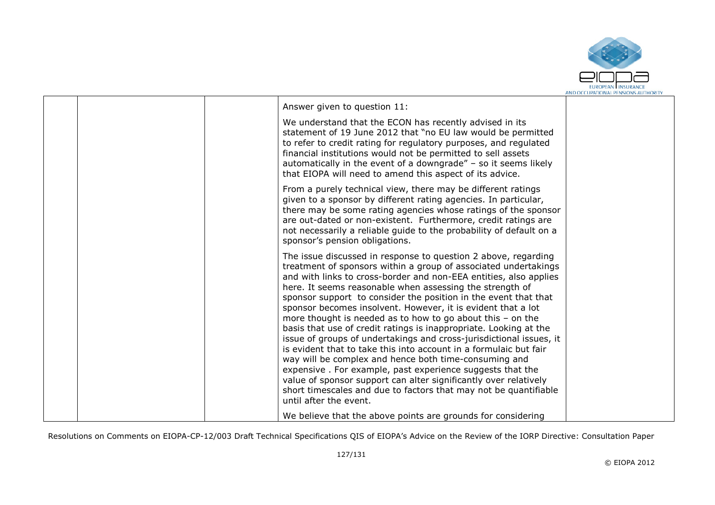

| Answer given to question 11:<br>We understand that the ECON has recently advised in its<br>statement of 19 June 2012 that "no EU law would be permitted<br>to refer to credit rating for regulatory purposes, and regulated<br>financial institutions would not be permitted to sell assets<br>automatically in the event of a downgrade" - so it seems likely<br>that EIOPA will need to amend this aspect of its advice.<br>From a purely technical view, there may be different ratings<br>given to a sponsor by different rating agencies. In particular,<br>there may be some rating agencies whose ratings of the sponsor<br>are out-dated or non-existent. Furthermore, credit ratings are<br>not necessarily a reliable guide to the probability of default on a<br>sponsor's pension obligations.<br>The issue discussed in response to question 2 above, regarding<br>treatment of sponsors within a group of associated undertakings<br>and with links to cross-border and non-EEA entities, also applies<br>here. It seems reasonable when assessing the strength of<br>sponsor support to consider the position in the event that that<br>sponsor becomes insolvent. However, it is evident that a lot<br>more thought is needed as to how to go about this $-$ on the<br>basis that use of credit ratings is inappropriate. Looking at the<br>issue of groups of undertakings and cross-jurisdictional issues, it<br>is evident that to take this into account in a formulaic but fair<br>way will be complex and hence both time-consuming and<br>expensive. For example, past experience suggests that the<br>value of sponsor support can alter significantly over relatively<br>short timescales and due to factors that may not be quantifiable<br>until after the event. |  |  |
|----------------------------------------------------------------------------------------------------------------------------------------------------------------------------------------------------------------------------------------------------------------------------------------------------------------------------------------------------------------------------------------------------------------------------------------------------------------------------------------------------------------------------------------------------------------------------------------------------------------------------------------------------------------------------------------------------------------------------------------------------------------------------------------------------------------------------------------------------------------------------------------------------------------------------------------------------------------------------------------------------------------------------------------------------------------------------------------------------------------------------------------------------------------------------------------------------------------------------------------------------------------------------------------------------------------------------------------------------------------------------------------------------------------------------------------------------------------------------------------------------------------------------------------------------------------------------------------------------------------------------------------------------------------------------------------------------------------------------------------------------------------------------------------------|--|--|
|                                                                                                                                                                                                                                                                                                                                                                                                                                                                                                                                                                                                                                                                                                                                                                                                                                                                                                                                                                                                                                                                                                                                                                                                                                                                                                                                                                                                                                                                                                                                                                                                                                                                                                                                                                                              |  |  |
|                                                                                                                                                                                                                                                                                                                                                                                                                                                                                                                                                                                                                                                                                                                                                                                                                                                                                                                                                                                                                                                                                                                                                                                                                                                                                                                                                                                                                                                                                                                                                                                                                                                                                                                                                                                              |  |  |
|                                                                                                                                                                                                                                                                                                                                                                                                                                                                                                                                                                                                                                                                                                                                                                                                                                                                                                                                                                                                                                                                                                                                                                                                                                                                                                                                                                                                                                                                                                                                                                                                                                                                                                                                                                                              |  |  |
|                                                                                                                                                                                                                                                                                                                                                                                                                                                                                                                                                                                                                                                                                                                                                                                                                                                                                                                                                                                                                                                                                                                                                                                                                                                                                                                                                                                                                                                                                                                                                                                                                                                                                                                                                                                              |  |  |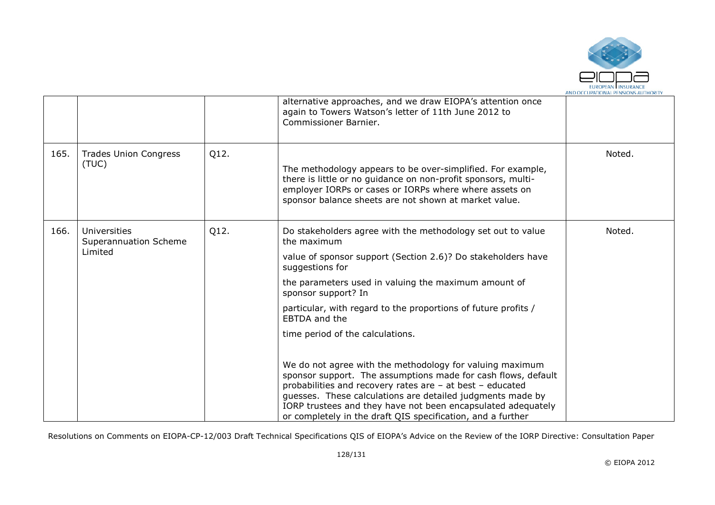

|      |                                       |      | alternative approaches, and we draw EIOPA's attention once<br>again to Towers Watson's letter of 11th June 2012 to<br>Commissioner Barnier.                                                                                                                                                                                                                                         |                                                                             |  |
|------|---------------------------------------|------|-------------------------------------------------------------------------------------------------------------------------------------------------------------------------------------------------------------------------------------------------------------------------------------------------------------------------------------------------------------------------------------|-----------------------------------------------------------------------------|--|
| 165. | <b>Trades Union Congress</b><br>(TUC) | Q12. | The methodology appears to be over-simplified. For example,<br>there is little or no guidance on non-profit sponsors, multi-<br>employer IORPs or cases or IORPs where where assets on<br>sponsor balance sheets are not shown at market value.                                                                                                                                     | Noted.                                                                      |  |
| 166. | Universities<br>Superannuation Scheme | Q12. | Do stakeholders agree with the methodology set out to value<br>the maximum                                                                                                                                                                                                                                                                                                          | Noted.                                                                      |  |
|      | Limited                               |      | value of sponsor support (Section 2.6)? Do stakeholders have<br>suggestions for                                                                                                                                                                                                                                                                                                     |                                                                             |  |
|      |                                       |      |                                                                                                                                                                                                                                                                                                                                                                                     | the parameters used in valuing the maximum amount of<br>sponsor support? In |  |
|      |                                       |      | particular, with regard to the proportions of future profits /<br>EBTDA and the                                                                                                                                                                                                                                                                                                     |                                                                             |  |
|      |                                       |      | time period of the calculations.                                                                                                                                                                                                                                                                                                                                                    |                                                                             |  |
|      |                                       |      | We do not agree with the methodology for valuing maximum<br>sponsor support. The assumptions made for cash flows, default<br>probabilities and recovery rates are - at best - educated<br>guesses. These calculations are detailed judgments made by<br>IORP trustees and they have not been encapsulated adequately<br>or completely in the draft QIS specification, and a further |                                                                             |  |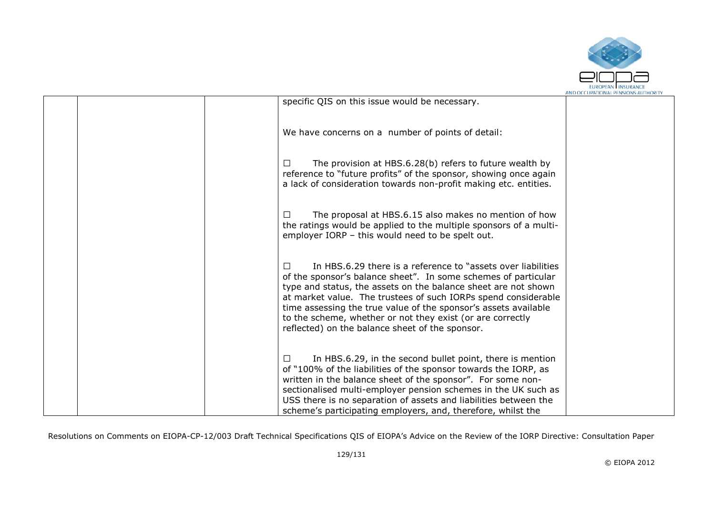

|  |                                                                                                                                                                                                                                                                                                                                                                                                                                                                         | AND OCCUPATIONAL PENSIONS AUTHORIT |
|--|-------------------------------------------------------------------------------------------------------------------------------------------------------------------------------------------------------------------------------------------------------------------------------------------------------------------------------------------------------------------------------------------------------------------------------------------------------------------------|------------------------------------|
|  | specific QIS on this issue would be necessary.                                                                                                                                                                                                                                                                                                                                                                                                                          |                                    |
|  | We have concerns on a number of points of detail:                                                                                                                                                                                                                                                                                                                                                                                                                       |                                    |
|  | The provision at HBS.6.28(b) refers to future wealth by<br>$\perp$<br>reference to "future profits" of the sponsor, showing once again<br>a lack of consideration towards non-profit making etc. entities.                                                                                                                                                                                                                                                              |                                    |
|  | The proposal at HBS.6.15 also makes no mention of how<br>$\perp$<br>the ratings would be applied to the multiple sponsors of a multi-<br>employer IORP - this would need to be spelt out.                                                                                                                                                                                                                                                                               |                                    |
|  | In HBS.6.29 there is a reference to "assets over liabilities"<br>$\mathbf{1}$<br>of the sponsor's balance sheet". In some schemes of particular<br>type and status, the assets on the balance sheet are not shown<br>at market value. The trustees of such IORPs spend considerable<br>time assessing the true value of the sponsor's assets available<br>to the scheme, whether or not they exist (or are correctly<br>reflected) on the balance sheet of the sponsor. |                                    |
|  | In HBS.6.29, in the second bullet point, there is mention<br>$\perp$<br>of "100% of the liabilities of the sponsor towards the IORP, as<br>written in the balance sheet of the sponsor". For some non-<br>sectionalised multi-employer pension schemes in the UK such as<br>USS there is no separation of assets and liabilities between the<br>scheme's participating employers, and, therefore, whilst the                                                            |                                    |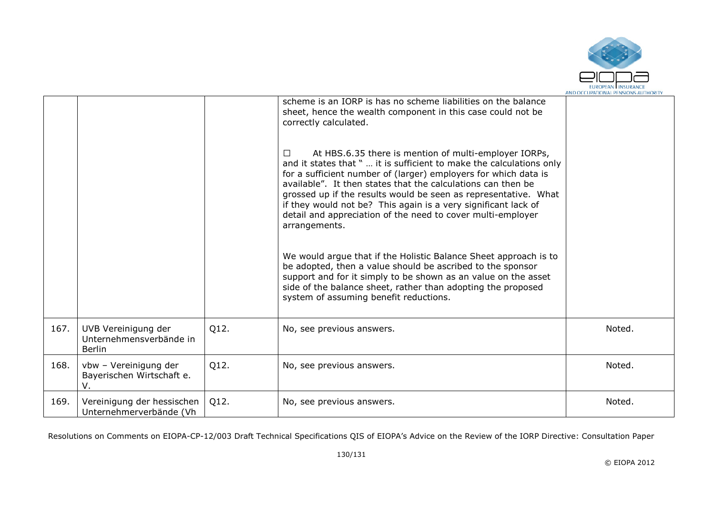

|      |                                                                 |      | scheme is an IORP is has no scheme liabilities on the balance<br>sheet, hence the wealth component in this case could not be<br>correctly calculated.                                                                                                                                                                                                                                                                                                                                           |        |
|------|-----------------------------------------------------------------|------|-------------------------------------------------------------------------------------------------------------------------------------------------------------------------------------------------------------------------------------------------------------------------------------------------------------------------------------------------------------------------------------------------------------------------------------------------------------------------------------------------|--------|
|      |                                                                 |      | At HBS.6.35 there is mention of multi-employer IORPs,<br>$\Box$<br>and it states that "  it is sufficient to make the calculations only<br>for a sufficient number of (larger) employers for which data is<br>available". It then states that the calculations can then be<br>grossed up if the results would be seen as representative. What<br>if they would not be? This again is a very significant lack of<br>detail and appreciation of the need to cover multi-employer<br>arrangements. |        |
|      |                                                                 |      | We would argue that if the Holistic Balance Sheet approach is to<br>be adopted, then a value should be ascribed to the sponsor<br>support and for it simply to be shown as an value on the asset<br>side of the balance sheet, rather than adopting the proposed<br>system of assuming benefit reductions.                                                                                                                                                                                      |        |
| 167. | UVB Vereinigung der<br>Unternehmensverbände in<br><b>Berlin</b> | Q12. | No, see previous answers.                                                                                                                                                                                                                                                                                                                                                                                                                                                                       | Noted. |
| 168. | vbw - Vereinigung der<br>Bayerischen Wirtschaft e.<br>V.        | Q12. | No, see previous answers.                                                                                                                                                                                                                                                                                                                                                                                                                                                                       | Noted. |
| 169. | Vereinigung der hessischen<br>Unternehmerverbände (Vh           | Q12. | No, see previous answers.                                                                                                                                                                                                                                                                                                                                                                                                                                                                       | Noted. |